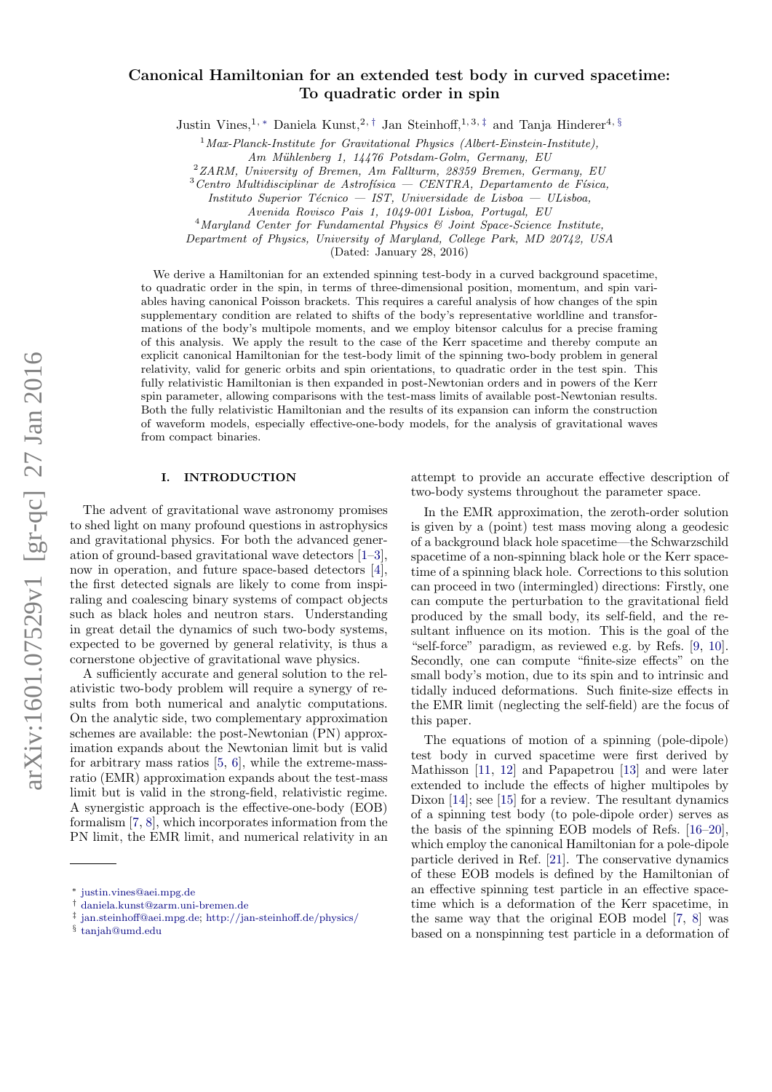# Canonical Hamiltonian for an extended test body in curved spacetime: To quadratic order in spin

Justin Vines,<sup>1, [∗](#page-0-0)</sup> Daniela Kunst,<sup>2,[†](#page-0-1)</sup> Jan Steinhoff,<sup>1,3,[‡](#page-0-2)</sup> and Tanja Hinderer<sup>4, [§](#page-0-3)</sup>

 $1$  Max-Planck-Institute for Gravitational Physics (Albert-Einstein-Institute),

Am Mühlenberg 1, 14476 Potsdam-Golm, Germany, EU

 $2ZARM$ , University of Bremen, Am Fallturm, 28359 Bremen, Germany, EU

 $3$ Centro Multidisciplinar de Astrofísica — CENTRA, Departamento de Física,

 $4$ Maryland Center for Fundamental Physics  $6$  Joint Space-Science Institute,

Department of Physics, University of Maryland, College Park, MD 20742, USA

(Dated: January 28, 2016)

We derive a Hamiltonian for an extended spinning test-body in a curved background spacetime, to quadratic order in the spin, in terms of three-dimensional position, momentum, and spin variables having canonical Poisson brackets. This requires a careful analysis of how changes of the spin supplementary condition are related to shifts of the body's representative worldline and transformations of the body's multipole moments, and we employ bitensor calculus for a precise framing of this analysis. We apply the result to the case of the Kerr spacetime and thereby compute an explicit canonical Hamiltonian for the test-body limit of the spinning two-body problem in general relativity, valid for generic orbits and spin orientations, to quadratic order in the test spin. This fully relativistic Hamiltonian is then expanded in post-Newtonian orders and in powers of the Kerr spin parameter, allowing comparisons with the test-mass limits of available post-Newtonian results. Both the fully relativistic Hamiltonian and the results of its expansion can inform the construction of waveform models, especially effective-one-body models, for the analysis of gravitational waves from compact binaries.

## I. INTRODUCTION

The advent of gravitational wave astronomy promises to shed light on many profound questions in astrophysics and gravitational physics. For both the advanced generation of ground-based gravitational wave detectors [\[1–](#page-21-0)[3\]](#page-21-1), now in operation, and future space-based detectors [\[4\]](#page-21-2), the first detected signals are likely to come from inspiraling and coalescing binary systems of compact objects such as black holes and neutron stars. Understanding in great detail the dynamics of such two-body systems, expected to be governed by general relativity, is thus a cornerstone objective of gravitational wave physics.

A sufficiently accurate and general solution to the relativistic two-body problem will require a synergy of results from both numerical and analytic computations. On the analytic side, two complementary approximation schemes are available: the post-Newtonian (PN) approximation expands about the Newtonian limit but is valid for arbitrary mass ratios [\[5,](#page-21-3) [6\]](#page-21-4), while the extreme-massratio (EMR) approximation expands about the test-mass limit but is valid in the strong-field, relativistic regime. A synergistic approach is the effective-one-body (EOB) formalism [\[7,](#page-21-5) [8\]](#page-21-6), which incorporates information from the PN limit, the EMR limit, and numerical relativity in an

attempt to provide an accurate effective description of two-body systems throughout the parameter space.

In the EMR approximation, the zeroth-order solution is given by a (point) test mass moving along a geodesic of a background black hole spacetime—the Schwarzschild spacetime of a non-spinning black hole or the Kerr spacetime of a spinning black hole. Corrections to this solution can proceed in two (intermingled) directions: Firstly, one can compute the perturbation to the gravitational field produced by the small body, its self-field, and the resultant influence on its motion. This is the goal of the "self-force" paradigm, as reviewed e.g. by Refs. [\[9,](#page-22-0) [10\]](#page-22-1). Secondly, one can compute "finite-size effects" on the small body's motion, due to its spin and to intrinsic and tidally induced deformations. Such finite-size effects in the EMR limit (neglecting the self-field) are the focus of this paper.

The equations of motion of a spinning (pole-dipole) test body in curved spacetime were first derived by Mathisson [\[11,](#page-22-2) [12\]](#page-22-3) and Papapetrou [\[13\]](#page-22-4) and were later extended to include the effects of higher multipoles by Dixon [\[14\]](#page-22-5); see [\[15\]](#page-22-6) for a review. The resultant dynamics of a spinning test body (to pole-dipole order) serves as the basis of the spinning EOB models of Refs. [\[16–](#page-22-7)[20\]](#page-22-8), which employ the canonical Hamiltonian for a pole-dipole particle derived in Ref. [\[21\]](#page-22-9). The conservative dynamics of these EOB models is defined by the Hamiltonian of an effective spinning test particle in an effective spacetime which is a deformation of the Kerr spacetime, in the same way that the original EOB model [\[7,](#page-21-5) [8\]](#page-21-6) was based on a nonspinning test particle in a deformation of

Instituto Superior Técnico — IST, Universidade de Lisboa — ULisboa,

Avenida Rovisco Pais 1, 1049-001 Lisboa, Portugal, EU

<span id="page-0-0"></span><sup>∗</sup> [justin.vines@aei.mpg.de](mailto:justin.vines@aei.mpg.de)

<span id="page-0-1"></span><sup>†</sup> [daniela.kunst@zarm.uni-bremen.de](mailto:daniela.kunst@zarm.uni-bremen.de)

<span id="page-0-2"></span><sup>‡</sup> [jan.steinhoff@aei.mpg.de;](mailto:jan.steinhoff@aei.mpg.de) <http://jan-steinhoff.de/physics/>

<span id="page-0-3"></span><sup>§</sup> [tanjah@umd.edu](mailto:tanjah@umd.edu)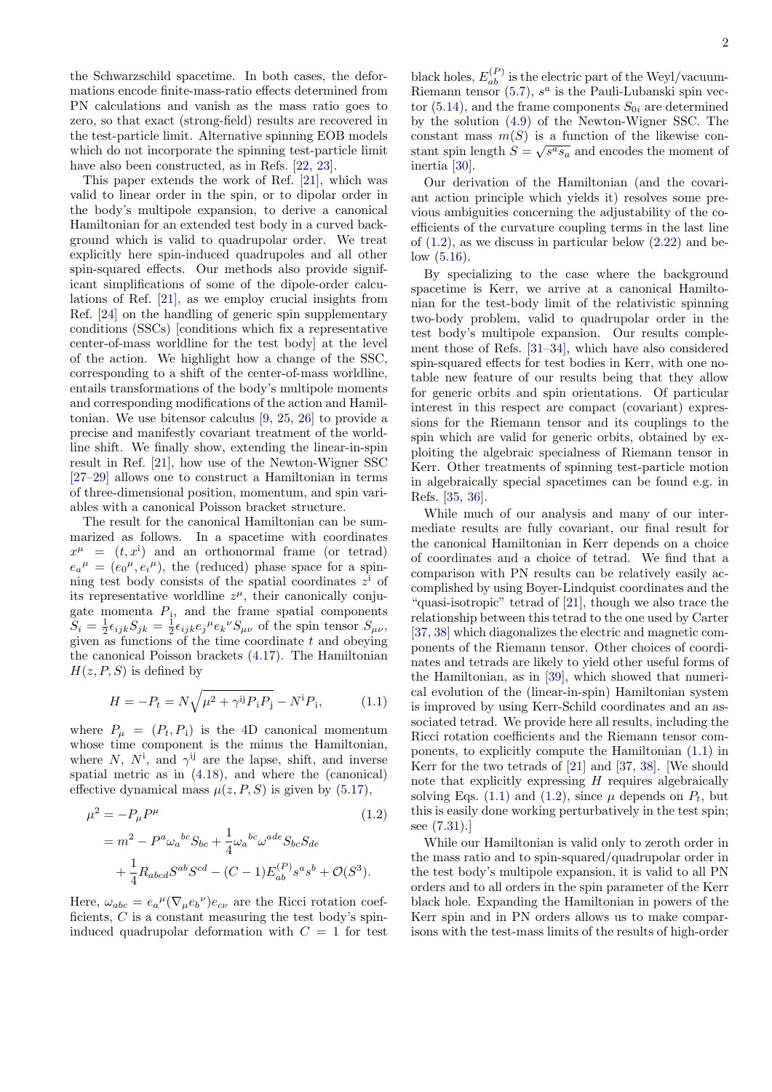the Schwarzschild spacetime. In both cases, the deformations encode finite-mass-ratio effects determined from PN calculations and vanish as the mass ratio goes to zero, so that exact (strong-field) results are recovered in the test-particle limit. Alternative spinning EOB models which do not incorporate the spinning test-particle limit have also been constructed, as in Refs. [\[22,](#page-22-10) [23\]](#page-22-11).

This paper extends the work of Ref. [\[21\]](#page-22-9), which was valid to linear order in the spin, or to dipolar order in the body's multipole expansion, to derive a canonical Hamiltonian for an extended test body in a curved background which is valid to quadrupolar order. We treat explicitly here spin-induced quadrupoles and all other spin-squared effects. Our methods also provide significant simplifications of some of the dipole-order calculations of Ref. [\[21\]](#page-22-9), as we employ crucial insights from Ref. [\[24\]](#page-22-12) on the handling of generic spin supplementary conditions (SSCs) [conditions which fix a representative center-of-mass worldline for the test body] at the level of the action. We highlight how a change of the SSC, corresponding to a shift of the center-of-mass worldline, entails transformations of the body's multipole moments and corresponding modifications of the action and Hamiltonian. We use bitensor calculus [\[9,](#page-22-0) [25,](#page-22-13) [26\]](#page-22-14) to provide a precise and manifestly covariant treatment of the worldline shift. We finally show, extending the linear-in-spin result in Ref. [\[21\]](#page-22-9), how use of the Newton-Wigner SSC [\[27–](#page-22-15)[29\]](#page-22-16) allows one to construct a Hamiltonian in terms of three-dimensional position, momentum, and spin variables with a canonical Poisson bracket structure.

The result for the canonical Hamiltonian can be summarized as follows. In a spacetime with coordinates  $x^{\mu}$  =  $(t, x^{i})$  and an orthonormal frame (or tetrad)  $e_a{}^{\mu} = (e_0{}^{\mu}, e_i{}^{\mu})$ , the (reduced) phase space for a spinning test body consists of the spatial coordinates  $z^i$  of its representative worldline  $z^{\mu}$ , their canonically conjugate momenta  $P_i$ , and the frame spatial components  $S_i = \frac{1}{2} \epsilon_{ijk} S_{jk} = \frac{1}{2} \epsilon_{ijk} e_j{}^{\mu} e_k{}^{\nu} S_{\mu\nu}$  of the spin tensor  $S_{\mu\nu}$ , given as functions of the time coordinate  $t$  and obeying the canonical Poisson brackets [\(4.17\)](#page-7-0). The Hamiltonian  $H(z, P, S)$  is defined by

<span id="page-1-1"></span>
$$
H = -P_t = N\sqrt{\mu^2 + \gamma^{ij}P_iP_j} - N^iP_i,
$$
 (1.1)

where  $P_{\mu} = (P_t, P_i)$  is the 4D canonical momentum whose time component is the minus the Hamiltonian, where N,  $N^i$ , and  $\gamma^{ij}$  are the lapse, shift, and inverse spatial metric as in [\(4.18\)](#page-7-1), and where the (canonical) effective dynamical mass  $\mu(z, P, S)$  is given by [\(5.17\)](#page-9-0),

$$
\mu^{2} = -P_{\mu}P^{\mu} \qquad (1.2)
$$
  
=  $m^{2} - P^{a}\omega_{a}{}^{bc}S_{bc} + \frac{1}{4}\omega_{a}{}^{bc}\omega^{ade}S_{bc}S_{de}$   
+  $\frac{1}{4}R_{abcd}S^{ab}S^{cd} - (C-1)E_{ab}^{(P)}s^{a}s^{b} + \mathcal{O}(S^{3}).$ 

Here,  $\omega_{abc} = e_a^{\mu} (\nabla_{\mu} e_b^{\nu}) e_{c\nu}$  are the Ricci rotation coefficients, C is a constant measuring the test body's spininduced quadrupolar deformation with  $C = 1$  for test

black holes,  $E_{ab}^{(P)}$  is the electric part of the Weyl/vacuum-Riemann tensor  $(5.7)$ ,  $s^a$  is the Pauli-Lubanski spin vec-tor [\(5.14\)](#page-9-1), and the frame components  $S_{0i}$  are determined by the solution [\(4.9\)](#page-7-2) of the Newton-Wigner SSC. The constant mass  $m(S)$  is a function of the likewise constant spin length  $S = \sqrt{s^a s_a}$  and encodes the moment of inertia [\[30\]](#page-22-17).

Our derivation of the Hamiltonian (and the covariant action principle which yields it) resolves some previous ambiguities concerning the adjustability of the coefficients of the curvature coupling terms in the last line of  $(1.2)$ , as we discuss in particular below  $(2.22)$  and be- $low (5.16)$  $low (5.16)$ .

By specializing to the case where the background spacetime is Kerr, we arrive at a canonical Hamiltonian for the test-body limit of the relativistic spinning two-body problem, valid to quadrupolar order in the test body's multipole expansion. Our results complement those of Refs. [\[31](#page-22-18)[–34\]](#page-22-19), which have also considered spin-squared effects for test bodies in Kerr, with one notable new feature of our results being that they allow for generic orbits and spin orientations. Of particular interest in this respect are compact (covariant) expressions for the Riemann tensor and its couplings to the spin which are valid for generic orbits, obtained by exploiting the algebraic specialness of Riemann tensor in Kerr. Other treatments of spinning test-particle motion in algebraically special spacetimes can be found e.g. in Refs. [\[35,](#page-22-20) [36\]](#page-22-21).

While much of our analysis and many of our intermediate results are fully covariant, our final result for the canonical Hamiltonian in Kerr depends on a choice of coordinates and a choice of tetrad. We find that a comparison with PN results can be relatively easily accomplished by using Boyer-Lindquist coordinates and the "quasi-isotropic" tetrad of [\[21\]](#page-22-9), though we also trace the relationship between this tetrad to the one used by Carter [\[37,](#page-22-22) [38\]](#page-22-23) which diagonalizes the electric and magnetic components of the Riemann tensor. Other choices of coordinates and tetrads are likely to yield other useful forms of the Hamiltonian, as in [\[39\]](#page-22-24), which showed that numerical evolution of the (linear-in-spin) Hamiltonian system is improved by using Kerr-Schild coordinates and an associated tetrad. We provide here all results, including the Ricci rotation coefficients and the Riemann tensor components, to explicitly compute the Hamiltonian [\(1.1\)](#page-1-1) in Kerr for the two tetrads of [\[21\]](#page-22-9) and [\[37,](#page-22-22) [38\]](#page-22-23). [We should note that explicitly expressing  $H$  requires algebraically solving Eqs. [\(1.1\)](#page-1-1) and [\(1.2\)](#page-1-0), since  $\mu$  depends on  $P_t$ , but this is easily done working perturbatively in the test spin; see [\(7.31\)](#page-14-0).]

<span id="page-1-0"></span>While our Hamiltonian is valid only to zeroth order in the mass ratio and to spin-squared/quadrupolar order in the test body's multipole expansion, it is valid to all PN orders and to all orders in the spin parameter of the Kerr black hole. Expanding the Hamiltonian in powers of the Kerr spin and in PN orders allows us to make comparisons with the test-mass limits of the results of high-order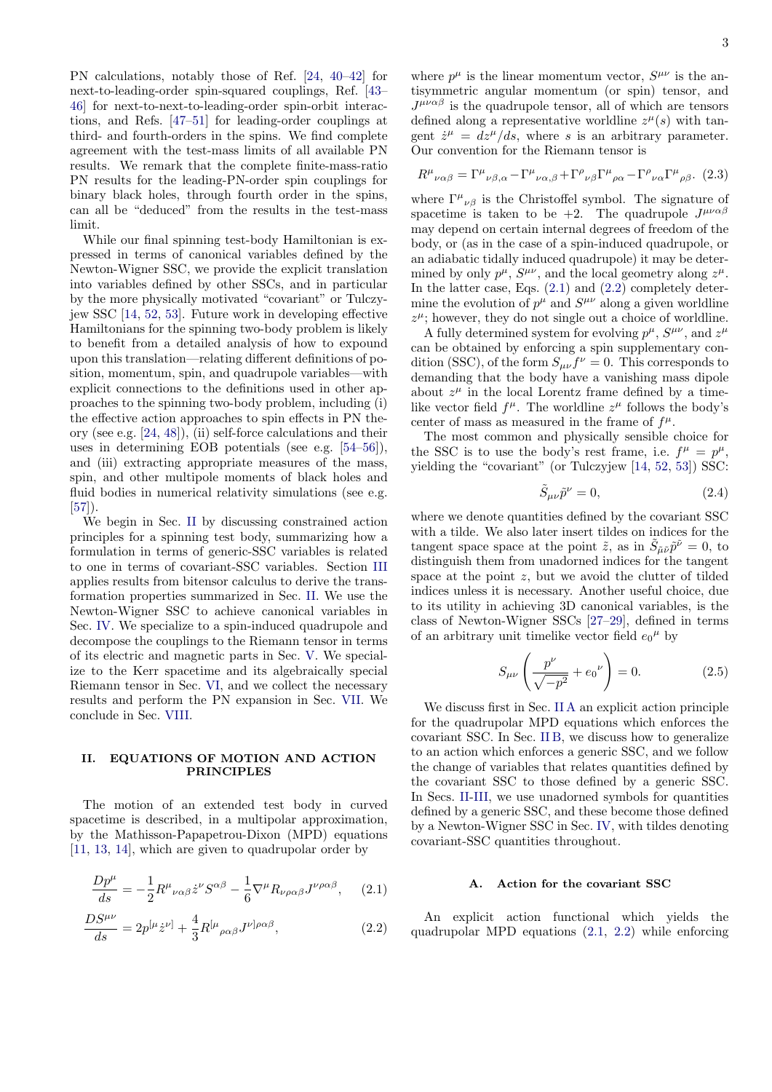PN calculations, notably those of Ref. [\[24,](#page-22-12) [40](#page-22-25)[–42\]](#page-22-26) for next-to-leading-order spin-squared couplings, Ref. [\[43–](#page-23-0) [46\]](#page-23-1) for next-to-next-to-leading-order spin-orbit interactions, and Refs. [\[47](#page-23-2)[–51\]](#page-23-3) for leading-order couplings at third- and fourth-orders in the spins. We find complete agreement with the test-mass limits of all available PN results. We remark that the complete finite-mass-ratio PN results for the leading-PN-order spin couplings for binary black holes, through fourth order in the spins, can all be "deduced" from the results in the test-mass limit.

While our final spinning test-body Hamiltonian is expressed in terms of canonical variables defined by the Newton-Wigner SSC, we provide the explicit translation into variables defined by other SSCs, and in particular by the more physically motivated "covariant" or Tulczyjew SSC [\[14,](#page-22-5) [52,](#page-23-4) [53\]](#page-23-5). Future work in developing effective Hamiltonians for the spinning two-body problem is likely to benefit from a detailed analysis of how to expound upon this translation—relating different definitions of position, momentum, spin, and quadrupole variables—with explicit connections to the definitions used in other approaches to the spinning two-body problem, including (i) the effective action approaches to spin effects in PN theory (see e.g. [\[24,](#page-22-12) [48\]](#page-23-6)), (ii) self-force calculations and their uses in determining EOB potentials (see e.g. [\[54–](#page-23-7)[56\]](#page-23-8)), and (iii) extracting appropriate measures of the mass, spin, and other multipole moments of black holes and fluid bodies in numerical relativity simulations (see e.g. [\[57\]](#page-23-9)).

We begin in Sec. [II](#page-2-0) by discussing constrained action principles for a spinning test body, summarizing how a formulation in terms of generic-SSC variables is related to one in terms of covariant-SSC variables. Section [III](#page-5-0) applies results from bitensor calculus to derive the transformation properties summarized in Sec. [II.](#page-2-0) We use the Newton-Wigner SSC to achieve canonical variables in Sec. [IV.](#page-6-0) We specialize to a spin-induced quadrupole and decompose the couplings to the Riemann tensor in terms of its electric and magnetic parts in Sec. [V.](#page-8-1) We specialize to the Kerr spacetime and its algebraically special Riemann tensor in Sec. [VI,](#page-9-3) and we collect the necessary results and perform the PN expansion in Sec. [VII.](#page-11-0) We conclude in Sec. [VIII.](#page-18-0)

## <span id="page-2-0"></span>II. EQUATIONS OF MOTION AND ACTION PRINCIPLES

The motion of an extended test body in curved spacetime is described, in a multipolar approximation, by the Mathisson-Papapetrou-Dixon (MPD) equations [\[11,](#page-22-2) [13,](#page-22-4) [14\]](#page-22-5), which are given to quadrupolar order by

$$
\frac{Dp^{\mu}}{ds} = -\frac{1}{2}R^{\mu}{}_{\nu\alpha\beta}\dot{z}^{\nu}S^{\alpha\beta} - \frac{1}{6}\nabla^{\mu}R_{\nu\rho\alpha\beta}J^{\nu\rho\alpha\beta},\qquad(2.1)
$$

$$
\frac{DS^{\mu\nu}}{ds} = 2p^{[\mu}\dot{z}^{\nu]} + \frac{4}{3}R^{[\mu}{}_{\rho\alpha\beta}J^{\nu]\rho\alpha\beta},\tag{2.2}
$$

where  $p^{\mu}$  is the linear momentum vector,  $S^{\mu\nu}$  is the antisymmetric angular momentum (or spin) tensor, and  $J^{\mu\nu\alpha\beta}$  is the quadrupole tensor, all of which are tensors defined along a representative worldline  $z^{\mu}(s)$  with tangent  $\dot{z}^{\mu} = dz^{\mu}/ds$ , where s is an arbitrary parameter. Our convention for the Riemann tensor is

$$
R^{\mu}{}_{\nu\alpha\beta} = \Gamma^{\mu}{}_{\nu\beta,\alpha} - \Gamma^{\mu}{}_{\nu\alpha,\beta} + \Gamma^{\rho}{}_{\nu\beta} \Gamma^{\mu}{}_{\rho\alpha} - \Gamma^{\rho}{}_{\nu\alpha} \Gamma^{\mu}{}_{\rho\beta}.
$$
 (2.3)

where  $\Gamma^{\mu}{}_{\nu\beta}$  is the Christoffel symbol. The signature of spacetime is taken to be  $+2$ . The quadrupole  $J^{\mu\nu\alpha\beta}$ may depend on certain internal degrees of freedom of the body, or (as in the case of a spin-induced quadrupole, or an adiabatic tidally induced quadrupole) it may be determined by only  $p^{\mu}$ ,  $S^{\mu\nu}$ , and the local geometry along  $z^{\mu}$ . In the latter case, Eqs. [\(2.1\)](#page-2-1) and [\(2.2\)](#page-2-2) completely determine the evolution of  $p^{\mu}$  and  $S^{\mu\nu}$  along a given worldline  $z^{\mu}$ ; however, they do not single out a choice of worldline.

A fully determined system for evolving  $p^{\mu}$ ,  $S^{\mu\nu}$ , and  $z^{\mu}$ can be obtained by enforcing a spin supplementary condition (SSC), of the form  $S_{\mu\nu}f^{\nu}=0$ . This corresponds to demanding that the body have a vanishing mass dipole about  $z^{\mu}$  in the local Lorentz frame defined by a timelike vector field  $f^{\mu}$ . The worldline  $z^{\mu}$  follows the body's center of mass as measured in the frame of  $f^{\mu}$ .

The most common and physically sensible choice for the SSC is to use the body's rest frame, i.e.  $f^{\mu} = p^{\mu}$ , yielding the "covariant" (or Tulczyjew [\[14,](#page-22-5) [52,](#page-23-4) [53\]](#page-23-5)) SSC:

$$
\tilde{S}_{\mu\nu}\tilde{p}^{\nu} = 0,\tag{2.4}
$$

where we denote quantities defined by the covariant SSC with a tilde. We also later insert tildes on indices for the tangent space space at the point  $\tilde{z}$ , as in  $\tilde{S}_{\tilde{\mu}\tilde{\nu}}\tilde{p}^{\tilde{\nu}} = 0$ , to distinguish them from unadorned indices for the tangent space at the point  $z$ , but we avoid the clutter of tilded indices unless it is necessary. Another useful choice, due to its utility in achieving 3D canonical variables, is the class of Newton-Wigner SSCs [\[27](#page-22-15)[–29\]](#page-22-16), defined in terms of an arbitrary unit timelike vector field  $e_0{}^{\mu}$  by

<span id="page-2-4"></span>
$$
S_{\mu\nu} \left( \frac{p^{\nu}}{\sqrt{-p^2}} + e_0^{\nu} \right) = 0. \tag{2.5}
$$

We discuss first in Sec. [II A](#page-2-3) an explicit action principle for the quadrupolar MPD equations which enforces the covariant SSC. In Sec. [II B,](#page-3-0) we discuss how to generalize to an action which enforces a generic SSC, and we follow the change of variables that relates quantities defined by the covariant SSC to those defined by a generic SSC. In Secs. [II](#page-2-0)[-III,](#page-5-0) we use unadorned symbols for quantities defined by a generic SSC, and these become those defined by a Newton-Wigner SSC in Sec. [IV,](#page-6-0) with tildes denoting covariant-SSC quantities throughout.

### <span id="page-2-3"></span>Action for the covariant SSC

<span id="page-2-2"></span><span id="page-2-1"></span>An explicit action functional which yields the quadrupolar MPD equations [\(2.1,](#page-2-1) [2.2\)](#page-2-2) while enforcing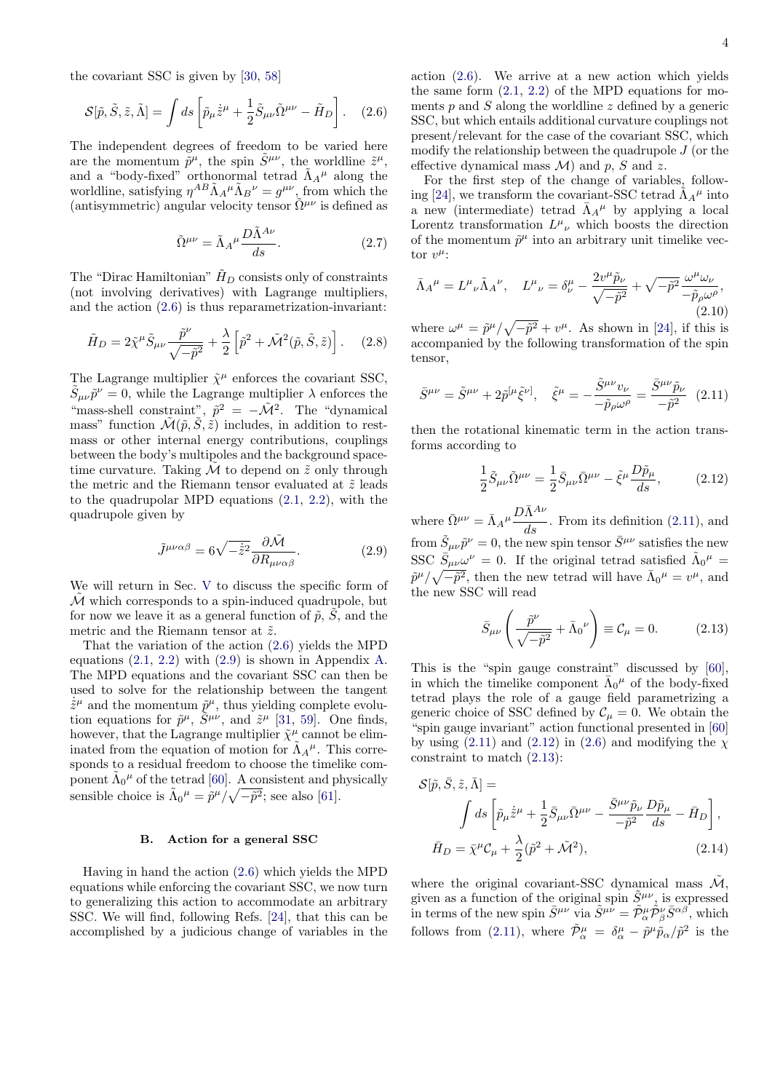the covariant SSC is given by [\[30,](#page-22-17) [58\]](#page-23-10)

<span id="page-3-1"></span>
$$
\mathcal{S}[\tilde{p}, \tilde{S}, \tilde{z}, \tilde{\Lambda}] = \int ds \left[ \tilde{p}_{\mu} \dot{\tilde{z}}^{\mu} + \frac{1}{2} \tilde{S}_{\mu\nu} \tilde{\Omega}^{\mu\nu} - \tilde{H}_D \right].
$$
 (2.6)

The independent degrees of freedom to be varied here are the momentum  $\tilde{p}^{\mu}$ , the spin  $\tilde{S}^{\mu\nu}$ , the worldline  $\tilde{z}^{\mu}$ , and a "body-fixed" orthonormal tetrad  $\tilde{\Lambda}_{A}{}^{\mu}$  along the worldline, satisfying  $\eta^{AB} \tilde{\Lambda}_A^{\mu} \tilde{\Lambda}_B^{\nu} = g^{\mu\nu}$ , from which the (antisymmetric) angular velocity tensor  $\tilde{\Omega}^{\mu\nu}$  is defined as

<span id="page-3-8"></span>
$$
\tilde{\Omega}^{\mu\nu} = \tilde{\Lambda}_A{}^{\mu} \frac{D\tilde{\Lambda}^{A\nu}}{ds}.
$$
\n(2.7)

The "Dirac Hamiltonian"  $\tilde{H}_D$  consists only of constraints (not involving derivatives) with Lagrange multipliers, and the action [\(2.6\)](#page-3-1) is thus reparametrization-invariant:

$$
\tilde{H}_D = 2\tilde{\chi}^\mu \tilde{S}_{\mu\nu} \frac{\tilde{p}^\nu}{\sqrt{-\tilde{p}^2}} + \frac{\lambda}{2} \left[ \tilde{p}^2 + \tilde{\mathcal{M}}^2(\tilde{p}, \tilde{S}, \tilde{z}) \right].
$$
 (2.8)

The Lagrange multiplier  $\tilde{\chi}^{\mu}$  enforces the covariant SSC,  $\tilde{S}_{\mu\nu}\tilde{p}^{\nu} = 0$ , while the Lagrange multiplier  $\lambda$  enforces the "mass-shell constraint",  $\tilde{p}^2 = -\tilde{\mathcal{M}}^2$ . The "dynamical mass" function  $\mathcal{\tilde{M}}(\tilde{p}, \tilde{S}, \tilde{z})$  includes, in addition to restmass or other internal energy contributions, couplings between the body's multipoles and the background spacetime curvature. Taking  $M$  to depend on  $\tilde{z}$  only through the metric and the Riemann tensor evaluated at  $\tilde{z}$  leads to the quadrupolar MPD equations [\(2.1,](#page-2-1) [2.2\)](#page-2-2), with the quadrupole given by

<span id="page-3-2"></span>
$$
\tilde{J}^{\mu\nu\alpha\beta} = 6\sqrt{-\dot{\tilde{z}}^2} \frac{\partial \tilde{\mathcal{M}}}{\partial R_{\mu\nu\alpha\beta}}.
$$
 (2.9)

We will return in Sec. [V](#page-8-1) to discuss the specific form of  $\tilde{\mathcal{M}}$  which corresponds to a spin-induced quadrupole, but for now we leave it as a general function of  $\tilde{p}$ ,  $\tilde{S}$ , and the metric and the Riemann tensor at  $\tilde{z}.$ 

That the variation of the action [\(2.6\)](#page-3-1) yields the MPD equations  $(2.1, 2.2)$  $(2.1, 2.2)$  with  $(2.9)$  is shown in Appendix [A.](#page-18-1) The MPD equations and the covariant SSC can then be used to solve for the relationship between the tangent  $\dot{\tilde{z}}^{\mu}$  and the momentum  $\tilde{p}^{\mu}$ , thus yielding complete evolution equations for  $\tilde{p}^{\mu}$ ,  $\tilde{S}^{\mu\nu}$ , and  $\tilde{z}^{\mu}$  [\[31,](#page-22-18) [59\]](#page-23-11). One finds, however, that the Lagrange multiplier  $\tilde{\chi}^{\mu}$  cannot be eliminated from the equation of motion for  $\tilde{\Lambda}_{A}^{\mu}$ . This corresponds to a residual freedom to choose the timelike component  $\tilde{\Lambda}_{0}^{\mu}$  of the tetrad [\[60\]](#page-23-12). A consistent and physically sensible choice is  $\tilde{\Lambda}_0{}^{\mu} = \tilde{p}^{\mu}/\sqrt{-\tilde{p}^2}$ ; see also [\[61\]](#page-23-13).

### <span id="page-3-0"></span>B. Action for a general SSC

Having in hand the action [\(2.6\)](#page-3-1) which yields the MPD equations while enforcing the covariant SSC, we now turn to generalizing this action to accommodate an arbitrary SSC. We will find, following Refs. [\[24\]](#page-22-12), that this can be accomplished by a judicious change of variables in the

action [\(2.6\)](#page-3-1). We arrive at a new action which yields the same form  $(2.1, 2.2)$  $(2.1, 2.2)$  of the MPD equations for moments  $p$  and  $S$  along the worldline  $z$  defined by a generic SSC, but which entails additional curvature couplings not present/relevant for the case of the covariant SSC, which modify the relationship between the quadrupole  $J$  (or the effective dynamical mass  $\mathcal{M}$  and p, S and z.

For the first step of the change of variables, follow-ing [\[24\]](#page-22-12), we transform the covariant-SSC tetrad  $\tilde{\Lambda}_{A}{}^{\mu}$  into a new (intermediate) tetrad  $\bar{\Lambda}_{A}^{\mu}$  by applying a local Lorentz transformation  $L^{\mu}{}_{\nu}$  which boosts the direction of the momentum  $\tilde{p}^{\mu}$  into an arbitrary unit timelike vector  $v^{\mu}$ :

<span id="page-3-7"></span>
$$
\bar{\Lambda}_A{}^{\mu} = L^{\mu}{}_{\nu} \tilde{\Lambda}_A{}^{\nu}, \quad L^{\mu}{}_{\nu} = \delta^{\mu}_{\nu} - \frac{2v^{\mu}\tilde{p}_{\nu}}{\sqrt{-\tilde{p}^2}} + \sqrt{-\tilde{p}^2} \frac{\omega^{\mu}\omega_{\nu}}{-\tilde{p}_{\rho}\omega^{\rho}},
$$
\n(2.10)

where  $\omega^{\mu} = \tilde{p}^{\mu}/\sqrt{-\tilde{p}^2} + v^{\mu}$ . As shown in [\[24\]](#page-22-12), if this is accompanied by the following transformation of the spin tensor,

<span id="page-3-3"></span>
$$
\bar{S}^{\mu\nu} = \tilde{S}^{\mu\nu} + 2\tilde{p}^{[\mu}\tilde{\xi}^{\nu]}, \quad \tilde{\xi}^{\mu} = -\frac{\tilde{S}^{\mu\nu}v_{\nu}}{-\tilde{p}_{\rho}\omega^{\rho}} = \frac{\bar{S}^{\mu\nu}\tilde{p}_{\nu}}{-\tilde{p}^{2}} \quad (2.11)
$$

then the rotational kinematic term in the action transforms according to

<span id="page-3-4"></span>
$$
\frac{1}{2}\tilde{S}_{\mu\nu}\tilde{\Omega}^{\mu\nu} = \frac{1}{2}\bar{S}_{\mu\nu}\bar{\Omega}^{\mu\nu} - \tilde{\xi}^{\mu}\frac{D\tilde{p}_{\mu}}{ds},\tag{2.12}
$$

where  $\bar{\Omega}^{\mu\nu} = \bar{\Lambda}_A^{\mu} \frac{D \bar{\Lambda}^{A\nu}}{d\tau}$  $\frac{dS}{ds}$ . From its definition [\(2.11\)](#page-3-3), and from  $\tilde{S}_{\mu\nu}\tilde{p}^{\nu} = 0$ , the new spin tensor  $\bar{S}^{\mu\nu}$  satisfies the new SSC  $\bar{S}_{\mu\nu}\omega^{\nu} = 0$ . If the original tetrad satisfied  $\tilde{\Lambda}_{0}{}^{\mu} =$  $\tilde{p}^{\mu}/\sqrt{-\tilde{p}^2}$ , then the new tetrad will have  $\bar{\Lambda}_0{}^{\mu} = v^{\mu}$ , and the new SSC will read

<span id="page-3-5"></span>
$$
\bar{S}_{\mu\nu}\left(\frac{\tilde{p}^{\nu}}{\sqrt{-\tilde{p}^{2}}} + \bar{\Lambda}_{0}^{\nu}\right) \equiv \mathcal{C}_{\mu} = 0. \qquad (2.13)
$$

This is the "spin gauge constraint" discussed by [\[60\]](#page-23-12), in which the timelike component  $\bar{\Lambda}_0^{\mu}$  of the body-fixed tetrad plays the role of a gauge field parametrizing a generic choice of SSC defined by  $\mathcal{C}_\mu = 0$ . We obtain the "spin gauge invariant" action functional presented in [\[60\]](#page-23-12) by using  $(2.11)$  and  $(2.12)$  in  $(2.6)$  and modifying the  $\chi$ constraint to match [\(2.13\)](#page-3-5):

<span id="page-3-6"></span>
$$
\mathcal{S}[\tilde{p}, \bar{S}, \tilde{z}, \bar{\Lambda}] =
$$
  

$$
\int ds \left[ \tilde{p}_{\mu} \dot{\tilde{z}}^{\mu} + \frac{1}{2} \bar{S}_{\mu\nu} \bar{\Omega}^{\mu\nu} - \frac{\bar{S}^{\mu\nu} \tilde{p}_{\nu}}{-\tilde{p}^{2}} \frac{D \tilde{p}_{\mu}}{ds} - \bar{H}_{D} \right],
$$
  

$$
\bar{H}_{D} = \bar{\chi}^{\mu} C_{\mu} + \frac{\lambda}{2} (\tilde{p}^{2} + \tilde{\mathcal{M}}^{2}), \qquad (2.14)
$$

where the original covariant-SSC dynamical mass  $\mathcal{M}$ , given as a function of the original spin  $\tilde{S}^{\mu\nu}$ , is expressed in terms of the new spin  $\bar{S}^{\mu\nu}$  via  $\tilde{S}^{\mu\nu} = \tilde{\mathcal{P}}^{\mu}_{\alpha}\tilde{\mathcal{P}}^{\nu}_{\beta}\bar{S}^{\alpha\beta}$ , which follows from [\(2.11\)](#page-3-3), where  $\tilde{\mathcal{P}}_{\alpha}^{\mu} = \delta^{\mu}_{\alpha} - \tilde{p}^{\mu} \tilde{p}_{\alpha}/\tilde{p}^{2}$  is the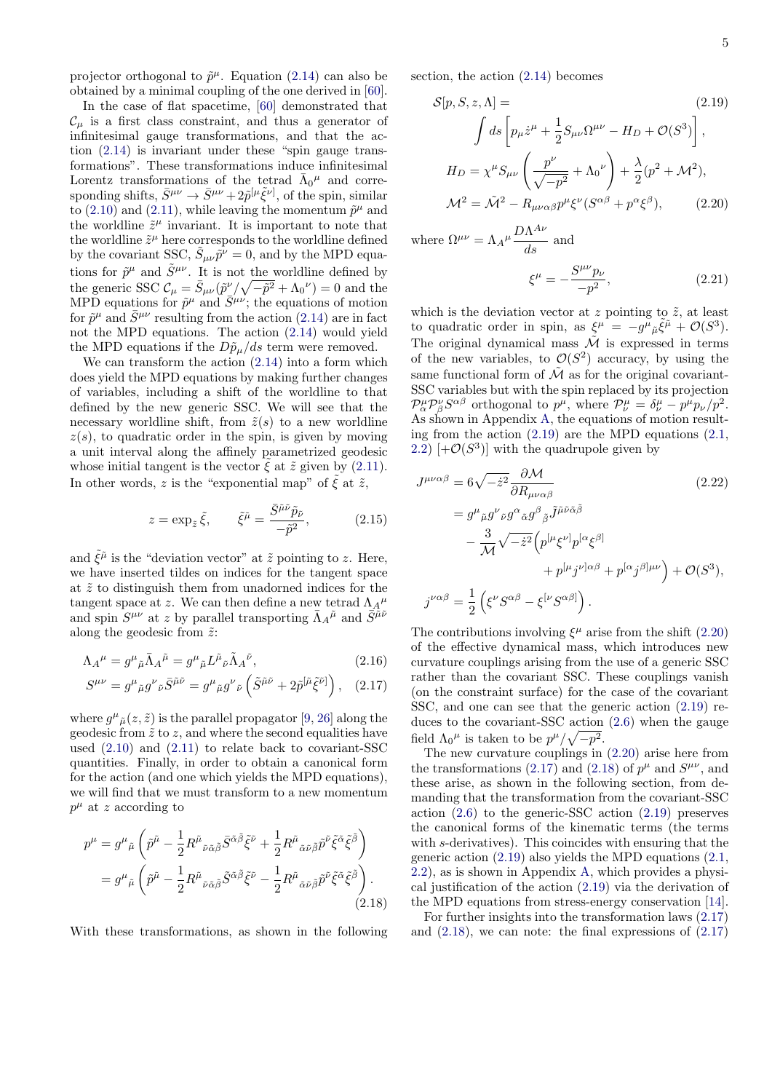projector orthogonal to  $\tilde{p}^{\mu}$ . Equation [\(2.14\)](#page-3-6) can also be obtained by a minimal coupling of the one derived in [\[60\]](#page-23-12).

In the case of flat spacetime, [\[60\]](#page-23-12) demonstrated that  $\mathcal{C}_\mu$  is a first class constraint, and thus a generator of infinitesimal gauge transformations, and that the action [\(2.14\)](#page-3-6) is invariant under these "spin gauge transformations". These transformations induce infinitesimal Lorentz transformations of the tetrad  $\bar{\Lambda}_0{}^{\mu}$  and corresponding shifts,  $\bar{S}^{\mu\nu} \to \bar{S}^{\mu\nu} + 2\tilde{p}^{[\mu}\tilde{\xi}^{\nu]}$ , of the spin, similar to [\(2.10\)](#page-3-7) and [\(2.11\)](#page-3-3), while leaving the momentum  $\tilde{p}^{\mu}$  and the worldline  $\tilde{z}^{\mu}$  invariant. It is important to note that the worldline  $\tilde{z}^{\mu}$  here corresponds to the worldline defined by the covariant SSC,  $\tilde{S}_{\mu\nu}\tilde{p}^{\nu} = 0$ , and by the MPD equations for  $\tilde{p}^{\mu}$  and  $\tilde{S}^{\mu\nu}$ . It is not the worldline defined by the generic SSC  $\mathcal{C}_{\mu} = \bar{S}_{\mu\nu} (\tilde{p}^{\nu}/\sqrt{-\tilde{p}^2} + \Lambda_0^{\nu}) = 0$  and the MPD equations for  $\tilde{p}^{\mu}$  and  $\tilde{S}^{\mu\nu}$ ; the equations of motion for  $\tilde{p}^{\mu}$  and  $\bar{S}^{\mu\nu}$  resulting from the action [\(2.14\)](#page-3-6) are in fact not the MPD equations. The action [\(2.14\)](#page-3-6) would yield the MPD equations if the  $D\tilde{p}_\mu/ds$  term were removed.

We can transform the action [\(2.14\)](#page-3-6) into a form which does yield the MPD equations by making further changes of variables, including a shift of the worldline to that defined by the new generic SSC. We will see that the necessary worldline shift, from  $\tilde{z}(s)$  to a new worldline  $z(s)$ , to quadratic order in the spin, is given by moving a unit interval along the affinely parametrized geodesic whose initial tangent is the vector  $\tilde{\xi}$  at  $\tilde{z}$  given by [\(2.11\)](#page-3-3). In other words, z is the "exponential map" of  $\tilde{\xi}$  at  $\tilde{z}$ ,

<span id="page-4-5"></span>
$$
z = \exp_{\tilde{z}} \tilde{\xi}, \qquad \tilde{\xi}^{\tilde{\mu}} = \frac{\bar{S}^{\tilde{\mu}\tilde{\nu}} \tilde{p}_{\tilde{\nu}}}{-\tilde{p}^2}, \tag{2.15}
$$

and  $\tilde{\xi}^{\tilde{\mu}}$  is the "deviation vector" at  $\tilde{z}$  pointing to z. Here, we have inserted tildes on indices for the tangent space at  $\tilde{z}$  to distinguish them from unadorned indices for the tangent space at z. We can then define a new tetrad  $\Lambda_A{}^{\mu}$ and spin  $S^{\mu\nu}$  at z by parallel transporting  $\bar{\Lambda}_{A}{}^{\tilde{\mu}}$  and  $\bar{S}^{\tilde{\mu}\tilde{\nu}}$ along the geodesic from  $\tilde{z}$ :

$$
\Lambda_A{}^{\mu} = g^{\mu}{}_{\tilde{\mu}} \bar{\Lambda}_A{}^{\tilde{\mu}} = g^{\mu}{}_{\tilde{\mu}} L^{\tilde{\mu}}{}_{\tilde{\nu}} \tilde{\Lambda}_A{}^{\tilde{\nu}},\tag{2.16}
$$

$$
S^{\mu\nu} = g^{\mu}{}_{\tilde{\mu}} g^{\nu}{}_{\tilde{\nu}} \bar{S}^{\tilde{\mu}\tilde{\nu}} = g^{\mu}{}_{\tilde{\mu}} g^{\nu}{}_{\tilde{\nu}} \left( \tilde{S}^{\tilde{\mu}\tilde{\nu}} + 2 \tilde{p}^{[\tilde{\mu}} \tilde{\xi}^{\tilde{\nu}]} \right), \quad (2.17)
$$

where  $g^{\mu}_{\mu}(z,\tilde{z})$  is the parallel propagator [\[9,](#page-22-0) [26\]](#page-22-14) along the geodesic from  $\tilde{z}$  to z, and where the second equalities have used [\(2.10\)](#page-3-7) and [\(2.11\)](#page-3-3) to relate back to covariant-SSC quantities. Finally, in order to obtain a canonical form for the action (and one which yields the MPD equations), we will find that we must transform to a new momentum  $p^{\mu}$  at z according to

$$
p^{\mu} = g^{\mu}{}_{\tilde{\mu}} \left( \tilde{p}^{\tilde{\mu}} - \frac{1}{2} R^{\tilde{\mu}}{}_{\tilde{\nu}\tilde{\alpha}\tilde{\beta}} \bar{S}^{\tilde{\alpha}\tilde{\beta}} \tilde{\xi}^{\tilde{\nu}} + \frac{1}{2} R^{\tilde{\mu}}{}_{\tilde{\alpha}\tilde{\nu}\tilde{\beta}} \tilde{p}^{\tilde{\nu}} \tilde{\xi}^{\tilde{\alpha}} \tilde{\xi}^{\tilde{\beta}} \right)
$$
  

$$
= g^{\mu}{}_{\tilde{\mu}} \left( \tilde{p}^{\tilde{\mu}} - \frac{1}{2} R^{\tilde{\mu}}{}_{\tilde{\nu}\tilde{\alpha}\tilde{\beta}} \tilde{S}^{\tilde{\alpha}\tilde{\beta}} \tilde{\xi}^{\tilde{\nu}} - \frac{1}{2} R^{\tilde{\mu}}{}_{\tilde{\alpha}\tilde{\nu}\tilde{\beta}} \tilde{p}^{\tilde{\nu}} \tilde{\xi}^{\tilde{\alpha}} \tilde{\xi}^{\tilde{\beta}} \right).
$$
(2.18)

With these transformations, as shown in the following

section, the action [\(2.14\)](#page-3-6) becomes

$$
S[p, S, z, \Lambda] =
$$
\n
$$
\int ds \left[ p_{\mu} \dot{z}^{\mu} + \frac{1}{2} S_{\mu\nu} \Omega^{\mu\nu} - H_D + \mathcal{O}(S^3) \right],
$$
\n
$$
H_D = \chi^{\mu} S_{\mu\nu} \left( \frac{p^{\nu}}{\sqrt{-p^2}} + \Lambda_0^{\nu} \right) + \frac{\lambda}{2} (p^2 + \mathcal{M}^2),
$$
\n
$$
\mathcal{M}^2 = \tilde{\mathcal{M}}^2 - R_{\mu\nu\alpha\beta} p^{\mu} \xi^{\nu} (S^{\alpha\beta} + p^{\alpha} \xi^{\beta}),
$$
\n(2.20)

where  $\Omega^{\mu\nu} = \Lambda_A^{\mu} \frac{D\Lambda^{A\nu}}{d\rho}$  $\frac{d}{ds}$  and

<span id="page-4-2"></span><span id="page-4-1"></span><span id="page-4-0"></span>
$$
\xi^{\mu} = -\frac{S^{\mu\nu}p_{\nu}}{-p^2},\tag{2.21}
$$

which is the deviation vector at z pointing to  $\tilde{z}$ , at least to quadratic order in spin, as  $\xi^{\mu} = -g^{\mu}{}_{\tilde{\mu}}\tilde{\xi}^{\tilde{\mu}} + \mathcal{O}(S^3)$ . The original dynamical mass  $\tilde{\mathcal{M}}$  is expressed in terms of the new variables, to  $\mathcal{O}(S^2)$  accuracy, by using the same functional form of  $\tilde{\mathcal{M}}$  as for the original covariant-SSC variables but with the spin replaced by its projection  $\mathcal{P}_{\alpha}^{\mu} \mathcal{P}_{\beta}^{\nu} S^{\alpha \beta}$  orthogonal to  $p^{\mu}$ , where  $\mathcal{P}_{\nu}^{\mu} = \delta_{\nu}^{\mu} - p^{\mu} p_{\nu} / p^2$ . As shown in Appendix [A,](#page-18-1) the equations of motion resulting from the action [\(2.19\)](#page-4-1) are the MPD equations [\(2.1,](#page-2-1) [2.2\)](#page-2-2)  $[+\mathcal{O}(S^3)]$  with the quadrupole given by

$$
J^{\mu\nu\alpha\beta} = 6\sqrt{-\dot{z}^2} \frac{\partial \mathcal{M}}{\partial R_{\mu\nu\alpha\beta}} \qquad (2.22)
$$
  

$$
= g^{\mu}{}_{\tilde{\mu}} g^{\nu}{}_{\tilde{\nu}} g^{\alpha}{}_{\tilde{\alpha}} g^{\beta}{}_{\tilde{\beta}} \tilde{J}^{\tilde{\mu}\tilde{\nu}\tilde{\alpha}\tilde{\beta}} -\frac{3}{\mathcal{M}} \sqrt{-\dot{z}^2} \left( p^{[\mu} \xi^{\nu]} p^{[\alpha} \xi^{\beta]} + p^{[\mu} j^{\nu] \alpha \beta} + p^{[\alpha} j^{\beta] \mu \nu} \right) + \mathcal{O}(S^3),
$$
  

$$
j^{\nu\alpha\beta} = \frac{1}{2} \left( \xi^{\nu} S^{\alpha\beta} - \xi^{[\nu} S^{\alpha\beta]} \right).
$$
 (2.22)

<span id="page-4-6"></span><span id="page-4-3"></span>The contributions involving  $\xi^{\mu}$  arise from the shift [\(2.20\)](#page-4-2) of the effective dynamical mass, which introduces new curvature couplings arising from the use of a generic SSC rather than the covariant SSC. These couplings vanish (on the constraint surface) for the case of the covariant SSC, and one can see that the generic action [\(2.19\)](#page-4-1) reduces to the covariant-SSC action [\(2.6\)](#page-3-1) when the gauge field  $\Lambda_0^{\mu}$  is taken to be  $p^{\mu}/\sqrt{-p^2}$ .

The new curvature couplings in [\(2.20\)](#page-4-2) arise here from the transformations [\(2.17\)](#page-4-3) and [\(2.18\)](#page-4-4) of  $p^{\mu}$  and  $S^{\mu\nu}$ , and these arise, as shown in the following section, from demanding that the transformation from the covariant-SSC action [\(2.6\)](#page-3-1) to the generic-SSC action [\(2.19\)](#page-4-1) preserves the canonical forms of the kinematic terms (the terms with s-derivatives). This coincides with ensuring that the generic action [\(2.19\)](#page-4-1) also yields the MPD equations [\(2.1,](#page-2-1) [2.2\)](#page-2-2), as is shown in Appendix [A,](#page-18-1) which provides a physical justification of the action [\(2.19\)](#page-4-1) via the derivation of the MPD equations from stress-energy conservation [\[14\]](#page-22-5).

<span id="page-4-4"></span>For further insights into the transformation laws [\(2.17\)](#page-4-3) and  $(2.18)$ , we can note: the final expressions of  $(2.17)$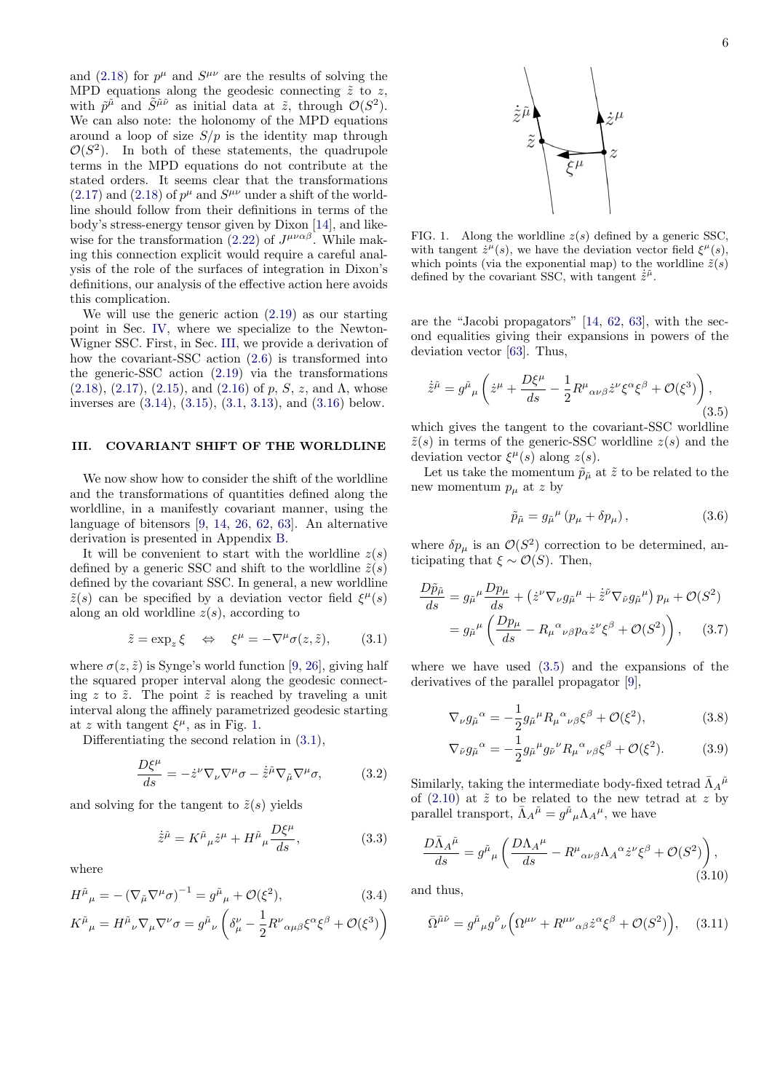and [\(2.18\)](#page-4-4) for  $p^{\mu}$  and  $S^{\mu\nu}$  are the results of solving the MPD equations along the geodesic connecting  $\tilde{z}$  to z, with  $\tilde{p}^{\tilde{\mu}}$  and  $\tilde{S}^{\tilde{\mu}\tilde{\nu}}$  as initial data at  $\tilde{z}$ , through  $\mathcal{O}(S^2)$ . We can also note: the holonomy of the MPD equations around a loop of size  $S/p$  is the identity map through  $\mathcal{O}(S^2)$ . In both of these statements, the quadrupole terms in the MPD equations do not contribute at the stated orders. It seems clear that the transformations  $(2.17)$  and  $(2.18)$  of  $p^{\mu}$  and  $S^{\mu\nu}$  under a shift of the worldline should follow from their definitions in terms of the body's stress-energy tensor given by Dixon [\[14\]](#page-22-5), and like-wise for the transformation [\(2.22\)](#page-4-0) of  $J^{\mu\nu\alpha\beta}$ . While making this connection explicit would require a careful analysis of the role of the surfaces of integration in Dixon's definitions, our analysis of the effective action here avoids this complication.

We will use the generic action [\(2.19\)](#page-4-1) as our starting point in Sec. [IV,](#page-6-0) where we specialize to the Newton-Wigner SSC. First, in Sec. [III,](#page-5-0) we provide a derivation of how the covariant-SSC action [\(2.6\)](#page-3-1) is transformed into the generic-SSC action [\(2.19\)](#page-4-1) via the transformations  $(2.18), (2.17), (2.15), \text{ and } (2.16) \text{ of } p, S, z, \text{ and } \Lambda, \text{ whose}$  $(2.18), (2.17), (2.15), \text{ and } (2.16) \text{ of } p, S, z, \text{ and } \Lambda, \text{ whose}$  $(2.18), (2.17), (2.15), \text{ and } (2.16) \text{ of } p, S, z, \text{ and } \Lambda, \text{ whose}$  $(2.18), (2.17), (2.15), \text{ and } (2.16) \text{ of } p, S, z, \text{ and } \Lambda, \text{ whose}$  $(2.18), (2.17), (2.15), \text{ and } (2.16) \text{ of } p, S, z, \text{ and } \Lambda, \text{ whose}$  $(2.18), (2.17), (2.15), \text{ and } (2.16) \text{ of } p, S, z, \text{ and } \Lambda, \text{ whose}$  $(2.18), (2.17), (2.15), \text{ and } (2.16) \text{ of } p, S, z, \text{ and } \Lambda, \text{ whose}$  $(2.18), (2.17), (2.15), \text{ and } (2.16) \text{ of } p, S, z, \text{ and } \Lambda, \text{ whose}$ inverses are [\(3.14\)](#page-6-1), [\(3.15\)](#page-6-2), [\(3.1,](#page-5-1) [3.13\)](#page-6-3), and [\(3.16\)](#page-6-4) below.

## <span id="page-5-0"></span>III. COVARIANT SHIFT OF THE WORLDLINE

We now show how to consider the shift of the worldline and the transformations of quantities defined along the worldline, in a manifestly covariant manner, using the language of bitensors [\[9,](#page-22-0) [14,](#page-22-5) [26,](#page-22-14) [62,](#page-23-14) [63\]](#page-23-15). An alternative derivation is presented in Appendix [B.](#page-19-0)

It will be convenient to start with the worldline  $z(s)$ defined by a generic SSC and shift to the worldline  $\tilde{z}(s)$ defined by the covariant SSC. In general, a new worldline  $\tilde{z}(s)$  can be specified by a deviation vector field  $\xi^{\mu}(s)$ along an old worldline  $z(s)$ , according to

<span id="page-5-1"></span>
$$
\tilde{z} = \exp_z \xi \quad \Leftrightarrow \quad \xi^{\mu} = -\nabla^{\mu} \sigma(z, \tilde{z}), \qquad (3.1)
$$

where  $\sigma(z, \tilde{z})$  is Synge's world function [\[9,](#page-22-0) [26\]](#page-22-14), giving half the squared proper interval along the geodesic connecting z to  $\tilde{z}$ . The point  $\tilde{z}$  is reached by traveling a unit interval along the affinely parametrized geodesic starting at z with tangent  $\xi^{\mu}$ , as in Fig. [1.](#page-5-2)

Differentiating the second relation in [\(3.1\)](#page-5-1),

$$
\frac{D\xi^{\mu}}{ds} = -\dot{z}^{\nu}\nabla_{\nu}\nabla^{\mu}\sigma - \dot{\tilde{z}}^{\tilde{\mu}}\nabla_{\tilde{\mu}}\nabla^{\mu}\sigma, \tag{3.2}
$$

and solving for the tangent to  $\tilde{z}(s)$  yields

$$
\dot{\tilde{z}}^{\tilde{\mu}} = K^{\tilde{\mu}}{}_{\mu}\dot{z}^{\mu} + H^{\tilde{\mu}}{}_{\mu}\frac{D\xi^{\mu}}{ds},\tag{3.3}
$$

where

$$
H^{\tilde{\mu}}{}_{\mu} = -(\nabla_{\tilde{\mu}} \nabla^{\mu} \sigma)^{-1} = g^{\tilde{\mu}}{}_{\mu} + \mathcal{O}(\xi^{2}), \tag{3.4}
$$

$$
K^{\tilde{\mu}}{}_{\mu} = H^{\tilde{\mu}}{}_{\nu} \nabla_{\mu} \nabla^{\nu} \sigma = g^{\tilde{\mu}}{}_{\nu} \left( \delta^{\nu}_{\mu} - \frac{1}{2} R^{\nu}{}_{\alpha \mu \beta} \xi^{\alpha} \xi^{\beta} + \mathcal{O}(\xi^3) \right)
$$



<span id="page-5-2"></span>FIG. 1. Along the worldline  $z(s)$  defined by a generic SSC. with tangent  $\dot{z}^{\mu}(s)$ , we have the deviation vector field  $\xi^{\mu}(s)$ , which points (via the exponential map) to the worldline  $\tilde{z}(s)$ defined by the covariant SSC, with tangent  $\dot{\tilde{z}}^{\tilde{\mu}}$ .

are the "Jacobi propagators" [\[14,](#page-22-5) [62,](#page-23-14) [63\]](#page-23-15), with the second equalities giving their expansions in powers of the deviation vector [\[63\]](#page-23-15). Thus,

<span id="page-5-3"></span>
$$
\dot{\tilde{z}}^{\tilde{\mu}} = g^{\tilde{\mu}}{}_{\mu} \left( \dot{z}^{\mu} + \frac{D\xi^{\mu}}{ds} - \frac{1}{2} R^{\mu}{}_{\alpha\nu\beta} \dot{z}^{\nu} \xi^{\alpha} \xi^{\beta} + \mathcal{O}(\xi^3) \right), \tag{3.5}
$$

which gives the tangent to the covariant-SSC worldline  $\tilde{z}(s)$  in terms of the generic-SSC worldline  $z(s)$  and the deviation vector  $\xi^{\mu}(s)$  along  $z(s)$ .

Let us take the momentum  $\tilde{p}_{\mu}$  at  $\tilde{z}$  to be related to the new momentum  $p_{\mu}$  at z by

$$
\tilde{p}_{\tilde{\mu}} = g_{\tilde{\mu}}^{\mu} \left( p_{\mu} + \delta p_{\mu} \right), \tag{3.6}
$$

where  $\delta p_{\mu}$  is an  $\mathcal{O}(S^2)$  correction to be determined, anticipating that  $\xi \sim \mathcal{O}(S)$ . Then,

$$
\frac{D\tilde{p}_{\tilde{\mu}}}{ds} = g_{\tilde{\mu}}^{\mu} \frac{Dp_{\mu}}{ds} + \left(\dot{z}^{\nu} \nabla_{\nu} g_{\tilde{\mu}}^{\mu} + \dot{\tilde{z}}^{\tilde{\nu}} \nabla_{\tilde{\nu}} g_{\tilde{\mu}}^{\mu}\right) p_{\mu} + \mathcal{O}(S^2)
$$

$$
= g_{\tilde{\mu}}^{\mu} \left(\frac{Dp_{\mu}}{ds} - R_{\mu}^{\alpha} \nu_{\beta} p_{\alpha} \dot{z}^{\nu} \xi^{\beta} + \mathcal{O}(S^2)\right), \quad (3.7)
$$

where we have used [\(3.5\)](#page-5-3) and the expansions of the derivatives of the parallel propagator [\[9\]](#page-22-0),

$$
\nabla_{\nu} g_{\tilde{\mu}}{}^{\alpha} = -\frac{1}{2} g_{\tilde{\mu}}{}^{\mu} R_{\mu}{}^{\alpha}{}_{\nu\beta} \xi^{\beta} + \mathcal{O}(\xi^2), \tag{3.8}
$$

$$
\nabla_{\tilde{\nu}} g_{\tilde{\mu}}{}^{\alpha} = -\frac{1}{2} g_{\tilde{\mu}}{}^{\mu} g_{\tilde{\nu}}{}^{\nu} R_{\mu}{}^{\alpha}{}_{\nu\beta} \xi^{\beta} + \mathcal{O}(\xi^2). \tag{3.9}
$$

Similarly, taking the intermediate body-fixed tetrad  $\bar{\Lambda}_A{}^{\tilde{\mu}}$ of  $(2.10)$  at  $\tilde{z}$  to be related to the new tetrad at z by parallel transport,  $\bar{\Lambda}_A{}^{\tilde{\mu}} = g^{\tilde{\mu}}{}_{\mu} {\Lambda}_A{}^{\mu}$ , we have

$$
\frac{D\bar{\Lambda}_{A}{}^{\tilde{\mu}}}{ds} = g^{\tilde{\mu}}{}_{\mu} \left( \frac{D\Lambda_{A}{}^{\mu}}{ds} - R^{\mu}{}_{\alpha\nu\beta} \Lambda_{A}{}^{\alpha} \dot{z}^{\nu} \xi^{\beta} + \mathcal{O}(S^{2}) \right), \tag{3.10}
$$

and thus,

<span id="page-5-4"></span>
$$
\bar{\Omega}^{\tilde{\mu}\tilde{\nu}} = g^{\tilde{\mu}}{}_{\mu}g^{\tilde{\nu}}{}_{\nu}\left(\Omega^{\mu\nu} + R^{\mu\nu}{}_{\alpha\beta}\dot{z}^{\alpha}\xi^{\beta} + \mathcal{O}(S^2)\right), \quad (3.11)
$$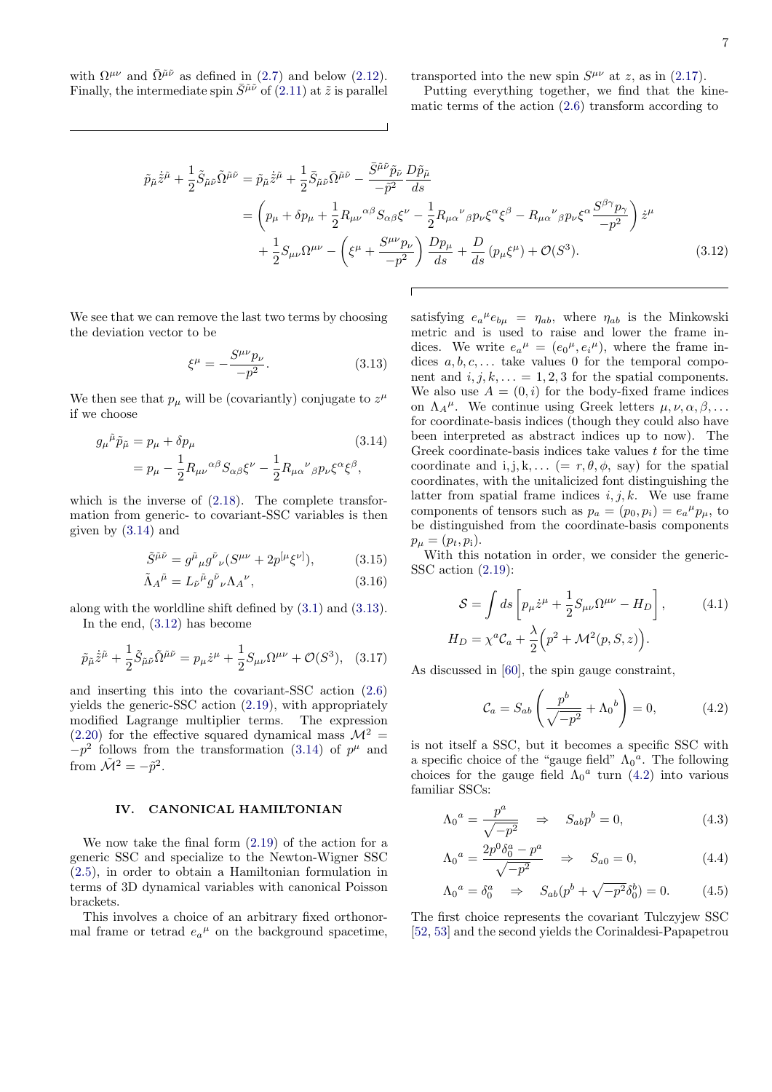with  $\Omega^{\mu\nu}$  and  $\overline{\Omega}^{\tilde{\mu}\tilde{\nu}}$  as defined in [\(2.7\)](#page-3-8) and below [\(2.12\)](#page-3-4). Finally, the intermediate spin  $\bar{S}^{\tilde{\mu}\tilde{\nu}}$  of [\(2.11\)](#page-3-3) at  $\tilde{z}$  is parallel transported into the new spin  $S^{\mu\nu}$  at z, as in [\(2.17\)](#page-4-3).

Putting everything together, we find that the kinematic terms of the action [\(2.6\)](#page-3-1) transform according to

$$
\tilde{p}_{\tilde{\mu}}\dot{\tilde{z}}^{\tilde{\mu}} + \frac{1}{2}\tilde{S}_{\tilde{\mu}\tilde{\nu}}\tilde{\Omega}^{\tilde{\mu}\tilde{\nu}} = \tilde{p}_{\tilde{\mu}}\dot{\tilde{z}}^{\tilde{\mu}} + \frac{1}{2}\bar{S}_{\tilde{\mu}\tilde{\nu}}\bar{\Omega}^{\tilde{\mu}\tilde{\nu}} - \frac{\bar{S}^{\tilde{\mu}\tilde{\nu}}\tilde{p}_{\tilde{\nu}}}{-\tilde{p}^{2}}\frac{D\tilde{p}_{\tilde{\mu}}}{ds}
$$
\n
$$
= \left(p_{\mu} + \delta p_{\mu} + \frac{1}{2}R_{\mu\nu}{}^{\alpha\beta}S_{\alpha\beta}\xi^{\nu} - \frac{1}{2}R_{\mu\alpha}{}^{\nu}{}_{\beta}p_{\nu}\xi^{\alpha}\xi^{\beta} - R_{\mu\alpha}{}^{\nu}{}_{\beta}p_{\nu}\xi^{\alpha}\frac{S^{\beta\gamma}p_{\gamma}}{-p^{2}}\right)\dot{z}^{\mu}
$$
\n
$$
+ \frac{1}{2}S_{\mu\nu}\Omega^{\mu\nu} - \left(\xi^{\mu} + \frac{S^{\mu\nu}p_{\nu}}{-p^{2}}\right)\frac{Dp_{\mu}}{ds} + \frac{D}{ds}\left(p_{\mu}\xi^{\mu}\right) + \mathcal{O}(S^{3}). \tag{3.12}
$$

We see that we can remove the last two terms by choosing the deviation vector to be

<span id="page-6-3"></span>
$$
\xi^{\mu} = -\frac{S^{\mu\nu}p_{\nu}}{-p^2}.
$$
\n(3.13)

We then see that  $p_{\mu}$  will be (covariantly) conjugate to  $z^{\mu}$ if we choose

$$
g_{\mu}{}^{\tilde{\mu}}\tilde{p}_{\tilde{\mu}} = p_{\mu} + \delta p_{\mu}
$$
\n
$$
= p_{\mu} - \frac{1}{2}R_{\mu\nu}{}^{\alpha\beta}S_{\alpha\beta}\xi^{\nu} - \frac{1}{2}R_{\mu\alpha}{}^{\nu}{}_{\beta}p_{\nu}\xi^{\alpha}\xi^{\beta},
$$
\n(3.14)

which is the inverse of [\(2.18\)](#page-4-4). The complete transformation from generic- to covariant-SSC variables is then given by [\(3.14\)](#page-6-1) and

$$
\tilde{S}^{\tilde{\mu}\tilde{\nu}} = g^{\tilde{\mu}}{}_{\mu}g^{\tilde{\nu}}{}_{\nu}(S^{\mu\nu} + 2p^{[\mu}\xi^{\nu]}), \tag{3.15}
$$

$$
\tilde{\Lambda}_A{}^{\tilde{\mu}} = L_{\tilde{\nu}}{}^{\tilde{\mu}} g^{\tilde{\nu}}{}_{\nu} {\Lambda}_A{}^{\nu},\tag{3.16}
$$

along with the worldline shift defined by [\(3.1\)](#page-5-1) and [\(3.13\)](#page-6-3).

In the end, [\(3.12\)](#page-6-5) has become

$$
\tilde{p}_{\tilde{\mu}}\dot{\tilde{z}}^{\tilde{\mu}} + \frac{1}{2}\tilde{S}_{\tilde{\mu}\tilde{\nu}}\tilde{\Omega}^{\tilde{\mu}\tilde{\nu}} = p_{\mu}\dot{z}^{\mu} + \frac{1}{2}S_{\mu\nu}\Omega^{\mu\nu} + \mathcal{O}(S^3), \quad (3.17)
$$

and inserting this into the covariant-SSC action [\(2.6\)](#page-3-1) yields the generic-SSC action [\(2.19\)](#page-4-1), with appropriately modified Lagrange multiplier terms. The expression  $(2.20)$  for the effective squared dynamical mass  $\mathcal{M}^2$  =  $-p<sup>2</sup>$  follows from the transformation [\(3.14\)](#page-6-1) of  $p<sup>\mu</sup>$  and from  $\tilde{\mathcal{M}}^2 = -\tilde{p}^2$ .

### <span id="page-6-0"></span>IV. CANONICAL HAMILTONIAN

We now take the final form [\(2.19\)](#page-4-1) of the action for a generic SSC and specialize to the Newton-Wigner SSC [\(2.5\)](#page-2-4), in order to obtain a Hamiltonian formulation in terms of 3D dynamical variables with canonical Poisson brackets.

This involves a choice of an arbitrary fixed orthonormal frame or tetrad  $e_a{}^{\mu}$  on the background spacetime,

<span id="page-6-5"></span><span id="page-6-1"></span>satisfying  $e_a{}^{\mu}e_{b\mu} = \eta_{ab}$ , where  $\eta_{ab}$  is the Minkowski metric and is used to raise and lower the frame indices. We write  $e_a{}^{\mu} = (e_0{}^{\mu}, e_i{}^{\mu})$ , where the frame indices  $a, b, c, \ldots$  take values 0 for the temporal component and  $i, j, k, \ldots = 1, 2, 3$  for the spatial components. We also use  $A = (0, i)$  for the body-fixed frame indices on  $\Lambda_A^{\mu}$ . We continue using Greek letters  $\mu, \nu, \alpha, \beta, \ldots$ for coordinate-basis indices (though they could also have been interpreted as abstract indices up to now). The Greek coordinate-basis indices take values  $t$  for the time coordinate and i, j, k, ...  $(= r, \theta, \phi, \text{ say})$  for the spatial coordinates, with the unitalicized font distinguishing the latter from spatial frame indices  $i, j, k$ . We use frame components of tensors such as  $p_a = (p_0, p_i) = e_a^{\mu} p_{\mu}$ , to be distinguished from the coordinate-basis components  $p_{\mu} = (p_t, p_i).$ 

<span id="page-6-4"></span><span id="page-6-2"></span>With this notation in order, we consider the generic-SSC action [\(2.19\)](#page-4-1):

$$
S = \int ds \left[ p_{\mu} \dot{z}^{\mu} + \frac{1}{2} S_{\mu\nu} \Omega^{\mu\nu} - H_D \right], \qquad (4.1)
$$

$$
H_D = \chi^a C_a + \frac{\lambda}{2} \left( p^2 + \mathcal{M}^2(p, S, z) \right).
$$

As discussed in [\[60\]](#page-23-12), the spin gauge constraint,

Λ<sup>0</sup>

<span id="page-6-8"></span><span id="page-6-6"></span>
$$
\mathcal{C}_a = S_{ab} \left( \frac{p^b}{\sqrt{-p^2}} + \Lambda_0{}^b \right) = 0, \tag{4.2}
$$

is not itself a SSC, but it becomes a specific SSC with a specific choice of the "gauge field"  $\Lambda_0^a$ . The following choices for the gauge field  $\Lambda_0^a$  turn [\(4.2\)](#page-6-6) into various familiar SSCs:

$$
\lambda_0^a = \frac{p^a}{\sqrt{-p^2}} \quad \Rightarrow \quad S_{ab} p^b = 0,\tag{4.3}
$$

<span id="page-6-7"></span>
$$
\Lambda_0{}^a = \frac{2p^0 \delta_0^a - p^a}{\sqrt{-p^2}} \quad \Rightarrow \quad S_{a0} = 0,\tag{4.4}
$$

$$
\Lambda_0{}^a = \delta_0^a \quad \Rightarrow \quad S_{ab}(p^b + \sqrt{-p^2} \delta_0^b) = 0. \tag{4.5}
$$

The first choice represents the covariant Tulczyjew SSC [\[52,](#page-23-4) [53\]](#page-23-5) and the second yields the Corinaldesi-Papapetrou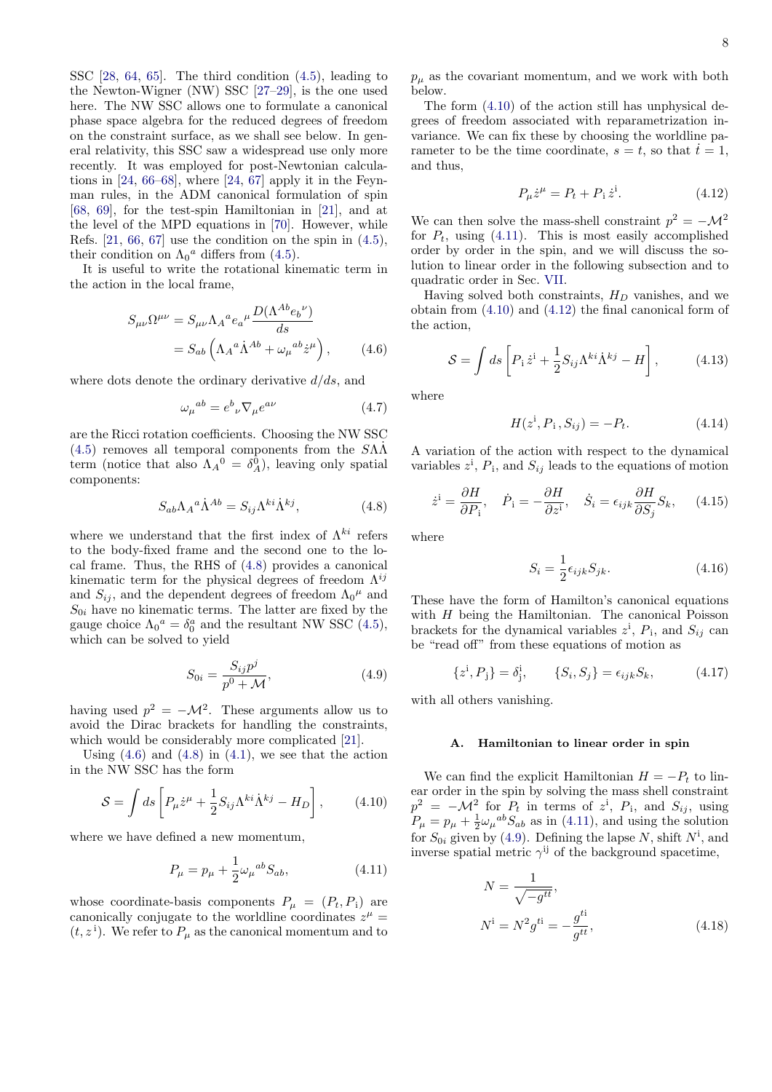SSC [\[28,](#page-22-27) [64,](#page-23-16) [65\]](#page-23-17). The third condition [\(4.5\)](#page-6-7), leading to the Newton-Wigner (NW) SSC [\[27](#page-22-15)[–29\]](#page-22-16), is the one used here. The NW SSC allows one to formulate a canonical phase space algebra for the reduced degrees of freedom on the constraint surface, as we shall see below. In general relativity, this SSC saw a widespread use only more recently. It was employed for post-Newtonian calculations in  $[24, 66-68]$  $[24, 66-68]$  $[24, 66-68]$ , where  $[24, 67]$  $[24, 67]$  apply it in the Feynman rules, in the ADM canonical formulation of spin [\[68,](#page-23-19) [69\]](#page-23-21), for the test-spin Hamiltonian in [\[21\]](#page-22-9), and at the level of the MPD equations in [\[70\]](#page-23-22). However, while Refs.  $[21, 66, 67]$  $[21, 66, 67]$  $[21, 66, 67]$  $[21, 66, 67]$  use the condition on the spin in  $(4.5)$ , their condition on  $\Lambda_0^a$  differs from [\(4.5\)](#page-6-7).

It is useful to write the rotational kinematic term in the action in the local frame,

$$
S_{\mu\nu}\Omega^{\mu\nu} = S_{\mu\nu}\Lambda_A{}^a e_a{}^{\mu} \frac{D(\Lambda^{Ab} e_b{}^{\nu})}{ds}
$$

$$
= S_{ab} \left(\Lambda_A{}^a \dot{\Lambda}^{Ab} + \omega_{\mu}{}^{ab} \dot{z}^{\mu}\right), \qquad (4.6)
$$

where dots denote the ordinary derivative  $d/ds$ , and

$$
\omega_{\mu}{}^{ab} = e^b{}_{\nu} \nabla_{\mu} e^{a\nu} \tag{4.7}
$$

are the Ricci rotation coefficients. Choosing the NW SSC  $(4.5)$  removes all temporal components from the  $S\Lambda\Lambda$ term (notice that also  $\Lambda_A^0 = \delta_A^0$ ), leaving only spatial components:

$$
S_{ab}\Lambda_A{}^a \dot{\Lambda}^{Ab} = S_{ij}\Lambda^{ki}\dot{\Lambda}^{kj},\tag{4.8}
$$

where we understand that the first index of  $\Lambda^{ki}$  refers to the body-fixed frame and the second one to the local frame. Thus, the RHS of [\(4.8\)](#page-7-3) provides a canonical kinematic term for the physical degrees of freedom  $\Lambda^{ij}$ and  $S_{ij}$ , and the dependent degrees of freedom  $\Lambda_0{}^{\mu}$  and  $S_{0i}$  have no kinematic terms. The latter are fixed by the gauge choice  $\Lambda_0^a = \delta_0^a$  and the resultant NW SSC [\(4.5\)](#page-6-7), which can be solved to yield

<span id="page-7-2"></span>
$$
S_{0i} = \frac{S_{ij}p^j}{p^0 + \mathcal{M}},
$$
\n(4.9)

having used  $p^2 = -\mathcal{M}^2$ . These arguments allow us to avoid the Dirac brackets for handling the constraints, which would be considerably more complicated [\[21\]](#page-22-9).

Using  $(4.6)$  and  $(4.8)$  in  $(4.1)$ , we see that the action in the NW SSC has the form

<span id="page-7-5"></span>
$$
S = \int ds \left[ P_{\mu} \dot{z}^{\mu} + \frac{1}{2} S_{ij} \Lambda^{ki} \dot{\Lambda}^{kj} - H_D \right], \qquad (4.10)
$$

where we have defined a new momentum,

<span id="page-7-6"></span>
$$
P_{\mu} = p_{\mu} + \frac{1}{2} \omega_{\mu}{}^{ab} S_{ab},
$$
\n(4.11)

whose coordinate-basis components  $P_{\mu} = (P_t, P_i)$  are canonically conjugate to the worldline coordinates  $z^{\mu}$  =  $(t, z^i)$ . We refer to  $P_\mu$  as the canonical momentum and to

 $p_{\mu}$  as the covariant momentum, and we work with both below.

The form [\(4.10\)](#page-7-5) of the action still has unphysical degrees of freedom associated with reparametrization invariance. We can fix these by choosing the worldline parameter to be the time coordinate,  $s = t$ , so that  $\dot{t} = 1$ , and thus,

<span id="page-7-7"></span>
$$
P_{\mu}\dot{z}^{\mu} = P_t + P_i \dot{z}^i.
$$
 (4.12)

We can then solve the mass-shell constraint  $p^2 = -\mathcal{M}^2$ for  $P_t$ , using [\(4.11\)](#page-7-6). This is most easily accomplished order by order in the spin, and we will discuss the solution to linear order in the following subsection and to quadratic order in Sec. [VII.](#page-11-0)

<span id="page-7-4"></span>Having solved both constraints,  $H_D$  vanishes, and we obtain from [\(4.10\)](#page-7-5) and [\(4.12\)](#page-7-7) the final canonical form of the action,

<span id="page-7-8"></span>
$$
S = \int ds \left[ P_1 \dot{z}^i + \frac{1}{2} S_{ij} \Lambda^{ki} \dot{\Lambda}^{kj} - H \right], \qquad (4.13)
$$

where

$$
H(z^i, P_i, S_{ij}) = -P_t.
$$
 (4.14)

A variation of the action with respect to the dynamical variables  $z^i$ ,  $P_i$ , and  $S_{ij}$  leads to the equations of motion

$$
\dot{z}^i = \frac{\partial H}{\partial P_i}, \quad \dot{P}_i = -\frac{\partial H}{\partial z^i}, \quad \dot{S}_i = \epsilon_{ijk} \frac{\partial H}{\partial S_j} S_k, \quad (4.15)
$$

<span id="page-7-3"></span>where

$$
S_i = \frac{1}{2} \epsilon_{ijk} S_{jk}.
$$
\n(4.16)

These have the form of Hamilton's canonical equations with  $H$  being the Hamiltonian. The canonical Poisson brackets for the dynamical variables  $z^i$ ,  $P_i$ , and  $S_{ij}$  can be "read off" from these equations of motion as

<span id="page-7-0"></span>
$$
\{z^{i}, P_{j}\} = \delta_{j}^{i}, \qquad \{S_{i}, S_{j}\} = \epsilon_{ijk} S_{k}, \qquad (4.17)
$$

with all others vanishing.

### A. Hamiltonian to linear order in spin

We can find the explicit Hamiltonian  $H = -P_t$  to linear order in the spin by solving the mass shell constraint  $p^2 = -\mathcal{M}^2$  for  $P_t$  in terms of  $z^i$ ,  $P_i$ , and  $S_{ij}$ , using  $P_{\mu} = p_{\mu} + \frac{1}{2} \omega_{\mu}{}^{ab} S_{ab}$  as in [\(4.11\)](#page-7-6), and using the solution for  $S_{0i}$  given by [\(4.9\)](#page-7-2). Defining the lapse N, shift  $N^i$ , and inverse spatial metric  $\gamma^{ij}$  of the background spacetime,

<span id="page-7-1"></span>
$$
N = \frac{1}{\sqrt{-g^{tt}}},
$$
  
\n
$$
N^i = N^2 g^{ti} = -\frac{g^{ti}}{g^{tt}},
$$
\n(4.18)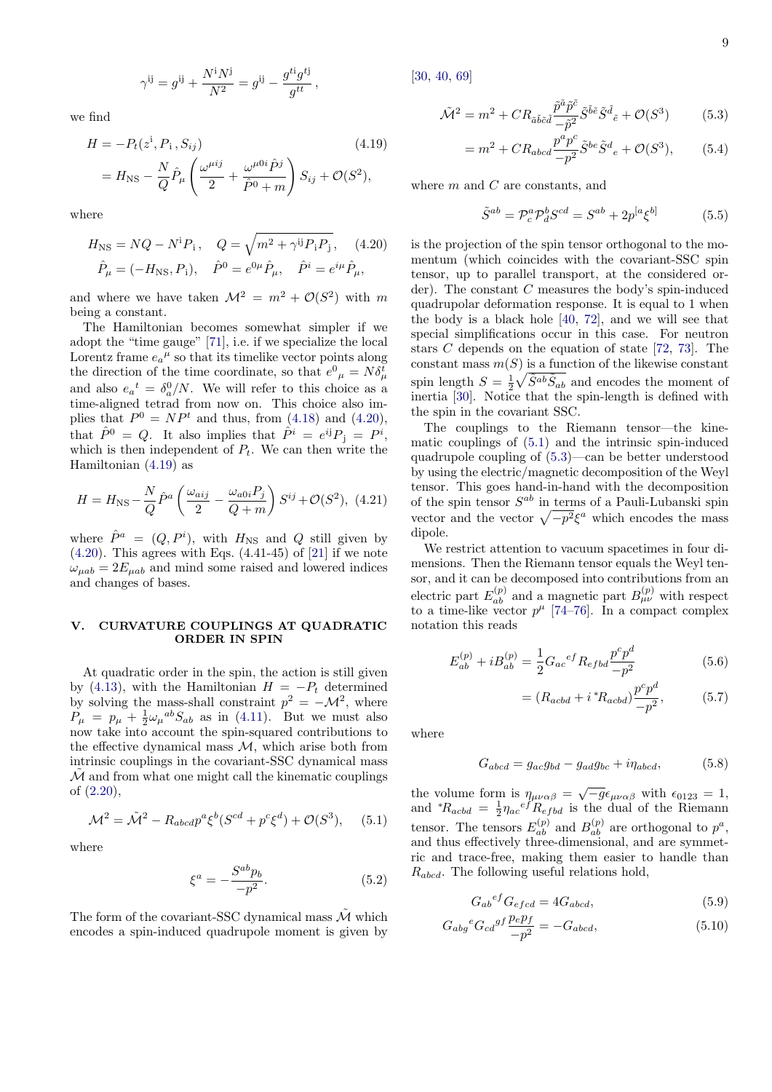$$
\gamma^{ij} = g^{ij} + \frac{N^i N^j}{N^2} = g^{ij} - \frac{g^{ti} g^{tj}}{g^{tt}},
$$

we find

$$
H = -P_t(z^i, P_i, S_{ij})
$$
\n
$$
= H_{\text{NS}} - \frac{N}{Q} \hat{P}_{\mu} \left( \frac{\omega^{\mu ij}}{2} + \frac{\omega^{\mu 0 i} \hat{P}^j}{\hat{P}^0 + m} \right) S_{ij} + \mathcal{O}(S^2),
$$
\n(4.19)

where

$$
H_{\rm NS} = NQ - N^{\rm i}P_{\rm i}, \quad Q = \sqrt{m^2 + \gamma^{\rm ij}P_{\rm i}P_{\rm j}}, \quad (4.20)
$$

$$
\hat{P}_{\mu} = (-H_{\rm NS}, P_{\rm i}), \quad \hat{P}^{\rm 0} = e^{0\mu}\hat{P}_{\mu}, \quad \hat{P}^{\rm i} = e^{i\mu}\hat{P}_{\mu},
$$

and where we have taken  $\mathcal{M}^2 = m^2 + \mathcal{O}(S^2)$  with m being a constant.

The Hamiltonian becomes somewhat simpler if we adopt the "time gauge" [\[71\]](#page-23-23), i.e. if we specialize the local Lorentz frame  $e_a{}^{\mu}$  so that its timelike vector points along the direction of the time coordinate, so that  $e^0{}_{\mu} = N \delta^t_{\mu}$ and also  $e_a{}^t = \delta_a^0/N$ . We will refer to this choice as a time-aligned tetrad from now on. This choice also implies that  $P^0 = NP^t$  and thus, from [\(4.18\)](#page-7-1) and [\(4.20\)](#page-8-2), that  $\hat{P}^0 = Q$ . It also implies that  $\hat{P}^i = e^{ij}P_j = P^i$ , which is then independent of  $P_t$ . We can then write the Hamiltonian [\(4.19\)](#page-8-3) as

<span id="page-8-8"></span>
$$
H = HNS - \frac{N}{Q} \hat{P}^a \left( \frac{\omega_{aij}}{2} - \frac{\omega_{a0i} P_j}{Q + m} \right) S^{ij} + \mathcal{O}(S^2), \tag{4.21}
$$

where  $\hat{P}^a = (Q, P^i)$ , with  $H_{\text{NS}}$  and Q still given by  $(4.20)$ . This agrees with Eqs.  $(4.41-45)$  of  $[21]$  if we note  $\omega_{uab} = 2E_{uab}$  and mind some raised and lowered indices and changes of bases.

## <span id="page-8-1"></span>V. CURVATURE COUPLINGS AT QUADRATIC ORDER IN SPIN

At quadratic order in the spin, the action is still given by [\(4.13\)](#page-7-8), with the Hamiltonian  $H = -P_t$  determined by solving the mass-shall constraint  $p^2 = -\mathcal{M}^2$ , where  $P_{\mu} = p_{\mu} + \frac{1}{2} \omega_{\mu}{}^{ab} S_{ab}$  as in [\(4.11\)](#page-7-6). But we must also now take into account the spin-squared contributions to the effective dynamical mass  $M$ , which arise both from intrinsic couplings in the covariant-SSC dynamical mass  $\overline{\mathcal{M}}$  and from what one might call the kinematic couplings of [\(2.20\)](#page-4-2),

<span id="page-8-4"></span>
$$
\mathcal{M}^2 = \tilde{\mathcal{M}}^2 - R_{abcd} p^a \xi^b (S^{cd} + p^c \xi^d) + \mathcal{O}(S^3), \quad (5.1)
$$

where

<span id="page-8-10"></span>
$$
\xi^a = -\frac{S^{ab}p_b}{-p^2}.\tag{5.2}
$$

The form of the covariant-SSC dynamical mass  $\tilde{\mathcal{M}}$  which encodes a spin-induced quadrupole moment is given by

[\[30,](#page-22-17) [40,](#page-22-25) [69\]](#page-23-21)

$$
\tilde{\mathcal{M}}^2 = m^2 + CR_{\tilde{a}\tilde{b}\tilde{c}\tilde{d}} \frac{\tilde{p}^{\tilde{a}}\tilde{p}^{\tilde{c}}}{-\tilde{p}^2} \tilde{S}^{\tilde{b}\tilde{e}} \tilde{S}^{\tilde{d}}{}_{\tilde{e}} + \mathcal{O}(S^3)
$$
(5.3)

<span id="page-8-5"></span>
$$
= m2 + CRabcd \frac{pa pc}{-p2} \tilde{S}^{be} \tilde{S}^{d}{}_{e} + \mathcal{O}(S3),
$$
 (5.4)

<span id="page-8-3"></span>where  $m$  and  $C$  are constants, and

<span id="page-8-7"></span>
$$
\tilde{S}^{ab} = \mathcal{P}_c^a \mathcal{P}_d^b S^{cd} = S^{ab} + 2p^{[a} \xi^{b]} \tag{5.5}
$$

<span id="page-8-2"></span>is the projection of the spin tensor orthogonal to the momentum (which coincides with the covariant-SSC spin tensor, up to parallel transport, at the considered order). The constant  $C$  measures the body's spin-induced quadrupolar deformation response. It is equal to 1 when the body is a black hole [\[40,](#page-22-25) [72\]](#page-23-24), and we will see that special simplifications occur in this case. For neutron stars C depends on the equation of state [\[72,](#page-23-24) [73\]](#page-23-25). The constant mass  $m(S)$  is a function of the likewise constant spin length  $S = \frac{1}{2} \sqrt{\tilde{S}^{ab} \tilde{S}_{ab}}$  and encodes the moment of inertia [\[30\]](#page-22-17). Notice that the spin-length is defined with the spin in the covariant SSC.

The couplings to the Riemann tensor—the kinematic couplings of [\(5.1\)](#page-8-4) and the intrinsic spin-induced quadrupole coupling of [\(5.3\)](#page-8-5)—can be better understood by using the electric/magnetic decomposition of the Weyl tensor. This goes hand-in-hand with the decomposition of the spin tensor  $S^{ab}$  in terms of a Pauli-Lubanski spin vector and the vector  $\sqrt{-p^2}\xi^a$  which encodes the mass dipole.

We restrict attention to vacuum spacetimes in four dimensions. Then the Riemann tensor equals the Weyl tensor, and it can be decomposed into contributions from an electric part  $E_{ab}^{(p)}$  and a magnetic part  $B_{\mu\nu}^{(p)}$  with respect to a time-like vector  $p^{\mu}$  [\[74–](#page-23-26)[76\]](#page-23-27). In a compact complex notation this reads

$$
E_{ab}^{(p)} + iB_{ab}^{(p)} = \frac{1}{2} G_{ac}{}^{ef} R_{efbd} \frac{p^c p^d}{-p^2}
$$
 (5.6)

<span id="page-8-6"></span><span id="page-8-0"></span>
$$
= (R_{acbd} + i^* R_{acbd}) \frac{p^c p^d}{-p^2}, \tag{5.7}
$$

where

<span id="page-8-9"></span>
$$
G_{abcd} = g_{ac}g_{bd} - g_{ad}g_{bc} + i\eta_{abcd},\tag{5.8}
$$

the volume form is  $\eta_{\mu\nu\alpha\beta} = \sqrt{-g} \epsilon_{\mu\nu\alpha\beta}$  with  $\epsilon_{0123} = 1$ , and  $^*R_{acbd} = \frac{1}{2} \eta_{ac} e^f R_{efbd}$  is the dual of the Riemann tensor. The tensors  $E_{ab}^{(p)}$  and  $B_{ab}^{(p)}$  are orthogonal to  $p^a$ , and thus effectively three-dimensional, and are symmetric and trace-free, making them easier to handle than  $R_{abcd}$ . The following useful relations hold,

$$
G_{ab}{}^{ef}G_{efcd} = 4G_{abcd},\tag{5.9}
$$

$$
G_{abg}{}^e G_{cd}{}^{gf} \frac{p_e p_f}{-p^2} = -G_{abcd},\tag{5.10}
$$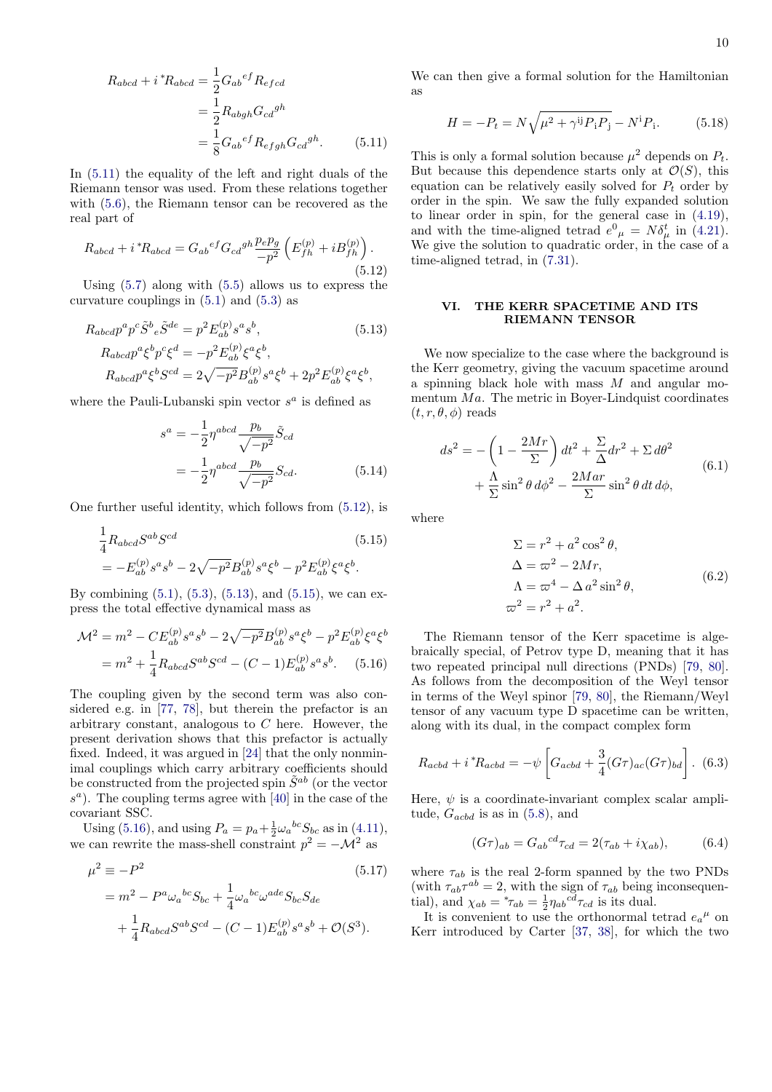$$
R_{abcd} + i^* R_{abcd} = \frac{1}{2} G_{ab}{}^{ef} R_{efcd}
$$

$$
= \frac{1}{2} R_{abgh} G_{cd}{}^{gh}
$$

$$
= \frac{1}{8} G_{ab}{}^{ef} R_{efgh} G_{cd}{}^{gh}.
$$
(5.11)

In [\(5.11\)](#page-9-4) the equality of the left and right duals of the Riemann tensor was used. From these relations together with [\(5.6\)](#page-8-6), the Riemann tensor can be recovered as the real part of

<span id="page-9-5"></span>
$$
R_{abcd} + i^* R_{abcd} = G_{ab}{}^{ef} G_{cd}{}^{gh} \frac{p_e p_g}{-p^2} \left( E_{fh}^{(p)} + i B_{fh}^{(p)} \right). \tag{5.12}
$$

Using [\(5.7\)](#page-8-0) along with [\(5.5\)](#page-8-7) allows us to express the curvature couplings in [\(5.1\)](#page-8-4) and [\(5.3\)](#page-8-5) as

$$
R_{abcd}p^{a}p^{c}\tilde{S}^{b}{}_{e}\tilde{S}^{de} = p^{2}E_{ab}^{(p)}s^{a}s^{b},
$$
\n(5.13)  
\n
$$
R_{abcd}p^{a}\xi^{b}p^{c}\xi^{d} = -p^{2}E_{ab}^{(p)}\xi^{a}\xi^{b},
$$
\n
$$
R_{abcd}p^{a}\xi^{b}S^{cd} = 2\sqrt{-p^{2}}B_{ab}^{(p)}s^{a}\xi^{b} + 2p^{2}E_{ab}^{(p)}\xi^{a}\xi^{b},
$$

where the Pauli-Lubanski spin vector  $s^a$  is defined as

$$
s^{a} = -\frac{1}{2}\eta^{abcd} \frac{p_{b}}{\sqrt{-p^{2}}} \tilde{S}_{cd}
$$

$$
= -\frac{1}{2}\eta^{abcd} \frac{p_{b}}{\sqrt{-p^{2}}} S_{cd}.
$$
(5.14)

One further useful identity, which follows from [\(5.12\)](#page-9-5), is

$$
\frac{1}{4}R_{abcd}S^{ab}S^{cd}
$$
\n
$$
= -E_{ab}^{(p)}s^a s^b - 2\sqrt{-p^2}B_{ab}^{(p)}s^a \xi^b - p^2 E_{ab}^{(p)}\xi^a \xi^b.
$$
\n(5.15)

By combining  $(5.1)$ ,  $(5.3)$ ,  $(5.13)$ , and  $(5.15)$ , we can express the total effective dynamical mass as

$$
\mathcal{M}^2 = m^2 - CE_{ab}^{(p)} s^a s^b - 2\sqrt{-p^2} B_{ab}^{(p)} s^a \xi^b - p^2 E_{ab}^{(p)} \xi^a \xi^b
$$

$$
= m^2 + \frac{1}{4} R_{abcd} S^{ab} S^{cd} - (C - 1) E_{ab}^{(p)} s^a s^b. \tag{5.16}
$$

The coupling given by the second term was also considered e.g. in [\[77,](#page-23-28) [78\]](#page-23-29), but therein the prefactor is an arbitrary constant, analogous to C here. However, the present derivation shows that this prefactor is actually fixed. Indeed, it was argued in [\[24\]](#page-22-12) that the only nonminimal couplings which carry arbitrary coefficients should be constructed from the projected spin  $\tilde{S}^{ab}$  (or the vector  $s<sup>a</sup>$ ). The coupling terms agree with [\[40\]](#page-22-25) in the case of the covariant SSC.

Using [\(5.16\)](#page-9-2), and using  $P_a = p_a + \frac{1}{2}\omega_a{}^{bc}S_{bc}$  as in [\(4.11\)](#page-7-6), we can rewrite the mass-shell constraint  $p^2 = -\mathcal{M}^2$  as

$$
\mu^2 \equiv -P^2
$$
\n
$$
= m^2 - P^a \omega_a{}^{bc} S_{bc} + \frac{1}{4} \omega_a{}^{bc} \omega^{ade} S_{bc} S_{de}
$$
\n
$$
+ \frac{1}{4} R_{abcd} S^{ab} S^{cd} - (C - 1) E_{ab}^{(p)} s^a s^b + \mathcal{O}(S^3).
$$
\n
$$
(5.17)
$$

We can then give a formal solution for the Hamiltonian as

<span id="page-9-9"></span>
$$
H = -P_t = N\sqrt{\mu^2 + \gamma^{ij}P_iP_j} - N^iP_i.
$$
 (5.18)

<span id="page-9-4"></span>This is only a formal solution because  $\mu^2$  depends on  $P_t$ . But because this dependence starts only at  $\mathcal{O}(S)$ , this equation can be relatively easily solved for  $P_t$  order by order in the spin. We saw the fully expanded solution to linear order in spin, for the general case in [\(4.19\)](#page-8-3), and with the time-aligned tetrad  $e^0_{\mu} = N \delta_{\mu}^t$  in [\(4.21\)](#page-8-8). We give the solution to quadratic order, in the case of a time-aligned tetrad, in [\(7.31\)](#page-14-0).

### <span id="page-9-3"></span>VI. THE KERR SPACETIME AND ITS RIEMANN TENSOR

<span id="page-9-6"></span>We now specialize to the case where the background is the Kerr geometry, giving the vacuum spacetime around a spinning black hole with mass  $M$  and angular momentum  $Ma$ . The metric in Boyer-Lindquist coordinates  $(t, r, \theta, \phi)$  reads

$$
ds^{2} = -\left(1 - \frac{2Mr}{\Sigma}\right)dt^{2} + \frac{\Sigma}{\Delta}dr^{2} + \Sigma d\theta^{2}
$$

$$
+ \frac{\Lambda}{\Sigma}\sin^{2}\theta \,d\phi^{2} - \frac{2Mar}{\Sigma}\sin^{2}\theta \,dt \,d\phi,
$$
(6.1)

<span id="page-9-7"></span><span id="page-9-1"></span>where

$$
\Sigma = r^2 + a^2 \cos^2 \theta,
$$
  
\n
$$
\Delta = \varpi^2 - 2Mr,
$$
  
\n
$$
\Lambda = \varpi^4 - \Delta a^2 \sin^2 \theta,
$$
  
\n
$$
\varpi^2 = r^2 + a^2.
$$
\n(6.2)

<span id="page-9-2"></span>The Riemann tensor of the Kerr spacetime is algebraically special, of Petrov type D, meaning that it has two repeated principal null directions (PNDs) [\[79,](#page-24-0) [80\]](#page-24-1). As follows from the decomposition of the Weyl tensor in terms of the Weyl spinor [\[79,](#page-24-0) [80\]](#page-24-1), the Riemann/Weyl tensor of any vacuum type D spacetime can be written, along with its dual, in the compact complex form

$$
R_{acbd} + i^* R_{acbd} = -\psi \left[ G_{acbd} + \frac{3}{4} (G\tau)_{ac} (G\tau)_{bd} \right].
$$
 (6.3)

Here,  $\psi$  is a coordinate-invariant complex scalar amplitude,  $G_{acbd}$  is as in [\(5.8\)](#page-8-9), and

<span id="page-9-8"></span>
$$
(G\tau)_{ab} = G_{ab}{}^{cd}\tau_{cd} = 2(\tau_{ab} + i\chi_{ab}),\tag{6.4}
$$

<span id="page-9-0"></span>where  $\tau_{ab}$  is the real 2-form spanned by the two PNDs (with  $\tau_{ab}\tau^{ab} = 2$ , with the sign of  $\tau_{ab}$  being inconsequential), and  $\chi_{ab} = {}^* \tau_{ab} = \frac{1}{2} \eta_{ab}{}^{cd} \tau_{cd}$  is its dual.

It is convenient to use the orthonormal tetrad  $e_a{}^{\mu}$  on Kerr introduced by Carter [\[37,](#page-22-22) [38\]](#page-22-23), for which the two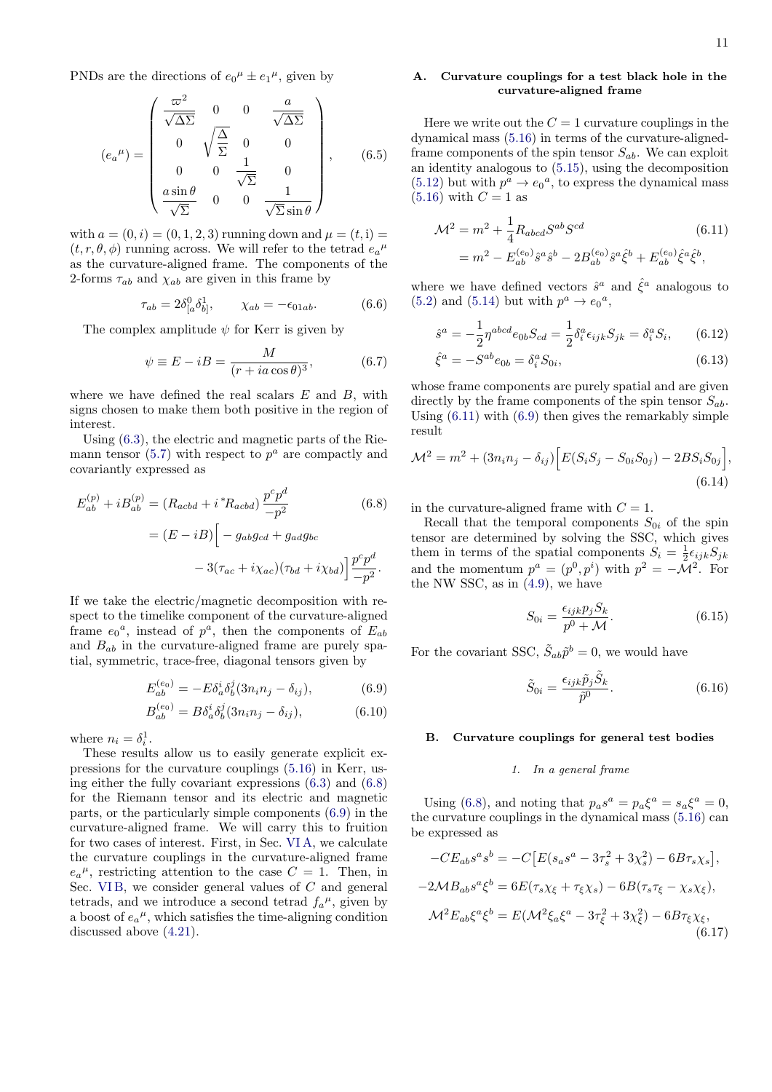PNDs are the directions of  $e_0^{\mu} \pm e_1^{\mu}$ , given by

<span id="page-10-8"></span>
$$
(e_a^{\mu}) = \begin{pmatrix} \frac{\varpi^2}{\sqrt{\Delta\Sigma}} & 0 & 0 & \frac{a}{\sqrt{\Delta\Sigma}} \\ 0 & \sqrt{\frac{\Delta}{\Sigma}} & 0 & 0 \\ 0 & 0 & \frac{1}{\sqrt{\Sigma}} & 0 \\ \frac{a\sin\theta}{\sqrt{\Sigma}} & 0 & 0 & \frac{1}{\sqrt{\Sigma}\sin\theta} \end{pmatrix}, \qquad (6.5)
$$

with  $a = (0, i) = (0, 1, 2, 3)$  running down and  $\mu = (t, i)$  $(t, r, \theta, \phi)$  running across. We will refer to the tetrad  $e_a{}^{\mu}$ as the curvature-aligned frame. The components of the 2-forms  $\tau_{ab}$  and  $\chi_{ab}$  are given in this frame by

<span id="page-10-7"></span>
$$
\tau_{ab} = 2\delta^0_{[a}\delta^1_{b]}, \qquad \chi_{ab} = -\epsilon_{01ab}.\tag{6.6}
$$

The complex amplitude  $\psi$  for Kerr is given by

<span id="page-10-10"></span>
$$
\psi \equiv E - iB = \frac{M}{(r + ia\cos\theta)^3},\tag{6.7}
$$

where we have defined the real scalars  $E$  and  $B$ , with signs chosen to make them both positive in the region of interest.

Using [\(6.3\)](#page-9-8), the electric and magnetic parts of the Rie-mann tensor [\(5.7\)](#page-8-0) with respect to  $p^a$  are compactly and covariantly expressed as

$$
E_{ab}^{(p)} + iB_{ab}^{(p)} = (R_{acbd} + i^*R_{acbd})\frac{p^c p^d}{-p^2}
$$
(6.8)  

$$
= (E - iB) \Big[ -g_{ab}g_{cd} + g_{ad}g_{bc}
$$

$$
- 3(\tau_{ac} + i\chi_{ac})(\tau_{bd} + i\chi_{bd}) \Big] \frac{p^c p^d}{-p^2}.
$$

If we take the electric/magnetic decomposition with respect to the timelike component of the curvature-aligned frame  $e_0^a$ , instead of  $p^a$ , then the components of  $E_{ab}$ and  $B_{ab}$  in the curvature-aligned frame are purely spatial, symmetric, trace-free, diagonal tensors given by

$$
E_{ab}^{(e_0)} = -E\delta_a^i \delta_b^j (3n_i n_j - \delta_{ij}),\tag{6.9}
$$

$$
B_{ab}^{(e_0)} = B \delta_a^i \delta_b^j (3n_i n_j - \delta_{ij}), \tag{6.10}
$$

where  $n_i = \delta_i^1$ .

These results allow us to easily generate explicit expressions for the curvature couplings [\(5.16\)](#page-9-2) in Kerr, using either the fully covariant expressions [\(6.3\)](#page-9-8) and [\(6.8\)](#page-10-0) for the Riemann tensor and its electric and magnetic parts, or the particularly simple components [\(6.9\)](#page-10-1) in the curvature-aligned frame. We will carry this to fruition for two cases of interest. First, in Sec. [VI A,](#page-10-2) we calculate the curvature couplings in the curvature-aligned frame  $e_a^{\mu}$ , restricting attention to the case  $C = 1$ . Then, in Sec. VIB, we consider general values of  $C$  and general tetrads, and we introduce a second tetrad  $f_a^{\mu}$ , given by a boost of  $e_a{}^{\mu}$ , which satisfies the time-aligning condition discussed above [\(4.21\)](#page-8-8).

## <span id="page-10-2"></span>A. Curvature couplings for a test black hole in the curvature-aligned frame

Here we write out the  $C = 1$  curvature couplings in the dynamical mass [\(5.16\)](#page-9-2) in terms of the curvature-alignedframe components of the spin tensor  $S_{ab}$ . We can exploit an identity analogous to [\(5.15\)](#page-9-7), using the decomposition [\(5.12\)](#page-9-5) but with  $p^a \rightarrow e_0^a$ , to express the dynamical mass  $(5.16)$  with  $C = 1$  as

<span id="page-10-4"></span>
$$
\mathcal{M}^2 = m^2 + \frac{1}{4} R_{abcd} S^{ab} S^{cd}
$$
\n
$$
= m^2 - E_{ab}^{(e_0)} \hat{s}^a \hat{s}^b - 2B_{ab}^{(e_0)} \hat{s}^a \hat{\xi}^b + E_{ab}^{(e_0)} \hat{\xi}^a \hat{\xi}^b,
$$
\n(6.11)

where we have defined vectors  $\hat{s}^a$  and  $\hat{\xi}^a$  analogous to [\(5.2\)](#page-8-10) and [\(5.14\)](#page-9-1) but with  $p^a \rightarrow e_0^a$ ,

$$
\hat{s}^a = -\frac{1}{2}\eta^{abcd}e_{0b}S_{cd} = \frac{1}{2}\delta^a_i \epsilon_{ijk} S_{jk} = \delta^a_i S_i, \qquad (6.12)
$$

$$
\hat{\xi}^a = -S^{ab}e_{0b} = \delta^a_i S_{0i},\tag{6.13}
$$

whose frame components are purely spatial and are given directly by the frame components of the spin tensor  $S_{ab}$ . Using  $(6.11)$  with  $(6.9)$  then gives the remarkably simple result

$$
\mathcal{M}^2 = m^2 + (3n_i n_j - \delta_{ij}) \Big[ E(S_i S_j - S_{0i} S_{0j}) - 2BS_i S_{0j} \Big],
$$
\n(6.14)

<span id="page-10-0"></span>in the curvature-aligned frame with  $C = 1$ .

Recall that the temporal components  $S_{0i}$  of the spin tensor are determined by solving the SSC, which gives them in terms of the spatial components  $S_i = \frac{1}{2} \epsilon_{ijk} S_{jk}$ and the momentum  $p^a = (p^0, p^i)$  with  $p^2 = -\mathcal{M}^2$ . For the NW SSC, as in [\(4.9\)](#page-7-2), we have

<span id="page-10-5"></span>
$$
S_{0i} = \frac{\epsilon_{ijk} p_j S_k}{p^0 + \mathcal{M}}.\tag{6.15}
$$

<span id="page-10-1"></span>For the covariant SSC,  $\tilde{S}_{ab}\tilde{p}^b = 0$ , we would have

<span id="page-10-6"></span>
$$
\tilde{S}_{0i} = \frac{\epsilon_{ijk}\tilde{p}_j\tilde{S}_k}{\tilde{p}^0}.
$$
\n(6.16)

### <span id="page-10-3"></span>B. Curvature couplings for general test bodies

### <span id="page-10-9"></span>1. In a general frame

Using [\(6.8\)](#page-10-0), and noting that  $p_a s^a = p_a \xi^a = s_a \xi^a = 0$ , the curvature couplings in the dynamical mass [\(5.16\)](#page-9-2) can be expressed as

$$
-CE_{ab}s^{a}s^{b} = -C\left[E(s_{a}s^{a} - 3\tau_{s}^{2} + 3\chi_{s}^{2}) - 6B\tau_{s}\chi_{s}\right],
$$
  
\n
$$
-2MB_{ab}s^{a}\xi^{b} = 6E(\tau_{s}\chi_{\xi} + \tau_{\xi}\chi_{s}) - 6B(\tau_{s}\tau_{\xi} - \chi_{s}\chi_{\xi}),
$$
  
\n
$$
\mathcal{M}^{2}E_{ab}\xi^{a}\xi^{b} = E(\mathcal{M}^{2}\xi_{a}\xi^{a} - 3\tau_{\xi}^{2} + 3\chi_{\xi}^{2}) - 6B\tau_{\xi}\chi_{\xi},
$$
  
\n(6.17)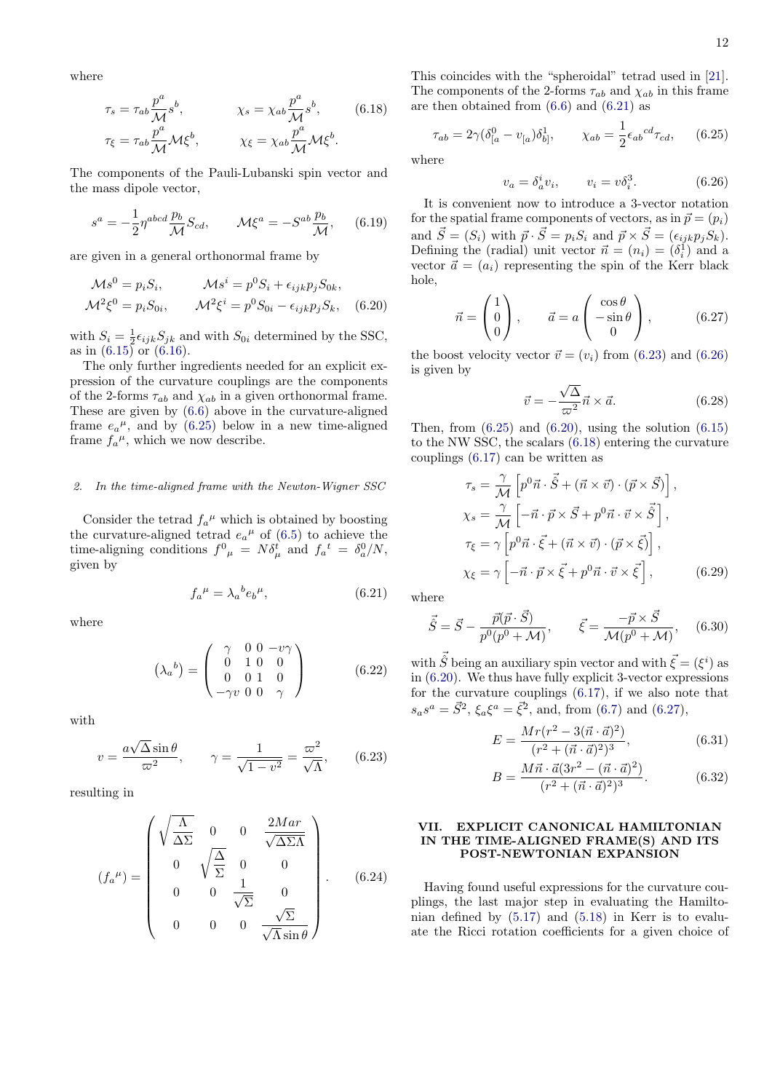where

$$
\tau_s = \tau_{ab} \frac{p^a}{\mathcal{M}} s^b, \qquad \chi_s = \chi_{ab} \frac{p^a}{\mathcal{M}} s^b, \qquad (6.18)
$$

$$
\tau_{\xi} = \tau_{ab} \frac{p^a}{\mathcal{M}} \mathcal{M} \xi^b, \qquad \chi_{\xi} = \chi_{ab} \frac{p^a}{\mathcal{M}} \mathcal{M} \xi^b.
$$

The components of the Pauli-Lubanski spin vector and the mass dipole vector,

$$
s^{a} = -\frac{1}{2}\eta^{abcd}\frac{p_b}{\mathcal{M}}S_{cd}, \qquad \mathcal{M}\xi^{a} = -S^{ab}\frac{p_b}{\mathcal{M}}, \qquad (6.19)
$$

are given in a general orthonormal frame by

$$
\mathcal{M}s^0 = p_i S_i, \qquad \mathcal{M}s^i = p^0 S_i + \epsilon_{ijk} p_j S_{0k},
$$
  

$$
\mathcal{M}^2 \xi^0 = p_i S_{0i}, \qquad \mathcal{M}^2 \xi^i = p^0 S_{0i} - \epsilon_{ijk} p_j S_k, \quad (6.20)
$$

with  $S_i = \frac{1}{2} \epsilon_{ijk} S_{jk}$  and with  $S_{0i}$  determined by the SSC, as in  $(6.15)$  or  $(6.16)$ .

The only further ingredients needed for an explicit expression of the curvature couplings are the components of the 2-forms  $\tau_{ab}$  and  $\chi_{ab}$  in a given orthonormal frame. These are given by [\(6.6\)](#page-10-7) above in the curvature-aligned frame  $e_a{}^{\mu}$ , and by [\(6.25\)](#page-11-1) below in a new time-aligned frame  $f_a^{\mu}$ , which we now describe.

### 2. In the time-aligned frame with the Newton-Wigner SSC

Consider the tetrad  $f_a^{\mu}$  which is obtained by boosting the curvature-aligned tetrad  $e_a{}^{\mu}$  of [\(6.5\)](#page-10-8) to achieve the time-aligning conditions  $f^0{}_\mu = N \delta^t_\mu$  and  $f_a{}^t = \delta^0_a/N$ , given by

<span id="page-11-2"></span>
$$
f_a{}^{\mu} = \lambda_a{}^b e_b{}^{\mu}, \tag{6.21}
$$

where

$$
\left(\lambda_a{}^b\right) = \begin{pmatrix} \gamma & 0 & 0 & -v\gamma \\ 0 & 1 & 0 & 0 \\ 0 & 0 & 1 & 0 \\ -\gamma v & 0 & 0 & \gamma \end{pmatrix} \tag{6.22}
$$

with

<span id="page-11-3"></span>
$$
v = \frac{a\sqrt{\Delta}\sin\theta}{\varpi^2}, \qquad \gamma = \frac{1}{\sqrt{1 - v^2}} = \frac{\varpi^2}{\sqrt{\Lambda}}, \qquad (6.23)
$$

resulting in

<span id="page-11-8"></span>
$$
(f_a^{\mu}) = \begin{pmatrix} \sqrt{\frac{\Lambda}{\Delta \Sigma}} & 0 & 0 & \frac{2Mar}{\sqrt{\Delta \Sigma \Lambda}} \\ 0 & \sqrt{\frac{\Delta}{\Sigma}} & 0 & 0 \\ 0 & 0 & \frac{1}{\sqrt{\Sigma}} & 0 \\ 0 & 0 & 0 & \frac{\sqrt{\Sigma}}{\sqrt{\Lambda} \sin \theta} \end{pmatrix}.
$$
 (6.24)

<span id="page-11-6"></span>This coincides with the "spheroidal" tetrad used in [\[21\]](#page-22-9). The components of the 2-forms  $\tau_{ab}$  and  $\chi_{ab}$  in this frame are then obtained from  $(6.6)$  and  $(6.21)$  as

<span id="page-11-1"></span>
$$
\tau_{ab} = 2\gamma (\delta_{[a}^{0} - v_{[a})\delta_{b]}^{1}, \qquad \chi_{ab} = \frac{1}{2} \epsilon_{ab}{}^{cd} \tau_{cd}, \qquad (6.25)
$$

where

<span id="page-11-4"></span>
$$
v_a = \delta_a^i v_i, \qquad v_i = v \delta_i^3. \tag{6.26}
$$

It is convenient now to introduce a 3-vector notation for the spatial frame components of vectors, as in  $\vec{p} = (p_i)$ and  $\vec{S} = (S_i)$  with  $\vec{p} \cdot \vec{S} = p_i S_i$  and  $\vec{p} \times \vec{S} = (\epsilon_{ijk} p_j S_k)$ . Defining the (radial) unit vector  $\vec{n} = (n_i) = (\delta_i^{\mathfrak{q}})$  and a vector  $\vec{a} = (a_i)$  representing the spin of the Kerr black hole,

<span id="page-11-7"></span>
$$
\vec{n} = \begin{pmatrix} 1 \\ 0 \\ 0 \end{pmatrix}, \qquad \vec{a} = a \begin{pmatrix} \cos \theta \\ -\sin \theta \\ 0 \end{pmatrix}, \tag{6.27}
$$

<span id="page-11-5"></span>the boost velocity vector  $\vec{v} = (v_i)$  from [\(6.23\)](#page-11-3) and [\(6.26\)](#page-11-4) is given by

$$
\vec{v} = -\frac{\sqrt{\Delta}}{\varpi^2} \vec{n} \times \vec{a}.
$$
 (6.28)

Then, from  $(6.25)$  and  $(6.20)$ , using the solution  $(6.15)$ to the NW SSC, the scalars [\(6.18\)](#page-11-6) entering the curvature couplings [\(6.17\)](#page-10-9) can be written as

$$
\tau_s = \frac{\gamma}{\mathcal{M}} \left[ p^0 \vec{n} \cdot \vec{\hat{S}} + (\vec{n} \times \vec{v}) \cdot (\vec{p} \times \vec{S}) \right],
$$
  
\n
$$
\chi_s = \frac{\gamma}{\mathcal{M}} \left[ -\vec{n} \cdot \vec{p} \times \vec{S} + p^0 \vec{n} \cdot \vec{v} \times \vec{\hat{S}} \right],
$$
  
\n
$$
\tau_{\xi} = \gamma \left[ p^0 \vec{n} \cdot \vec{\xi} + (\vec{n} \times \vec{v}) \cdot (\vec{p} \times \vec{\xi}) \right],
$$
  
\n
$$
\chi_{\xi} = \gamma \left[ -\vec{n} \cdot \vec{p} \times \vec{\xi} + p^0 \vec{n} \cdot \vec{v} \times \vec{\xi} \right],
$$
\n(6.29)

where

$$
\vec{\hat{S}} = \vec{S} - \frac{\vec{p}(\vec{p} \cdot \vec{S})}{p^0(p^0 + \mathcal{M})}, \qquad \vec{\xi} = \frac{-\vec{p} \times \vec{S}}{\mathcal{M}(p^0 + \mathcal{M})}, \quad (6.30)
$$

with  $\vec{\hat{S}}$  being an auxiliary spin vector and with  $\vec{\xi} = (\xi^i)$  as in [\(6.20\)](#page-11-5). We thus have fully explicit 3-vector expressions for the curvature couplings [\(6.17\)](#page-10-9), if we also note that  $s_a s^a = \vec{S}^2$ ,  $\xi_a \xi^a = \vec{\xi}^2$ , and, from [\(6.7\)](#page-10-10) and [\(6.27\)](#page-11-7),

$$
E = \frac{Mr(r^2 - 3(\vec{n} \cdot \vec{a})^2)}{(r^2 + (\vec{n} \cdot \vec{a})^2)^3},
$$
(6.31)

$$
B = \frac{M\vec{n} \cdot \vec{a}(3r^2 - (\vec{n} \cdot \vec{a})^2)}{(r^2 + (\vec{n} \cdot \vec{a})^2)^3}.
$$
 (6.32)

### <span id="page-11-0"></span>VII. EXPLICIT CANONICAL HAMILTONIAN IN THE TIME-ALIGNED FRAME(S) AND ITS POST-NEWTONIAN EXPANSION

Having found useful expressions for the curvature couplings, the last major step in evaluating the Hamiltonian defined by  $(5.17)$  and  $(5.18)$  in Kerr is to evaluate the Ricci rotation coefficients for a given choice of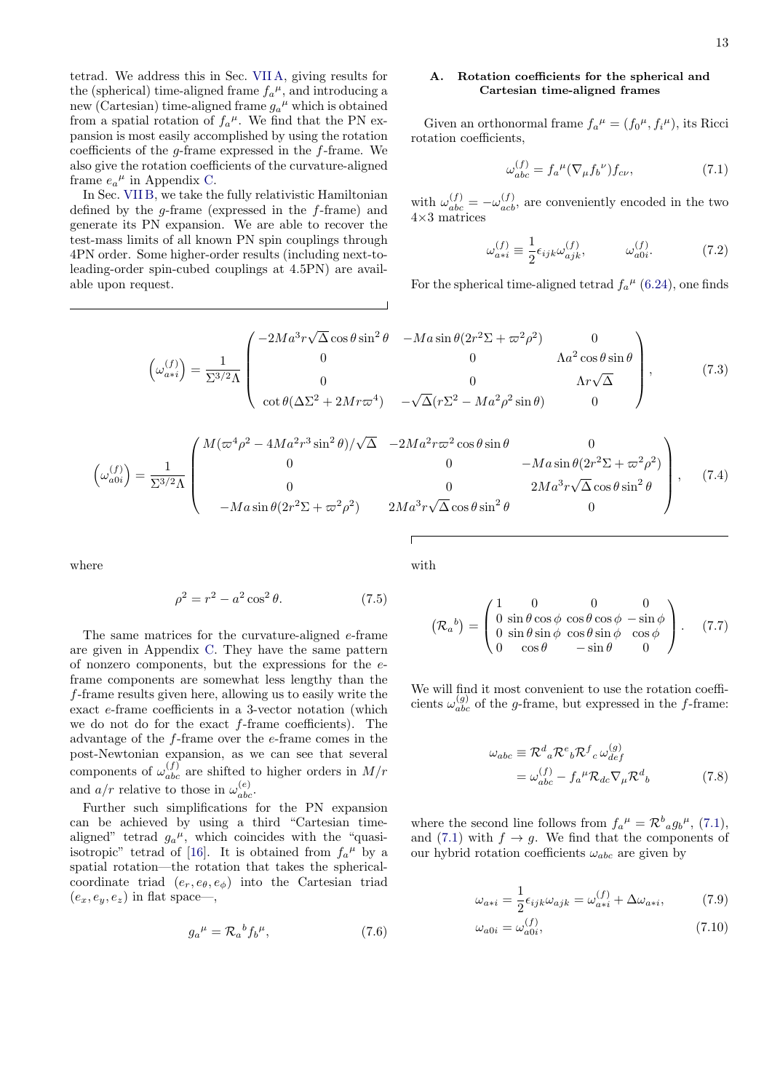tetrad. We address this in Sec. [VII A,](#page-12-0) giving results for the (spherical) time-aligned frame  $f_a^{\mu}$ , and introducing a new (Cartesian) time-aligned frame  $g_a^{\mu}$  which is obtained from a spatial rotation of  $f_a^{\mu}$ . We find that the PN expansion is most easily accomplished by using the rotation coefficients of the g-frame expressed in the f-frame. We also give the rotation coefficients of the curvature-aligned frame  $e_a{}^{\mu}$  in Appendix [C.](#page-20-0)

In Sec. [VII B,](#page-13-0) we take the fully relativistic Hamiltonian defined by the  $g$ -frame (expressed in the  $f$ -frame) and generate its PN expansion. We are able to recover the test-mass limits of all known PN spin couplings through 4PN order. Some higher-order results (including next-toleading-order spin-cubed couplings at 4.5PN) are available upon request.

## <span id="page-12-0"></span>A. Rotation coefficients for the spherical and Cartesian time-aligned frames

Given an orthonormal frame  $f_a^{\mu} = (f_0^{\mu}, f_i^{\mu})$ , its Ricci rotation coefficients,

<span id="page-12-1"></span>
$$
\omega_{abc}^{(f)} = f_a^{\ \mu} (\nabla_{\mu} f_b^{\ \nu}) f_{c\nu},\tag{7.1}
$$

with  $\omega_{abc}^{(f)} = -\omega_{acb}^{(f)}$ , are conveniently encoded in the two 4×3 matrices

<span id="page-12-3"></span>
$$
\omega_{a*i}^{(f)} \equiv \frac{1}{2} \epsilon_{ijk} \omega_{ajk}^{(f)}, \qquad \omega_{a0i}^{(f)}.
$$
 (7.2)

For the spherical time-aligned tetrad  $f_a^{\mu}$  [\(6.24\)](#page-11-8), one finds

$$
\left(\omega_{a+i}^{(f)}\right) = \frac{1}{\Sigma^{3/2}\Lambda} \begin{pmatrix} -2Ma^3r\sqrt{\Delta}\cos\theta\sin^2\theta & -Ma\sin\theta(2r^2\Sigma + \varpi^2\rho^2) & 0\\ 0 & 0 & \Lambda a^2\cos\theta\sin\theta\\ 0 & 0 & \Lambda r\sqrt{\Delta} \end{pmatrix},\tag{7.3}
$$

$$
\left(\omega_{a0i}^{(f)}\right) = \frac{1}{\Sigma^{3/2}\Lambda} \begin{pmatrix} M(\varpi^4 \rho^2 - 4Ma^2 r^3 \sin^2 \theta) / \sqrt{\Delta} & -2Ma^2 r \varpi^2 \cos \theta \sin \theta & 0 \\ 0 & 0 & -Ma \sin \theta (2r^2 \Sigma + \varpi^2 \rho^2) \\ 0 & 0 & 2Ma^3 r \sqrt{\Delta} \cos \theta \sin^2 \theta \\ -Ma \sin \theta (2r^2 \Sigma + \varpi^2 \rho^2) & 2Ma^3 r \sqrt{\Delta} \cos \theta \sin^2 \theta & 0 \end{pmatrix}, \quad (7.4)
$$

where

$$
\rho^2 = r^2 - a^2 \cos^2 \theta. \tag{7.5}
$$

The same matrices for the curvature-aligned e-frame are given in Appendix [C.](#page-20-0) They have the same pattern of nonzero components, but the expressions for the eframe components are somewhat less lengthy than the f-frame results given here, allowing us to easily write the exact e-frame coefficients in a 3-vector notation (which we do not do for the exact f-frame coefficients). The advantage of the f-frame over the e-frame comes in the post-Newtonian expansion, as we can see that several components of  $\omega_{abc}^{(f)}$  are shifted to higher orders in  $M/r$ and  $a/r$  relative to those in  $\omega_{abc}^{(e)}$ .

Further such simplifications for the PN expansion can be achieved by using a third "Cartesian timealigned" tetrad  $g_a^{\mu}$ , which coincides with the "quasi-isotropic" tetrad of [\[16\]](#page-22-7). It is obtained from  $f_a^{\mu}$  by a spatial rotation—the rotation that takes the sphericalcoordinate triad  $(e_r, e_\theta, e_\phi)$  into the Cartesian triad  $(e_x, e_y, e_z)$  in flat space—,

$$
g_a{}^{\mu} = \mathcal{R}_a{}^b f_b{}^{\mu},\tag{7.6}
$$

with

$$
\left(\mathcal{R}_a{}^b\right) = \begin{pmatrix} 1 & 0 & 0 & 0 \\ 0 & \sin\theta\cos\phi & \cos\theta\cos\phi & -\sin\phi \\ 0 & \sin\theta\sin\phi & \cos\theta\sin\phi & \cos\phi \\ 0 & \cos\theta & -\sin\theta & 0 \end{pmatrix}.
$$
 (7.7)

We will find it most convenient to use the rotation coefficients  $\omega_{abc}^{(g)}$  of the *g*-frame, but expressed in the *f*-frame:

$$
\omega_{abc} \equiv \mathcal{R}^d{}_a \mathcal{R}^e{}_b \mathcal{R}^f{}_c \,\omega_{def}^{(g)}
$$

$$
= \omega_{abc}^{(f)} - f_a{}^\mu \mathcal{R}_{dc} \nabla_\mu \mathcal{R}^d{}_b \tag{7.8}
$$

where the second line follows from  $f_a^{\mu} = \mathcal{R}^b{}_a g_b^{\mu}, (7.1),$  $f_a^{\mu} = \mathcal{R}^b{}_a g_b^{\mu}, (7.1),$  $f_a^{\mu} = \mathcal{R}^b{}_a g_b^{\mu}, (7.1),$ and [\(7.1\)](#page-12-1) with  $f \rightarrow g$ . We find that the components of our hybrid rotation coefficients  $\omega_{abc}$  are given by

<span id="page-12-2"></span>
$$
\omega_{a*i} = \frac{1}{2} \epsilon_{ijk} \omega_{ajk} = \omega_{a*i}^{(f)} + \Delta \omega_{a*i}, \tag{7.9}
$$

$$
\omega_{a0i} = \omega_{a0i}^{(f)},\tag{7.10}
$$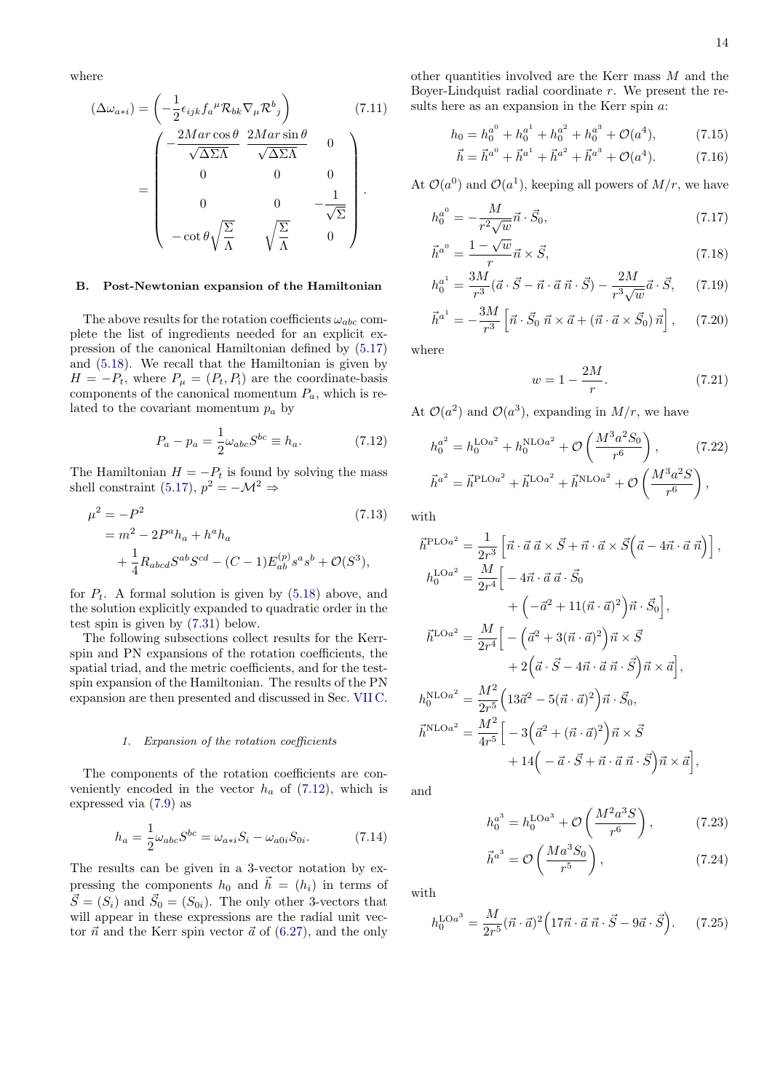where

$$
(\Delta \omega_{a+i}) = \left( -\frac{1}{2} \epsilon_{ijk} f_a{}^{\mu} \mathcal{R}_{bk} \nabla_{\mu} \mathcal{R}^b{}_j \right) \tag{7.11}
$$
\n
$$
= \left( \begin{array}{ccc} -\frac{2Mar \cos \theta}{\sqrt{\Delta \Sigma \Lambda}} & \frac{2Mar \sin \theta}{\sqrt{\Delta \Sigma \Lambda}} & 0 \\ 0 & 0 & 0 \\ 0 & 0 & -\frac{1}{\sqrt{\Sigma}} \\ -\cot \theta \sqrt{\frac{\Sigma}{\Lambda}} & \sqrt{\frac{\Sigma}{\Lambda}} & 0 \end{array} \right).
$$

### <span id="page-13-0"></span>B. Post-Newtonian expansion of the Hamiltonian

The above results for the rotation coefficients  $\omega_{abc}$  complete the list of ingredients needed for an explicit expression of the canonical Hamiltonian defined by [\(5.17\)](#page-9-0) and [\(5.18\)](#page-9-9). We recall that the Hamiltonian is given by  $H = -P_t$ , where  $P_\mu = (P_t, P_i)$  are the coordinate-basis components of the canonical momentum  $P_a$ , which is related to the covariant momentum  $p_a$  by

<span id="page-13-1"></span>
$$
P_a - p_a = \frac{1}{2}\omega_{abc}S^{bc} \equiv h_a.
$$
 (7.12)

The Hamiltonian  $H = -P_t$  is found by solving the mass shell constraint [\(5.17\)](#page-9-0),  $p^2 = -\mathcal{M}^2 \Rightarrow$ 

$$
\mu^2 = -P^2
$$
\n
$$
= m^2 - 2P^a h_a + h^a h_a
$$
\n
$$
+ \frac{1}{4} R_{abcd} S^{ab} S^{cd} - (C - 1) E_{ab}^{(p)} s^a s^b + \mathcal{O}(S^3),
$$
\n(7.13)

for  $P_t$ . A formal solution is given by  $(5.18)$  above, and the solution explicitly expanded to quadratic order in the test spin is given by [\(7.31\)](#page-14-0) below.

The following subsections collect results for the Kerrspin and PN expansions of the rotation coefficients, the spatial triad, and the metric coefficients, and for the testspin expansion of the Hamiltonian. The results of the PN expansion are then presented and discussed in Sec. [VII C.](#page-14-1)

#### <span id="page-13-3"></span>1. Expansion of the rotation coefficients

The components of the rotation coefficients are conveniently encoded in the vector  $h_a$  of [\(7.12\)](#page-13-1), which is expressed via [\(7.9\)](#page-12-2) as

<span id="page-13-4"></span>
$$
h_a = \frac{1}{2}\omega_{abc}S^{bc} = \omega_{a*i}S_i - \omega_{a0i}S_{0i}.
$$
 (7.14)

The results can be given in a 3-vector notation by expressing the components  $h_0$  and  $\vec{h} = (h_i)$  in terms of  $\vec{S} = (S_i)$  and  $\vec{S}_0 = (S_{0i})$ . The only other 3-vectors that will appear in these expressions are the radial unit vector  $\vec{n}$  and the Kerr spin vector  $\vec{a}$  of [\(6.27\)](#page-11-7), and the only

other quantities involved are the Kerr mass M and the Boyer-Lindquist radial coordinate  $r$ . We present the results here as an expansion in the Kerr spin a:

$$
h_0 = h_0^{a^0} + h_0^{a^1} + h_0^{a^2} + h_0^{a^3} + \mathcal{O}(a^4),
$$
 (7.15)  

$$
\vec{b} - \vec{b}^{a^0} + \vec{b}^{a^1} + \vec{b}^{a^2} + \vec{b}^{a^3} + \mathcal{O}(a^4)
$$
 (7.16)

$$
\vec{h} = \vec{h}^{a^0} + \vec{h}^{a^1} + \vec{h}^{a^2} + \vec{h}^{a^3} + \mathcal{O}(a^4). \tag{7.16}
$$

At  $\mathcal{O}(a^0)$  and  $\mathcal{O}(a^1)$ , keeping all powers of  $M/r$ , we have

$$
h_0^{a^0} = -\frac{M}{r^2\sqrt{w}}\vec{n} \cdot \vec{S}_0,
$$
\n(7.17)

$$
\vec{h}^{a^0} = \frac{1 - \sqrt{w}}{r} \vec{n} \times \vec{S},\tag{7.18}
$$

$$
h_0^{a^1} = \frac{3M}{r^3} (\vec{a} \cdot \vec{S} - \vec{n} \cdot \vec{a} \cdot \vec{n} \cdot \vec{S}) - \frac{2M}{r^3 \sqrt{w}} \vec{a} \cdot \vec{S}, \qquad (7.19)
$$

$$
\vec{h}^{a^1} = -\frac{3M}{r^3} \left[ \vec{n} \cdot \vec{S}_0 \; \vec{n} \times \vec{a} + (\vec{n} \cdot \vec{a} \times \vec{S}_0) \; \vec{n} \right], \qquad (7.20)
$$

where

<span id="page-13-5"></span>
$$
w = 1 - \frac{2M}{r}.\t(7.21)
$$

At  $\mathcal{O}(a^2)$  and  $\mathcal{O}(a^3)$ , expanding in  $M/r$ , we have

$$
h_0^{a^2} = h_0^{\text{LO}a^2} + h_0^{\text{NLO}a^2} + \mathcal{O}\left(\frac{M^3 a^2 S_0}{r^6}\right),\qquad(7.22)
$$

$$
\vec{h}^{a^2} = \vec{h}^{\text{PLO}a^2} + \vec{h}^{\text{LO}a^2} + \vec{h}^{\text{NLO}a^2} + \mathcal{O}\left(\frac{M^3 a^2 S}{r^6}\right),
$$

<span id="page-13-2"></span>with

$$
\vec{h}^{\text{PLO}a^2} = \frac{1}{2r^3} \left[ \vec{n} \cdot \vec{a} \, \vec{\alpha} \times \vec{S} + \vec{n} \cdot \vec{a} \times \vec{S} \left( \vec{a} - 4\vec{n} \cdot \vec{a} \, \vec{n} \right) \right],
$$
\n
$$
h_0^{\text{LO}a^2} = \frac{M}{2r^4} \Big[ -4\vec{n} \cdot \vec{a} \, \vec{a} \cdot \vec{S}_0 + \Big( -\vec{a}^2 + 11(\vec{n} \cdot \vec{a})^2 \Big) \vec{n} \cdot \vec{S}_0 \Big],
$$
\n
$$
\vec{h}^{\text{LO}a^2} = \frac{M}{2r^4} \Big[ -\Big( \vec{a}^2 + 3(\vec{n} \cdot \vec{a})^2 \Big) \vec{n} \times \vec{S} + 2 \Big( \vec{a} \cdot \vec{S} - 4\vec{n} \cdot \vec{a} \, \vec{n} \cdot \vec{S} \Big) \vec{n} \times \vec{a} \Big],
$$
\n
$$
h_0^{\text{NLO}a^2} = \frac{M^2}{2r^5} \Big( 13\vec{a}^2 - 5(\vec{n} \cdot \vec{a})^2 \Big) \vec{n} \cdot \vec{S}_0,
$$
\n
$$
\vec{h}^{\text{NLO}a^2} = \frac{M^2}{4r^5} \Big[ -3 \Big( \vec{a}^2 + (\vec{n} \cdot \vec{a})^2 \Big) \vec{n} \times \vec{S} + 14 \Big( -\vec{a} \cdot \vec{S} + \vec{n} \cdot \vec{a} \, \vec{n} \cdot \vec{S} \Big) \vec{n} \times \vec{a} \Big],
$$

and

$$
h_0^{a^3} = h_0^{\text{LO}a^3} + \mathcal{O}\left(\frac{M^2 a^3 S}{r^6}\right),\tag{7.23}
$$

$$
\vec{h}^{a^3} = \mathcal{O}\left(\frac{Ma^3 S_0}{r^5}\right),\tag{7.24}
$$

with

$$
h_0^{\text{LO}a^3} = \frac{M}{2r^5} (\vec{n} \cdot \vec{a})^2 \left( 17\vec{n} \cdot \vec{a} \ \vec{n} \cdot \vec{S} - 9\vec{a} \cdot \vec{S} \right). \tag{7.25}
$$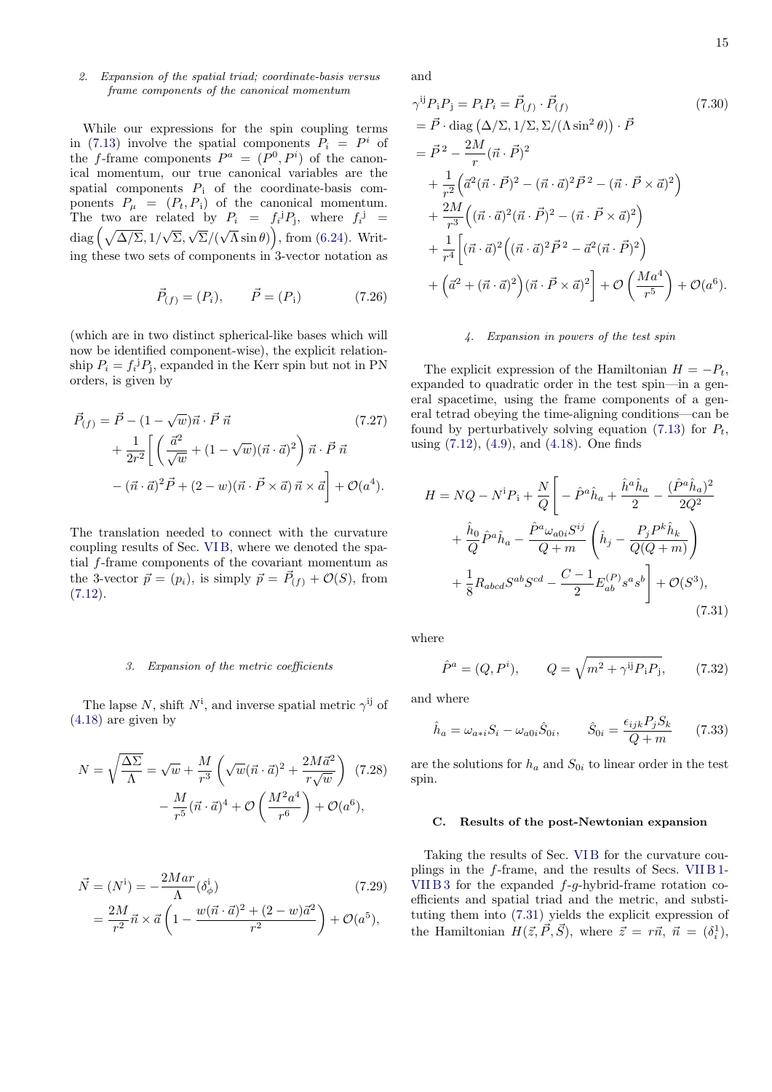## 2. Expansion of the spatial triad; coordinate-basis versus frame components of the canonical momentum

While our expressions for the spin coupling terms in [\(7.13\)](#page-13-2) involve the spatial components  $P_i = P^i$  of the f-frame components  $P^a = (P^0, P^i)$  of the canonical momentum, our true canonical variables are the spatial components  $P_i$  of the coordinate-basis components  $P_{\mu} = (P_t, P_i)$  of the canonical momentum. The two are related by  $P_i = f_i^j P_j$ , where  $f_i^j =$  $\text{diag}\left(\sqrt{\Delta/\Sigma}, 1/\sqrt{\Sigma}, \sqrt{\Sigma}/(\sqrt{\Lambda}\sin\theta)\right)$ , from [\(6.24\)](#page-11-8). Writing these two sets of components in 3-vector notation as

$$
\vec{P}_{(f)} = (P_i), \qquad \vec{P} = (P_i) \tag{7.26}
$$

(which are in two distinct spherical-like bases which will now be identified component-wise), the explicit relationship  $P_i = f_i^{\dagger} P_j$ , expanded in the Kerr spin but not in PN orders, is given by

$$
\vec{P}_{(f)} = \vec{P} - (1 - \sqrt{w})\vec{n} \cdot \vec{P} \vec{n} \qquad (7.27)
$$
\n
$$
+ \frac{1}{2r^2} \left[ \left( \frac{\vec{a}^2}{\sqrt{w}} + (1 - \sqrt{w})(\vec{n} \cdot \vec{a})^2 \right) \vec{n} \cdot \vec{P} \vec{n} \right. \qquad (7.27)
$$
\n
$$
- (\vec{n} \cdot \vec{a})^2 \vec{P} + (2 - w)(\vec{n} \cdot \vec{P} \times \vec{a}) \vec{n} \times \vec{a} \right] + \mathcal{O}(a^4).
$$

The translation needed to connect with the curvature coupling results of Sec. [VI B,](#page-10-3) where we denoted the spatial f-frame components of the covariant momentum as the 3-vector  $\vec{p} = (p_i)$ , is simply  $\vec{p} = \vec{P}_{(f)} + \mathcal{O}(S)$ , from  $(7.12).$  $(7.12).$ 

### <span id="page-14-2"></span>3. Expansion of the metric coefficients

The lapse N, shift  $N^i$ , and inverse spatial metric  $\gamma^{ij}$  of [\(4.18\)](#page-7-1) are given by

$$
N = \sqrt{\frac{\Delta\Sigma}{\Lambda}} = \sqrt{w} + \frac{M}{r^3} \left( \sqrt{w} (\vec{n} \cdot \vec{a})^2 + \frac{2M\vec{a}^2}{r\sqrt{w}} \right) (7.28)
$$

$$
- \frac{M}{r^5} (\vec{n} \cdot \vec{a})^4 + \mathcal{O}\left(\frac{M^2 a^4}{r^6}\right) + \mathcal{O}(a^6),
$$

$$
\vec{N} = (N^{\dot{i}}) = -\frac{2Mar}{\Lambda} (\delta^{\dot{i}}_{\phi})
$$
\n
$$
= \frac{2M}{r^2} \vec{n} \times \vec{a} \left( 1 - \frac{w(\vec{n} \cdot \vec{a})^2 + (2 - w)\vec{a}^2}{r^2} \right) + \mathcal{O}(a^5),
$$
\n(7.29)

and

$$
\gamma^{ij} P_i P_j = P_i P_i = \vec{P}_{(f)} \cdot \vec{P}_{(f)}
$$
\n
$$
= \vec{P} \cdot \text{diag} (\Delta/\Sigma, 1/\Sigma, \Sigma/(\Lambda \sin^2 \theta)) \cdot \vec{P}
$$
\n
$$
= \vec{P}^2 - \frac{2M}{r} (\vec{n} \cdot \vec{P})^2
$$
\n
$$
+ \frac{1}{r^2} (\vec{a}^2 (\vec{n} \cdot \vec{P})^2 - (\vec{n} \cdot \vec{a})^2 \vec{P}^2 - (\vec{n} \cdot \vec{P} \times \vec{a})^2)
$$
\n
$$
+ \frac{2M}{r^3} ((\vec{n} \cdot \vec{a})^2 (\vec{n} \cdot \vec{P})^2 - (\vec{n} \cdot \vec{P} \times \vec{a})^2)
$$
\n
$$
+ \frac{1}{r^4} [(\vec{n} \cdot \vec{a})^2 ((\vec{n} \cdot \vec{a})^2 \vec{P}^2 - \vec{a}^2 (\vec{n} \cdot \vec{P})^2)
$$
\n
$$
+ (\vec{a}^2 + (\vec{n} \cdot \vec{a})^2) (\vec{n} \cdot \vec{P} \times \vec{a})^2] + \mathcal{O} \left(\frac{Ma^4}{r^5}\right) + \mathcal{O}(a^6).
$$
\n(6)

### 4. Expansion in powers of the test spin

The explicit expression of the Hamiltonian  $H = -P_t$ , expanded to quadratic order in the test spin—in a general spacetime, using the frame components of a general tetrad obeying the time-aligning conditions—can be found by perturbatively solving equation [\(7.13\)](#page-13-2) for  $P_t$ , using [\(7.12\)](#page-13-1), [\(4.9\)](#page-7-2), and [\(4.18\)](#page-7-1). One finds

$$
H = NQ - N^{1}P_{1} + \frac{N}{Q} \left[ -\hat{P}^{a}\hat{h}_{a} + \frac{\hat{h}^{a}\hat{h}_{a}}{2} - \frac{(\hat{P}^{a}\hat{h}_{a})^{2}}{2Q^{2}} + \frac{\hat{h}_{0}}{Q}\hat{P}^{a}\hat{h}_{a} - \frac{\hat{P}^{a}\omega_{a0i}S^{ij}}{Q+m} \left(\hat{h}_{j} - \frac{P_{j}P^{k}\hat{h}_{k}}{Q(Q+m)}\right) + \frac{1}{8}R_{abcd}S^{ab}S^{cd} - \frac{C-1}{2}E_{ab}^{(P)}s^{a}s^{b} \right] + \mathcal{O}(S^{3}),
$$
\n(7.31)

where

<span id="page-14-3"></span><span id="page-14-0"></span>
$$
\hat{P}^a = (Q, P^i), \qquad Q = \sqrt{m^2 + \gamma^{ij} P_i P_j}, \qquad (7.32)
$$

and where

$$
\hat{h}_a = \omega_{a*i} S_i - \omega_{a0i} \hat{S}_{0i}, \qquad \hat{S}_{0i} = \frac{\epsilon_{ijk} P_j S_k}{Q + m} \qquad (7.33)
$$

are the solutions for  $h_a$  and  $S_{0i}$  to linear order in the test spin.

#### <span id="page-14-1"></span>C. Results of the post-Newtonian expansion

Taking the results of Sec. [VI B](#page-10-3) for the curvature couplings in the f-frame, and the results of Secs. [VII B 1-](#page-13-3) VIIB3 for the expanded  $f-g$ -hybrid-frame rotation coefficients and spatial triad and the metric, and substituting them into [\(7.31\)](#page-14-0) yields the explicit expression of the Hamiltonian  $H(\vec{z}, \vec{P}, \vec{S})$ , where  $\vec{z} = r\vec{n}, \ \vec{n} = (\delta_i^1)$ ,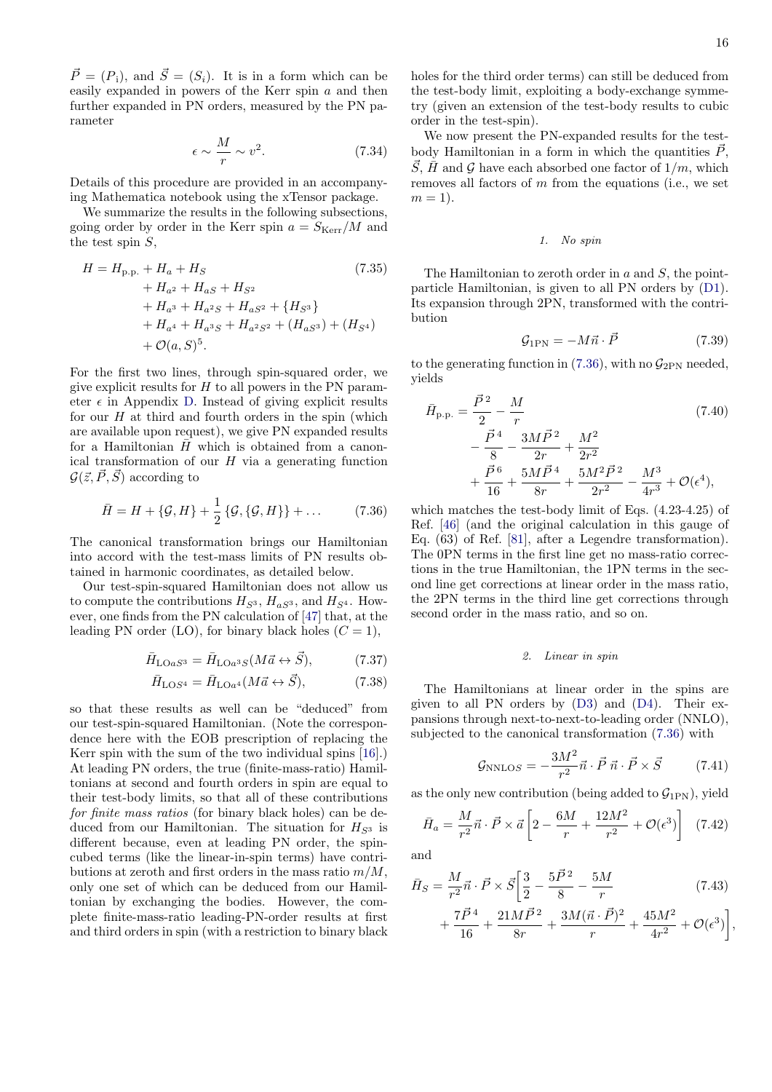$\vec{P} = (P_i)$ , and  $\vec{S} = (S_i)$ . It is in a form which can be easily expanded in powers of the Kerr spin a and then further expanded in PN orders, measured by the PN parameter

$$
\epsilon \sim \frac{M}{r} \sim v^2. \tag{7.34}
$$

Details of this procedure are provided in an accompanying Mathematica notebook using the xTensor package.

We summarize the results in the following subsections, going order by order in the Kerr spin  $a = S_{\text{Kerr}}/M$  and the test spin  $S$ ,

$$
H = H_{p.p.} + H_a + H_S
$$
\n
$$
+ H_{a^2} + H_{aS} + H_{S^2}
$$
\n
$$
+ H_{a^3} + H_{a^2S} + H_{aS^2} + \{H_{S^3}\}
$$
\n
$$
+ H_{a^4} + H_{a^3S} + H_{a^2S^2} + (H_{aS^3}) + (H_{S^4})
$$
\n
$$
+ \mathcal{O}(a, S)^5.
$$
\n(7.35)

For the first two lines, through spin-squared order, we give explicit results for  $H$  to all powers in the PN parameter  $\epsilon$  in Appendix [D.](#page-20-1) Instead of giving explicit results for our  $H$  at third and fourth orders in the spin (which are available upon request), we give PN expanded results for a Hamiltonian  $\bar{H}$  which is obtained from a canonical transformation of our  $H$  via a generating function  $\mathcal{G}(\vec{z}, \vec{P}, \vec{S})$  according to

<span id="page-15-0"></span>
$$
\bar{H} = H + \{ \mathcal{G}, H \} + \frac{1}{2} \{ \mathcal{G}, \{ \mathcal{G}, H \} \} + \dots \tag{7.36}
$$

The canonical transformation brings our Hamiltonian into accord with the test-mass limits of PN results obtained in harmonic coordinates, as detailed below.

Our test-spin-squared Hamiltonian does not allow us to compute the contributions  $H_{S^3}$ ,  $H_{aS^3}$ , and  $H_{S^4}$ . However, one finds from the PN calculation of [\[47\]](#page-23-2) that, at the leading PN order (LO), for binary black holes  $(C = 1)$ ,

$$
\bar{H}_{\text{LO}aS^3} = \bar{H}_{\text{LO}a^3S}(M\vec{a} \leftrightarrow \vec{S}),\tag{7.37}
$$

$$
\bar{H}_{\text{LO}S^4} = \bar{H}_{\text{LO}a^4}(M\vec{a} \leftrightarrow \vec{S}),\tag{7.38}
$$

so that these results as well can be "deduced" from our test-spin-squared Hamiltonian. (Note the correspondence here with the EOB prescription of replacing the Kerr spin with the sum of the two individual spins [\[16\]](#page-22-7).) At leading PN orders, the true (finite-mass-ratio) Hamiltonians at second and fourth orders in spin are equal to their test-body limits, so that all of these contributions for finite mass ratios (for binary black holes) can be deduced from our Hamiltonian. The situation for  $H_{S^3}$  is different because, even at leading PN order, the spincubed terms (like the linear-in-spin terms) have contributions at zeroth and first orders in the mass ratio  $m/M$ , only one set of which can be deduced from our Hamiltonian by exchanging the bodies. However, the complete finite-mass-ratio leading-PN-order results at first and third orders in spin (with a restriction to binary black

holes for the third order terms) can still be deduced from the test-body limit, exploiting a body-exchange symmetry (given an extension of the test-body results to cubic order in the test-spin).

We now present the PN-expanded results for the testbody Hamiltonian in a form in which the quantities  $\vec{P}$ ,  $\vec{S}$ ,  $\vec{H}$  and G have each absorbed one factor of  $1/m$ , which removes all factors of  $m$  from the equations (i.e., we set  $m = 1$ ).

### 1. No spin

The Hamiltonian to zeroth order in  $a$  and  $S$ , the pointparticle Hamiltonian, is given to all PN orders by [\(D1\)](#page-20-2). Its expansion through 2PN, transformed with the contribution

$$
\mathcal{G}_{1\text{PN}} = -M\vec{n} \cdot \vec{P} \tag{7.39}
$$

to the generating function in [\(7.36\)](#page-15-0), with no  $\mathcal{G}_{2PN}$  needed, yields

$$
\bar{H}_{\text{p.p.}} = \frac{\vec{P}^2}{2} - \frac{M}{r}
$$
\n
$$
-\frac{\vec{P}^4}{8} - \frac{3M\vec{P}^2}{2r} + \frac{M^2}{2r^2}
$$
\n
$$
+\frac{\vec{P}^6}{16} + \frac{5M\vec{P}^4}{8r} + \frac{5M^2\vec{P}^2}{2r^2} - \frac{M^3}{4r^3} + \mathcal{O}(\epsilon^4),
$$
\n(7.40)

which matches the test-body limit of Eqs. (4.23-4.25) of Ref. [\[46\]](#page-23-1) (and the original calculation in this gauge of Eq. (63) of Ref. [\[81\]](#page-24-2), after a Legendre transformation). The 0PN terms in the first line get no mass-ratio corrections in the true Hamiltonian, the 1PN terms in the second line get corrections at linear order in the mass ratio, the 2PN terms in the third line get corrections through second order in the mass ratio, and so on.

## 2. Linear in spin

<span id="page-15-2"></span><span id="page-15-1"></span>The Hamiltonians at linear order in the spins are given to all PN orders by [\(D3\)](#page-20-3) and [\(D4\)](#page-20-4). Their expansions through next-to-next-to-leading order (NNLO), subjected to the canonical transformation [\(7.36\)](#page-15-0) with

$$
\mathcal{G}_{\text{NNLOS}} = -\frac{3M^2}{r^2} \vec{n} \cdot \vec{P} \,\vec{n} \cdot \vec{P} \times \vec{S} \tag{7.41}
$$

as the only new contribution (being added to  $\mathcal{G}_{1PN}$ ), yield

$$
\bar{H}_a = \frac{M}{r^2} \vec{n} \cdot \vec{P} \times \vec{a} \left[ 2 - \frac{6M}{r} + \frac{12M^2}{r^2} + \mathcal{O}(\epsilon^3) \right] \tag{7.42}
$$

and

$$
\bar{H}_S = \frac{M}{r^2} \vec{n} \cdot \vec{P} \times \vec{S} \left[ \frac{3}{2} - \frac{5\vec{P}^2}{8} - \frac{5M}{r} \right] \tag{7.43}
$$
\n
$$
7\vec{P}^4 = 21M\vec{P}^2 = 3M(\vec{n} \cdot \vec{P})^2 = 45M^2 \qquad \text{a}
$$

$$
+\frac{7\vec{P}^4}{16}+\frac{21M\vec{P}^2}{8r}+\frac{3M(\vec{n}\cdot\vec{P})^2}{r}+\frac{45M^2}{4r^2}+\mathcal{O}(\epsilon^3)\bigg],
$$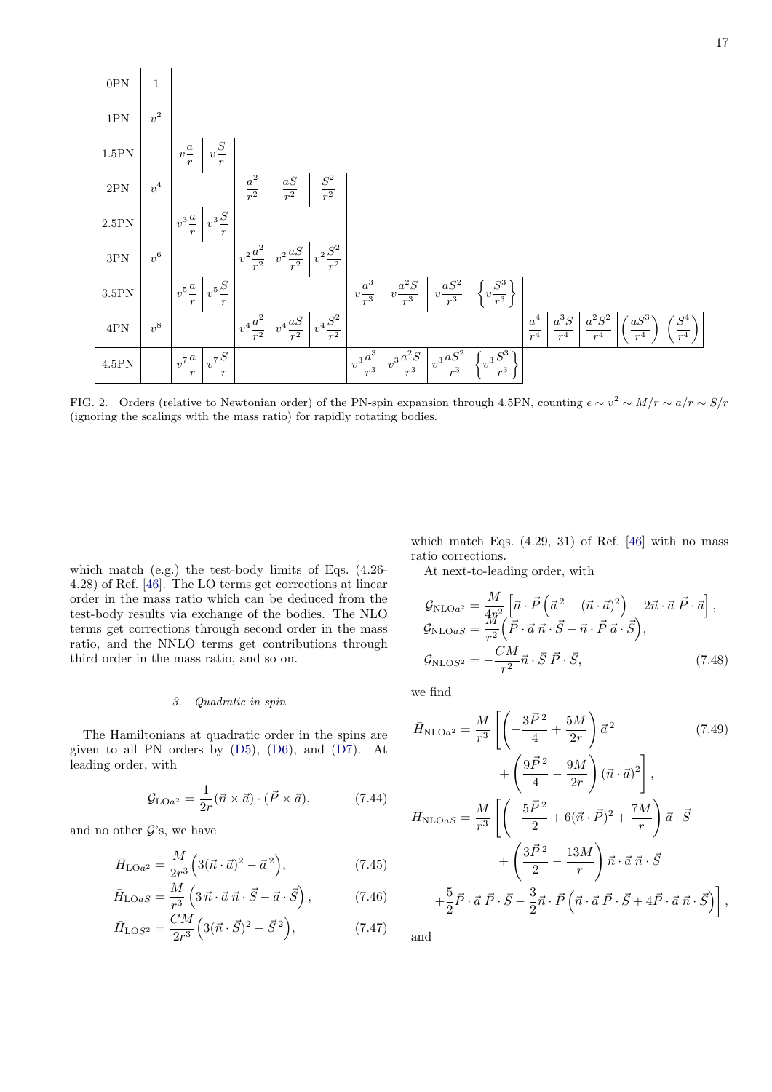| $0\mathrm{PN}$   | $\mathbf{1}$       |                                         |                                       |                                                    |                                                       |                                         |                      |                                                               |                                                      |                                                    |                          |                                 |                   |                    |                                    |
|------------------|--------------------|-----------------------------------------|---------------------------------------|----------------------------------------------------|-------------------------------------------------------|-----------------------------------------|----------------------|---------------------------------------------------------------|------------------------------------------------------|----------------------------------------------------|--------------------------|---------------------------------|-------------------|--------------------|------------------------------------|
| $1\mathrm{PN}$   | $\boldsymbol{v}^2$ |                                         |                                       |                                                    |                                                       |                                         |                      |                                                               |                                                      |                                                    |                          |                                 |                   |                    |                                    |
| 1.5 PN           |                    | $v^{\underline{a}}$<br>$\boldsymbol{r}$ | $\cal S$<br>$v -$<br>$\boldsymbol{r}$ |                                                    |                                                       |                                         |                      |                                                               |                                                      |                                                    |                          |                                 |                   |                    |                                    |
| $2\mathrm{PN}$   | $\boldsymbol{v}^4$ |                                         |                                       | $\frac{a^2}{r^2}$                                  | $\frac{aS}{r^2}$                                      | $\frac{S^2}{r^2}$                       |                      |                                                               |                                                      |                                                    |                          |                                 |                   |                    |                                    |
| $2.5\mathrm{PN}$ |                    | $v^3\frac{a}{-}$<br>$\boldsymbol{r}$    | $v^3\frac{S}{A}$<br>$\boldsymbol{r}$  |                                                    |                                                       |                                         |                      |                                                               |                                                      |                                                    |                          |                                 |                   |                    |                                    |
| $3\mathrm{PN}$   | $\boldsymbol{v}^6$ |                                         |                                       | $+v^2\frac{\overline{a^2}}{2}$<br>$\overline{r^2}$ | $\mid v^2 \frac{aS}{\mid}$ $\mid$<br>$\overline{r^2}$ | $v^2\frac{S^2}{r^2}$                    |                      |                                                               |                                                      |                                                    |                          |                                 |                   |                    |                                    |
| $3.5\mathrm{PN}$ |                    | $v^5\frac{a}{-}$<br>$\boldsymbol{r}$    | $v^5\frac{S}{A}$<br>$\boldsymbol{r}$  |                                                    |                                                       |                                         | $v\frac{a^3}{r^3}$   | $v\frac{a^2S}{r}$<br>$r^3$                                    | $v\frac{aS^2}{a}$<br>$r^3$                           | $\sqrt{\frac{S^3}{r^3}}$                           |                          |                                 |                   |                    |                                    |
| $4\mathrm{PN}$   | $v^8$              |                                         |                                       | $v^4\frac{a^2}{r^2}$                               | $\mid v^4 \frac{aS}{\cdot} \mid$<br>$\overline{r^2}$  | $v^4\overline{S^2}$<br>$\overline{r^2}$ |                      |                                                               |                                                      |                                                    | $a^4$<br>$\frac{1}{r^4}$ | $a^3{\cal S}$<br>r <sup>4</sup> | $a^2S^2$<br>$r^4$ | $a S^3$<br>$\,r^4$ | $\mathbb{S}^4$<br>$\overline{r^4}$ |
| $4.5\mathrm{PN}$ |                    | $v^7\frac{a}{r}$                        | $v^7\frac{S}{A}$<br>$\,r\,$           |                                                    |                                                       |                                         | $v^3\frac{a^3}{r^3}$ | $\mid \text{ }_{v^{3}}\text{ }a^{\overline{2}S}\mid$<br>$r^3$ | $\int v^3 \frac{aS^2}{\sqrt{2}}$<br>$\overline{r^3}$ | $\sqrt{v^3 \frac{S^3}{\cdot}}$<br>$\overline{r^3}$ |                          |                                 |                   |                    |                                    |

FIG. 2. Orders (relative to Newtonian order) of the PN-spin expansion through 4.5PN, counting  $\epsilon \sim v^2 \sim M/r \sim a/r \sim S/r$ (ignoring the scalings with the mass ratio) for rapidly rotating bodies.

which match (e.g.) the test-body limits of Eqs. (4.26- 4.28) of Ref. [\[46\]](#page-23-1). The LO terms get corrections at linear order in the mass ratio which can be deduced from the test-body results via exchange of the bodies. The NLO terms get corrections through second order in the mass ratio, and the NNLO terms get contributions through third order in the mass ratio, and so on.

## 3. Quadratic in spin

The Hamiltonians at quadratic order in the spins are given to all PN orders by [\(D5\)](#page-21-7), [\(D6\)](#page-21-8), and [\(D7\)](#page-21-9). At leading order, with

$$
\mathcal{G}_{\text{LO}a^2} = \frac{1}{2r} (\vec{n} \times \vec{a}) \cdot (\vec{P} \times \vec{a}), \tag{7.44}
$$

and no other  $\mathcal{G}'s$ , we have

$$
\bar{H}_{\text{LO}a^2} = \frac{M}{2r^3} \Big( 3(\vec{n} \cdot \vec{a})^2 - \vec{a}^2 \Big), \tag{7.45}
$$

$$
\bar{H}_{\text{LO}aS} = \frac{M}{r^3} \left( 3 \,\vec{n} \cdot \vec{a} \,\vec{n} \cdot \vec{S} - \vec{a} \cdot \vec{S} \right),\tag{7.46}
$$

$$
\bar{H}_{\text{LOS}^2} = \frac{CM}{2r^3} \Big( 3(\vec{n} \cdot \vec{S})^2 - \vec{S}^2 \Big),\tag{7.47}
$$

which match Eqs.  $(4.29, 31)$  of Ref.  $[46]$  with no mass ratio corrections.

At next-to-leading order, with

$$
\mathcal{G}_{\text{NLO}a^2} = \frac{M}{\mathcal{H}^2} \left[ \vec{n} \cdot \vec{P} \left( \vec{a}^2 + (\vec{n} \cdot \vec{a})^2 \right) - 2\vec{n} \cdot \vec{a} \ \vec{P} \cdot \vec{a} \right],
$$
  
\n
$$
\mathcal{G}_{\text{NLO}aS} = \frac{\mathcal{H}^2}{r^2} \left( \vec{P} \cdot \vec{a} \ \vec{n} \cdot \vec{S} - \vec{n} \cdot \vec{P} \ \vec{a} \cdot \vec{S} \right),
$$
  
\n
$$
\mathcal{G}_{\text{NLO}S^2} = -\frac{CM}{r^2} \vec{n} \cdot \vec{S} \ \vec{P} \cdot \vec{S},
$$
\n(7.48)

we find

$$
\bar{H}_{\rm NLOa^2} = \frac{M}{r^3} \left[ \left( -\frac{3\vec{P}^2}{4} + \frac{5M}{2r} \right) \vec{a}^2 + \left( \frac{9\vec{P}^2}{4} - \frac{9M}{2r} \right) (\vec{n} \cdot \vec{a})^2 \right],
$$
\n
$$
\bar{H}_{\rm NLOaS} = \frac{M}{r^3} \left[ \left( -\frac{5\vec{P}^2}{2} + 6(\vec{n} \cdot \vec{P})^2 + \frac{7M}{r} \right) \vec{a} \cdot \vec{S} + \left( \frac{3\vec{P}^2}{2} - \frac{13M}{r} \right) \vec{n} \cdot \vec{a} \vec{n} \cdot \vec{S} + \frac{5}{2} \vec{P} \cdot \vec{a} \vec{P} \cdot \vec{S} - \frac{3}{2} \vec{n} \cdot \vec{P} \left( \vec{n} \cdot \vec{a} \vec{P} \cdot \vec{S} + 4\vec{P} \cdot \vec{a} \vec{n} \cdot \vec{S} \right) \right],
$$
\n(7.49)

and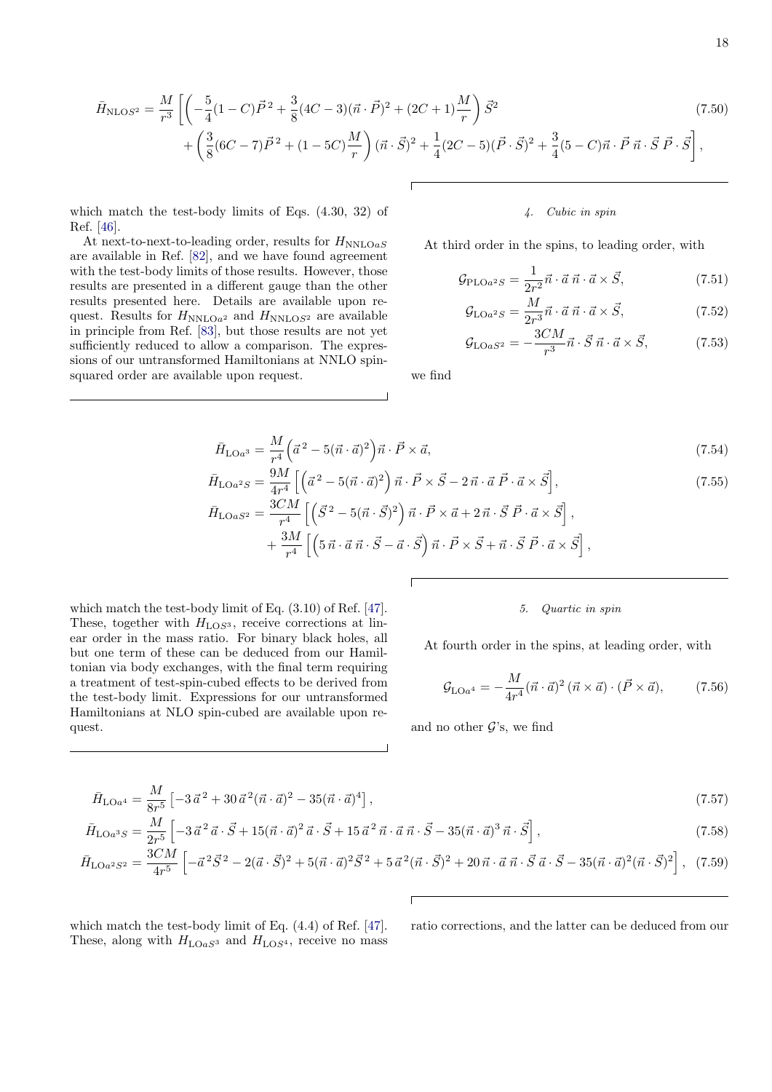$$
\bar{H}_{\text{NLOS}^2} = \frac{M}{r^3} \left[ \left( -\frac{5}{4} (1 - C) \vec{P}^2 + \frac{3}{8} (4C - 3)(\vec{n} \cdot \vec{P})^2 + (2C + 1) \frac{M}{r} \right) \vec{S}^2 + \left( \frac{3}{8} (6C - 7) \vec{P}^2 + (1 - 5C) \frac{M}{r} \right) (\vec{n} \cdot \vec{S})^2 + \frac{1}{4} (2C - 5)(\vec{P} \cdot \vec{S})^2 + \frac{3}{4} (5 - C) \vec{n} \cdot \vec{P} \vec{n} \cdot \vec{S} \vec{P} \cdot \vec{S} \right],
$$
\n(7.50)

which match the test-body limits of Eqs. (4.30, 32) of Ref. [\[46\]](#page-23-1).

At next-to-next-to-leading order, results for  $H_{NNLOaS}$ are available in Ref. [\[82\]](#page-24-3), and we have found agreement with the test-body limits of those results. However, those results are presented in a different gauge than the other results presented here. Details are available upon request. Results for  $H_{NNLOa^2}$  and  $H_{NNLOS^2}$  are available in principle from Ref. [\[83\]](#page-24-4), but those results are not yet sufficiently reduced to allow a comparison. The expressions of our untransformed Hamiltonians at NNLO spinsquared order are available upon request.

which match the test-body limit of Eq. (3.10) of Ref. [\[47\]](#page-23-2). These, together with  $H<sub>LOS<sup>3</sup></sub>$ , receive corrections at linear order in the mass ratio. For binary black holes, all but one term of these can be deduced from our Hamiltonian via body exchanges, with the final term requiring a treatment of test-spin-cubed effects to be derived from the test-body limit. Expressions for our untransformed Hamiltonians at NLO spin-cubed are available upon re-

quest.

## 4. Cubic in spin

At third order in the spins, to leading order, with

$$
\mathcal{G}_{\text{PLO}a^2S} = \frac{1}{2r^2} \vec{n} \cdot \vec{a} \ \vec{n} \cdot \vec{a} \times \vec{S},\tag{7.51}
$$

$$
\mathcal{G}_{\text{LO}a^2S} = \frac{M}{2r^3} \vec{n} \cdot \vec{a} \ \vec{n} \cdot \vec{a} \times \vec{S},\tag{7.52}
$$

$$
\mathcal{G}_{\text{LO}aS^2} = -\frac{3CM}{r^3} \vec{n} \cdot \vec{S} \,\vec{n} \cdot \vec{a} \times \vec{S},\tag{7.53}
$$

we find

$$
\bar{H}_{\text{LO}a^3} = \frac{M}{r^4} \left( \vec{a}^2 - 5(\vec{n} \cdot \vec{a})^2 \right) \vec{n} \cdot \vec{P} \times \vec{a},\tag{7.54}
$$

$$
\bar{H}_{\text{LO}a2S} = \frac{9M}{4r^4} \left[ \left( \vec{a}^2 - 5(\vec{n} \cdot \vec{a})^2 \right) \vec{n} \cdot \vec{P} \times \vec{S} - 2\vec{n} \cdot \vec{a} \ \vec{P} \cdot \vec{a} \times \vec{S} \right],\n\tilde{H}_{\text{LO}aS^2} = \frac{3CM}{r^4} \left[ \left( \vec{S}^2 - 5(\vec{n} \cdot \vec{S})^2 \right) \vec{n} \cdot \vec{P} \times \vec{a} + 2\vec{n} \cdot \vec{S} \ \vec{P} \cdot \vec{a} \times \vec{S} \right],\n+ \frac{3M}{r^4} \left[ \left( 5\vec{n} \cdot \vec{a} \ \vec{n} \cdot \vec{S} - \vec{a} \cdot \vec{S} \right) \vec{n} \cdot \vec{P} \times \vec{S} + \vec{n} \cdot \vec{S} \ \vec{P} \cdot \vec{a} \times \vec{S} \right],
$$
\n(7.55)

5. Quartic in spin

At fourth order in the spins, at leading order, with

$$
\mathcal{G}_{\text{LO}a^4} = -\frac{M}{4r^4} (\vec{n} \cdot \vec{a})^2 (\vec{n} \times \vec{a}) \cdot (\vec{P} \times \vec{a}), \tag{7.56}
$$

and no other  $\mathcal{G}$ 's, we find

$$
\bar{H}_{\text{LO}a^4} = \frac{M}{8r^5} \left[ -3\,\vec{a}^{\,2} + 30\,\vec{a}^{\,2}(\vec{n}\cdot\vec{a})^2 - 35(\vec{n}\cdot\vec{a})^4 \right],\tag{7.57}
$$

$$
\bar{H}_{\text{LO}a^3S} = \frac{M}{2r^5} \left[ -3\,\vec{a}^{\,2}\,\vec{a} \cdot \vec{S} + 15(\vec{n} \cdot \vec{a})^2\,\vec{a} \cdot \vec{S} + 15\,\vec{a}^{\,2}\,\vec{n} \cdot \vec{a}\,\vec{n} \cdot \vec{S} - 35(\vec{n} \cdot \vec{a})^3\,\vec{n} \cdot \vec{S} \right],\tag{7.58}
$$

$$
\bar{H}_{\text{LO}a^2S^2} = \frac{3CM}{4r^5} \left[ -\vec{a}^2 \vec{S}^2 - 2(\vec{a} \cdot \vec{S})^2 + 5(\vec{n} \cdot \vec{a})^2 \vec{S}^2 + 5\vec{a}^2 (\vec{n} \cdot \vec{S})^2 + 20\vec{n} \cdot \vec{a} \cdot \vec{n} \cdot \vec{S} \cdot \vec{a} \cdot \vec{S} - 35(\vec{n} \cdot \vec{a})^2 (\vec{n} \cdot \vec{S})^2 \right], \tag{7.59}
$$

which match the test-body limit of Eq. (4.4) of Ref. [\[47\]](#page-23-2). These, along with  $H_{\text{LO}aS^3}$  and  $H_{\text{LO}S^4}$ , receive no mass ratio corrections, and the latter can be deduced from our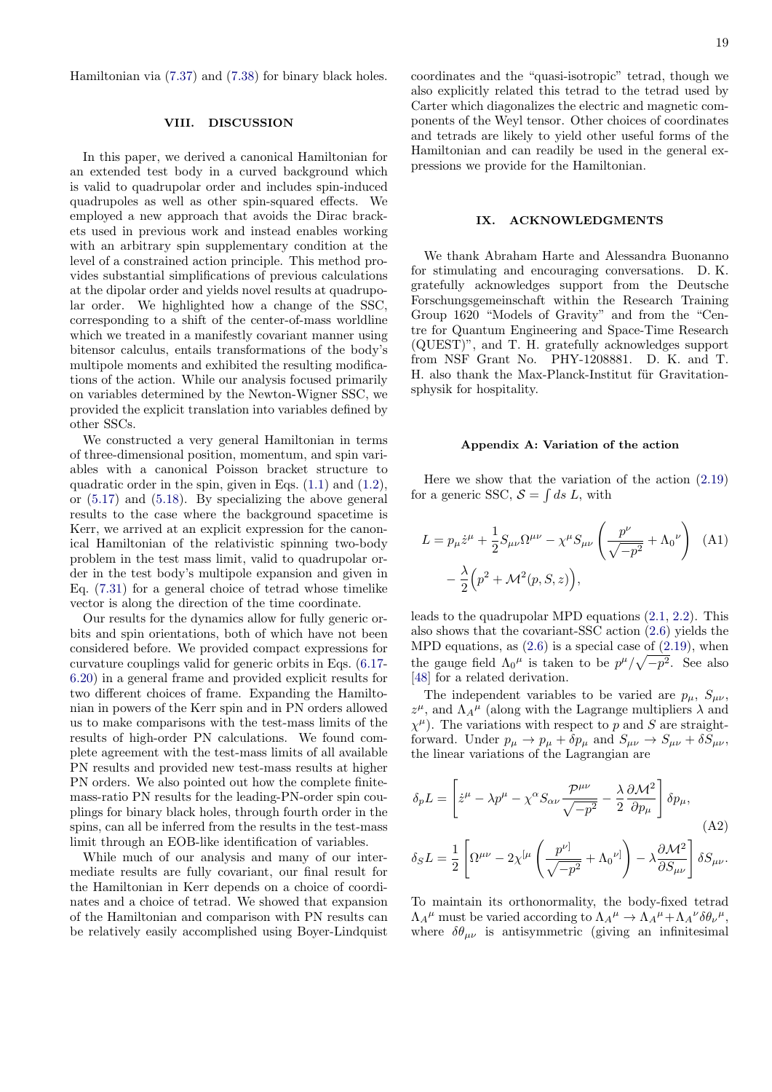Hamiltonian via [\(7.37\)](#page-15-1) and [\(7.38\)](#page-15-2) for binary black holes.

### <span id="page-18-0"></span>VIII. DISCUSSION

In this paper, we derived a canonical Hamiltonian for an extended test body in a curved background which is valid to quadrupolar order and includes spin-induced quadrupoles as well as other spin-squared effects. We employed a new approach that avoids the Dirac brackets used in previous work and instead enables working with an arbitrary spin supplementary condition at the level of a constrained action principle. This method provides substantial simplifications of previous calculations at the dipolar order and yields novel results at quadrupolar order. We highlighted how a change of the SSC, corresponding to a shift of the center-of-mass worldline which we treated in a manifestly covariant manner using bitensor calculus, entails transformations of the body's multipole moments and exhibited the resulting modifications of the action. While our analysis focused primarily on variables determined by the Newton-Wigner SSC, we provided the explicit translation into variables defined by other SSCs.

We constructed a very general Hamiltonian in terms of three-dimensional position, momentum, and spin variables with a canonical Poisson bracket structure to quadratic order in the spin, given in Eqs. [\(1.1\)](#page-1-1) and [\(1.2\)](#page-1-0), or [\(5.17\)](#page-9-0) and [\(5.18\)](#page-9-9). By specializing the above general results to the case where the background spacetime is Kerr, we arrived at an explicit expression for the canonical Hamiltonian of the relativistic spinning two-body problem in the test mass limit, valid to quadrupolar order in the test body's multipole expansion and given in Eq. [\(7.31\)](#page-14-0) for a general choice of tetrad whose timelike vector is along the direction of the time coordinate.

Our results for the dynamics allow for fully generic orbits and spin orientations, both of which have not been considered before. We provided compact expressions for curvature couplings valid for generic orbits in Eqs. [\(6.17-](#page-10-9) [6.20\)](#page-11-5) in a general frame and provided explicit results for two different choices of frame. Expanding the Hamiltonian in powers of the Kerr spin and in PN orders allowed us to make comparisons with the test-mass limits of the results of high-order PN calculations. We found complete agreement with the test-mass limits of all available PN results and provided new test-mass results at higher PN orders. We also pointed out how the complete finitemass-ratio PN results for the leading-PN-order spin couplings for binary black holes, through fourth order in the spins, can all be inferred from the results in the test-mass limit through an EOB-like identification of variables.

While much of our analysis and many of our intermediate results are fully covariant, our final result for the Hamiltonian in Kerr depends on a choice of coordinates and a choice of tetrad. We showed that expansion of the Hamiltonian and comparison with PN results can be relatively easily accomplished using Boyer-Lindquist 19

coordinates and the "quasi-isotropic" tetrad, though we also explicitly related this tetrad to the tetrad used by Carter which diagonalizes the electric and magnetic components of the Weyl tensor. Other choices of coordinates and tetrads are likely to yield other useful forms of the Hamiltonian and can readily be used in the general expressions we provide for the Hamiltonian.

## IX. ACKNOWLEDGMENTS

We thank Abraham Harte and Alessandra Buonanno for stimulating and encouraging conversations. D. K. gratefully acknowledges support from the Deutsche Forschungsgemeinschaft within the Research Training Group 1620 "Models of Gravity" and from the "Centre for Quantum Engineering and Space-Time Research (QUEST)", and T. H. gratefully acknowledges support from NSF Grant No. PHY-1208881. D. K. and T. H. also thank the Max-Planck-Institut für Gravitationsphysik for hospitality.

### <span id="page-18-3"></span><span id="page-18-1"></span>Appendix A: Variation of the action

Here we show that the variation of the action [\(2.19\)](#page-4-1) for a generic SSC,  $S = \int ds L$ , with

$$
L = p_{\mu}\dot{z}^{\mu} + \frac{1}{2}S_{\mu\nu}\Omega^{\mu\nu} - \chi^{\mu}S_{\mu\nu}\left(\frac{p^{\nu}}{\sqrt{-p^2}} + \Lambda_0^{\nu}\right)
$$
 (A1)  

$$
-\frac{\lambda}{2}\left(p^2 + \mathcal{M}^2(p, S, z)\right),
$$

leads to the quadrupolar MPD equations [\(2.1,](#page-2-1) [2.2\)](#page-2-2). This also shows that the covariant-SSC action [\(2.6\)](#page-3-1) yields the MPD equations, as  $(2.6)$  is a special case of  $(2.19)$ , when the gauge field  $\Lambda_0^{\mu}$  is taken to be  $p^{\mu}/\sqrt{-p^2}$ . See also [\[48\]](#page-23-6) for a related derivation.

The independent variables to be varied are  $p_{\mu}$ ,  $S_{\mu\nu}$ ,  $z^{\mu}$ , and  $\Lambda_{A}{}^{\mu}$  (along with the Lagrange multipliers  $\lambda$  and  $\chi^{\mu}$ ). The variations with respect to p and S are straightforward. Under  $p_{\mu} \to p_{\mu} + \delta p_{\mu}$  and  $S_{\mu\nu} \to S_{\mu\nu} + \delta S_{\mu\nu}$ , the linear variations of the Lagrangian are

<span id="page-18-2"></span>
$$
\delta_p L = \left[ \dot{z}^{\mu} - \lambda p^{\mu} - \chi^{\alpha} S_{\alpha\nu} \frac{\mathcal{P}^{\mu\nu}}{\sqrt{-p^2}} - \frac{\lambda}{2} \frac{\partial \mathcal{M}^2}{\partial p_{\mu}} \right] \delta p_{\mu},
$$
\n
$$
\delta_S L = \frac{1}{2} \left[ \Omega^{\mu\nu} - 2\chi^{[\mu} \left( \frac{p^{\nu]}}{\sqrt{-p^2}} + \Lambda_0^{\nu]} \right) - \lambda \frac{\partial \mathcal{M}^2}{\partial S_{\mu\nu}} \right] \delta S_{\mu\nu}.
$$
\n(A2)

To maintain its orthonormality, the body-fixed tetrad  $\Lambda_{A}{}^{\mu}$  must be varied according to  $\Lambda_{A}{}^{\mu} \to \Lambda_{A}{}^{\mu} + \Lambda_{A}{}^{\nu} \delta \theta_{\nu}{}^{\mu}$ , where  $\delta\theta_{\mu\nu}$  is antisymmetric (giving an infinitesimal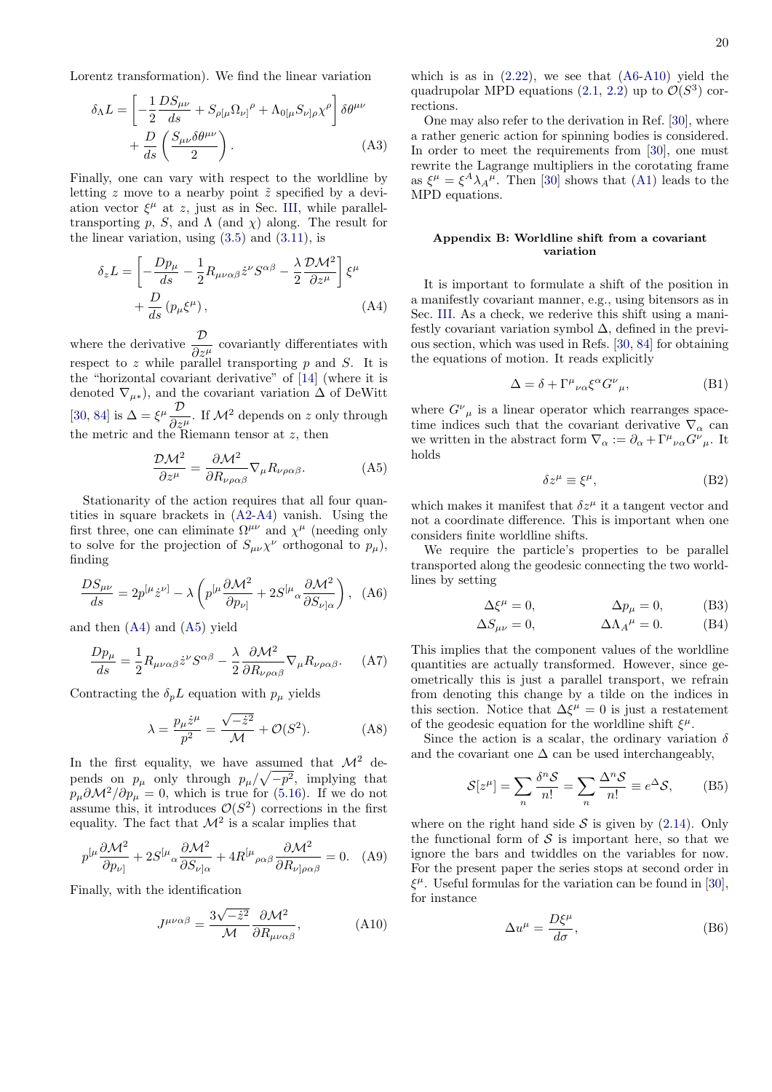Lorentz transformation). We find the linear variation

$$
\delta_{\Lambda}L = \left[ -\frac{1}{2} \frac{D S_{\mu\nu}}{ds} + S_{\rho[\mu} \Omega_{\nu]}{}^{\rho} + \Lambda_{0[\mu} S_{\nu]\rho} \chi^{\rho} \right] \delta\theta^{\mu\nu} + \frac{D}{ds} \left( \frac{S_{\mu\nu} \delta\theta^{\mu\nu}}{2} \right). \tag{A3}
$$

Finally, one can vary with respect to the worldline by letting z move to a nearby point  $\tilde{z}$  specified by a deviation vector  $\xi^{\mu}$  at z, just as in Sec. [III,](#page-5-0) while paralleltransporting p, S, and  $\Lambda$  (and  $\chi$ ) along. The result for the linear variation, using  $(3.5)$  and  $(3.11)$ , is

$$
\delta_z L = \left[ -\frac{D p_\mu}{ds} - \frac{1}{2} R_{\mu\nu\alpha\beta} \dot{z}^\nu S^{\alpha\beta} - \frac{\lambda}{2} \frac{\mathcal{D} \mathcal{M}^2}{\partial z^\mu} \right] \xi^\mu + \frac{D}{ds} \left( p_\mu \xi^\mu \right), \tag{A4}
$$

where the derivative  $\frac{\mathcal{D}}{\partial z^{\mu}}$  covariantly differentiates with respect to  $z$  while parallel transporting  $p$  and  $S$ . It is the "horizontal covariant derivative" of [\[14\]](#page-22-5) (where it is denoted  $\nabla_{\mu*}$ , and the covariant variation  $\Delta$  of DeWitt [\[30,](#page-22-17) [84\]](#page-24-5) is  $\Delta = \xi^{\mu} \frac{\mathcal{D}}{2}$  $rac{\mathcal{D}}{\partial z^{\mu}}$ . If  $\mathcal{M}^2$  depends on z only through the metric and the Riemann tensor at  $z$ , then

<span id="page-19-2"></span>
$$
\frac{\mathcal{D}\mathcal{M}^2}{\partial z^{\mu}} = \frac{\partial \mathcal{M}^2}{\partial R_{\nu\rho\alpha\beta}} \nabla_{\mu} R_{\nu\rho\alpha\beta}.
$$
 (A5)

Stationarity of the action requires that all four quantities in square brackets in [\(A2-](#page-18-2)[A4\)](#page-19-1) vanish. Using the first three, one can eliminate  $\Omega^{\mu\nu}$  and  $\chi^{\mu}$  (needing only to solve for the projection of  $S_{\mu\nu}\chi^{\nu}$  orthogonal to  $p_{\mu}$ ), finding

<span id="page-19-3"></span>
$$
\frac{DS_{\mu\nu}}{ds} = 2p^{[\mu}\dot{z}^{\nu]} - \lambda \left( p^{[\mu}\frac{\partial \mathcal{M}^2}{\partial p_{\nu]}} + 2S^{[\mu}{}_{\alpha}\frac{\partial \mathcal{M}^2}{\partial S_{\nu]\alpha}} \right), \quad (A6)
$$

and then [\(A4\)](#page-19-1) and [\(A5\)](#page-19-2) yield

$$
\frac{Dp_{\mu}}{ds} = \frac{1}{2} R_{\mu\nu\alpha\beta} \dot{z}^{\nu} S^{\alpha\beta} - \frac{\lambda}{2} \frac{\partial \mathcal{M}^2}{\partial R_{\nu\rho\alpha\beta}} \nabla_{\mu} R_{\nu\rho\alpha\beta}.
$$
 (A7)

Contracting the  $\delta_p L$  equation with  $p_\mu$  yields

$$
\lambda = \frac{p_{\mu}\dot{z}^{\mu}}{p^2} = \frac{\sqrt{-\dot{z}^2}}{\mathcal{M}} + \mathcal{O}(S^2). \tag{A8}
$$

In the first equality, we have assumed that  $\mathcal{M}^2$  depends on  $p_{\mu}$  only through  $p_{\mu}/\sqrt{-p^2}$ , implying that  $p_{\mu}\partial\mathcal{M}^2/\partial p_{\mu} = 0$ , which is true for [\(5.16\)](#page-9-2). If we do not assume this, it introduces  $\mathcal{O}(S^2)$  corrections in the first equality. The fact that  $\mathcal{M}^2$  is a scalar implies that

$$
p^{[\mu}\frac{\partial \mathcal{M}^2}{\partial p_{\nu]}} + 2S^{[\mu}{}_{\alpha}\frac{\partial \mathcal{M}^2}{\partial S_{\nu]}\alpha} + 4R^{[\mu}{}_{\rho\alpha\beta}\frac{\partial \mathcal{M}^2}{\partial R_{\nu]}\rho\alpha\beta} = 0. \quad (A9)
$$

Finally, with the identification

<span id="page-19-4"></span>
$$
J^{\mu\nu\alpha\beta} = \frac{3\sqrt{-\dot{z}^2}}{\mathcal{M}} \frac{\partial \mathcal{M}^2}{\partial R_{\mu\nu\alpha\beta}},
$$
 (A10)

which is as in  $(2.22)$ , we see that  $(46-410)$  yield the quadrupolar MPD equations  $(2.1, 2.2)$  $(2.1, 2.2)$  up to  $\mathcal{O}(S^3)$  corrections.

One may also refer to the derivation in Ref. [\[30\]](#page-22-17), where a rather generic action for spinning bodies is considered. In order to meet the requirements from [\[30\]](#page-22-17), one must rewrite the Lagrange multipliers in the corotating frame as  $\xi^{\mu} = \xi^{A} \lambda_{A}^{\mu}$ . Then [\[30\]](#page-22-17) shows that [\(A1\)](#page-18-3) leads to the MPD equations.

## <span id="page-19-0"></span>Appendix B: Worldline shift from a covariant variation

<span id="page-19-1"></span>It is important to formulate a shift of the position in a manifestly covariant manner, e.g., using bitensors as in Sec. [III.](#page-5-0) As a check, we rederive this shift using a manifestly covariant variation symbol ∆, defined in the previous section, which was used in Refs. [\[30,](#page-22-17) [84\]](#page-24-5) for obtaining the equations of motion. It reads explicitly

$$
\Delta = \delta + \Gamma^{\mu}{}_{\nu\alpha} \xi^{\alpha} G^{\nu}{}_{\mu},\tag{B1}
$$

where  $G^{\nu}{}_{\mu}$  is a linear operator which rearranges spacetime indices such that the covariant derivative  $\nabla_{\alpha}$  can we written in the abstract form  $\nabla_{\alpha} := \partial_{\alpha} + \Gamma^{\mu}{}_{\nu\alpha} G^{\nu}{}_{\mu}$ . It holds

$$
\delta z^{\mu} \equiv \xi^{\mu},\tag{B2}
$$

which makes it manifest that  $\delta z^{\mu}$  it a tangent vector and not a coordinate difference. This is important when one considers finite worldline shifts.

We require the particle's properties to be parallel transported along the geodesic connecting the two worldlines by setting

$$
\Delta \xi^{\mu} = 0, \qquad \Delta p_{\mu} = 0, \qquad (B3)
$$

$$
\Delta S_{\mu\nu} = 0, \qquad \Delta \Lambda_A{}^{\mu} = 0. \qquad (B4)
$$

This implies that the component values of the worldline quantities are actually transformed. However, since geometrically this is just a parallel transport, we refrain from denoting this change by a tilde on the indices in this section. Notice that  $\Delta \xi^{\mu} = 0$  is just a restatement of the geodesic equation for the worldline shift  $\xi^{\mu}$ .

Since the action is a scalar, the ordinary variation  $\delta$ and the covariant one  $\Delta$  can be used interchangeably,

$$
\mathcal{S}[z^{\mu}] = \sum_{n} \frac{\delta^{n} \mathcal{S}}{n!} = \sum_{n} \frac{\Delta^{n} \mathcal{S}}{n!} \equiv e^{\Delta} \mathcal{S},
$$
 (B5)

where on the right hand side  $S$  is given by [\(2.14\)](#page-3-6). Only the functional form of  $\mathcal S$  is important here, so that we ignore the bars and twiddles on the variables for now. For the present paper the series stops at second order in  $\xi^{\mu}$ . Useful formulas for the variation can be found in [\[30\]](#page-22-17), for instance

$$
\Delta u^{\mu} = \frac{D\xi^{\mu}}{d\sigma},\tag{B6}
$$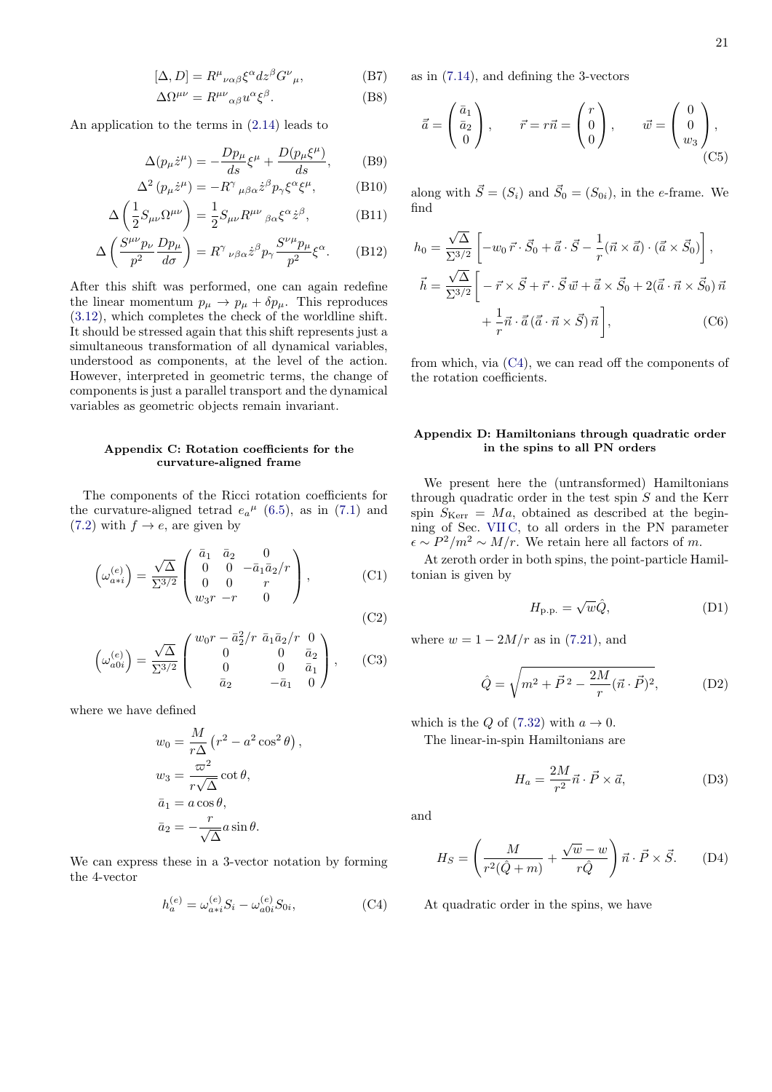$$
[\Delta, D] = R^{\mu}{}_{\nu\alpha\beta}\xi^{\alpha}dz^{\beta}G^{\nu}{}_{\mu},
$$
\n
$$
\Delta\Omega^{\mu\nu} = R^{\mu\nu}{}_{\alpha\beta}u^{\alpha}\xi^{\beta}.
$$
\n(B8)

An application to the terms in [\(2.14\)](#page-3-6) leads to

$$
\Delta(p_{\mu}\dot{z}^{\mu}) = -\frac{Dp_{\mu}}{ds}\xi^{\mu} + \frac{D(p_{\mu}\xi^{\mu})}{ds}, \quad (B9)
$$

$$
\Delta^2 (p_\mu \dot{z}^\mu) = -R^\gamma \,_{\mu\beta\alpha} \dot{z}^\beta p_\gamma \xi^\alpha \xi^\mu, \tag{B10}
$$

$$
\Delta \left( \frac{1}{2} S_{\mu\nu} \Omega^{\mu\nu} \right) = \frac{1}{2} S_{\mu\nu} R^{\mu\nu}{}_{\beta\alpha} \xi^{\alpha} \dot{z}^{\beta}, \tag{B11}
$$

$$
\Delta \left( \frac{S^{\mu\nu} p_{\nu}}{p^2} \frac{D p_{\mu}}{d\sigma} \right) = R^{\gamma}{}_{\nu\beta\alpha} \dot{z}^{\beta} p_{\gamma} \frac{S^{\nu\mu} p_{\mu}}{p^2} \xi^{\alpha}.
$$
 (B12)

After this shift was performed, one can again redefine the linear momentum  $p_{\mu} \to p_{\mu} + \delta p_{\mu}$ . This reproduces [\(3.12\)](#page-6-5), which completes the check of the worldline shift. It should be stressed again that this shift represents just a simultaneous transformation of all dynamical variables, understood as components, at the level of the action. However, interpreted in geometric terms, the change of components is just a parallel transport and the dynamical variables as geometric objects remain invariant.

## <span id="page-20-0"></span>Appendix C: Rotation coefficients for the curvature-aligned frame

The components of the Ricci rotation coefficients for the curvature-aligned tetrad  $e_a{}^{\mu}$  [\(6.5\)](#page-10-8), as in [\(7.1\)](#page-12-1) and [\(7.2\)](#page-12-3) with  $f \rightarrow e$ , are given by

$$
\left(\omega_{a\ast i}^{(e)}\right) = \frac{\sqrt{\Delta}}{\Sigma^{3/2}} \begin{pmatrix} \bar{a}_1 & \bar{a}_2 & 0\\ 0 & 0 & -\bar{a}_1 \bar{a}_2 / r\\ 0 & 0 & r\\ w_3 r & -r & 0 \end{pmatrix},\tag{C1}
$$

(C2)

$$
\left(\omega_{a0i}^{(e)}\right) = \frac{\sqrt{\Delta}}{\Sigma^{3/2}} \begin{pmatrix} w_0 r - \bar{a}_2^2/r & \bar{a}_1 \bar{a}_2/r & 0\\ 0 & 0 & \bar{a}_2\\ 0 & 0 & \bar{a}_1\\ \bar{a}_2 & -\bar{a}_1 & 0 \end{pmatrix}, \qquad (C3)
$$

where we have defined

$$
w_0 = \frac{M}{r\Delta} (r^2 - a^2 \cos^2 \theta),
$$
  
\n
$$
w_3 = \frac{\varpi^2}{r\sqrt{\Delta}} \cot \theta,
$$
  
\n
$$
\bar{a}_1 = a \cos \theta,
$$
  
\n
$$
\bar{a}_2 = -\frac{r}{\sqrt{\Delta}} a \sin \theta.
$$

We can express these in a 3-vector notation by forming the 4-vector

<span id="page-20-5"></span>
$$
h_a^{(e)} = \omega_{a*i}^{(e)} S_i - \omega_{a0i}^{(e)} S_{0i},
$$
 (C4)

as in [\(7.14\)](#page-13-4), and defining the 3-vectors

$$
\vec{\bar{a}} = \begin{pmatrix} \bar{a}_1 \\ \bar{a}_2 \\ 0 \end{pmatrix}, \qquad \vec{r} = r\vec{n} = \begin{pmatrix} r \\ 0 \\ 0 \end{pmatrix}, \qquad \vec{w} = \begin{pmatrix} 0 \\ 0 \\ w_3 \end{pmatrix}, \tag{C5}
$$

along with  $\vec{S} = (S_i)$  and  $\vec{S}_0 = (S_{0i})$ , in the e-frame. We find

$$
h_0 = \frac{\sqrt{\Delta}}{\Sigma^{3/2}} \left[ -w_0 \, \vec{r} \cdot \vec{S}_0 + \vec{a} \cdot \vec{S} - \frac{1}{r} (\vec{n} \times \vec{a}) \cdot (\vec{a} \times \vec{S}_0) \right],
$$
  

$$
\vec{h} = \frac{\sqrt{\Delta}}{\Sigma^{3/2}} \left[ -\vec{r} \times \vec{S} + \vec{r} \cdot \vec{S} \, \vec{w} + \vec{a} \times \vec{S}_0 + 2(\vec{a} \cdot \vec{n} \times \vec{S}_0) \, \vec{n} \right. \\
\left. + \frac{1}{r} \vec{n} \cdot \vec{a} \left( \vec{a} \cdot \vec{n} \times \vec{S} \right) \vec{n} \right],
$$
 (C6)

from which, via [\(C4\)](#page-20-5), we can read off the components of the rotation coefficients.

## <span id="page-20-1"></span>Appendix D: Hamiltonians through quadratic order in the spins to all PN orders

We present here the (untransformed) Hamiltonians through quadratic order in the test spin  $S$  and the Kerr spin  $S_{\text{Kerr}} = Ma$ , obtained as described at the beginning of Sec. [VII C,](#page-14-1) to all orders in the PN parameter  $\epsilon \sim P^2/m^2 \sim M/r$ . We retain here all factors of m.

At zeroth order in both spins, the point-particle Hamiltonian is given by

<span id="page-20-2"></span>
$$
H_{\text{p.p.}} = \sqrt{w}\hat{Q},\tag{D1}
$$

where  $w = 1 - 2M/r$  as in [\(7.21\)](#page-13-5), and

$$
\hat{Q} = \sqrt{m^2 + \vec{P}^2 - \frac{2M}{r} (\vec{n} \cdot \vec{P})^2},
$$
 (D2)

which is the Q of  $(7.32)$  with  $a \rightarrow 0$ .

The linear-in-spin Hamiltonians are

<span id="page-20-3"></span>
$$
H_a = \frac{2M}{r^2} \vec{n} \cdot \vec{P} \times \vec{a},\tag{D3}
$$

and

<span id="page-20-4"></span>
$$
H_S = \left(\frac{M}{r^2(\hat{Q} + m)} + \frac{\sqrt{w} - w}{r\hat{Q}}\right)\vec{n} \cdot \vec{P} \times \vec{S}.
$$
 (D4)

At quadratic order in the spins, we have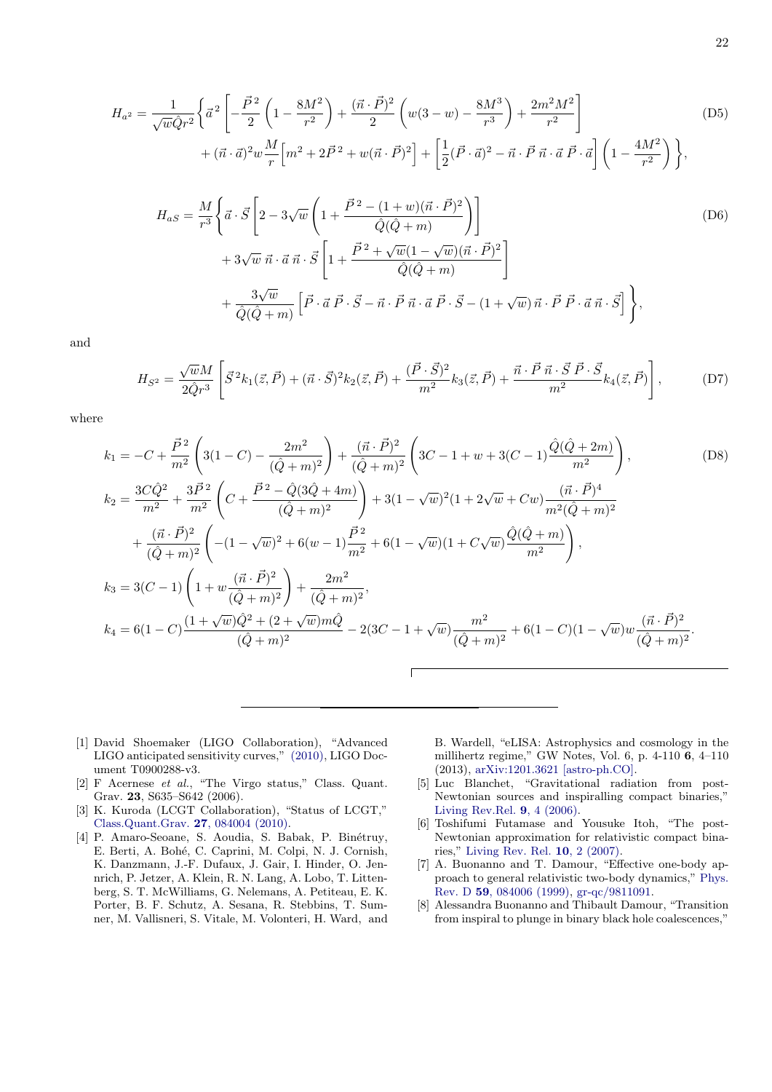$$
H_{a^2} = \frac{1}{\sqrt{w}\hat{Q}r^2} \left\{ \vec{a}^2 \left[ -\frac{\vec{P}^2}{2} \left( 1 - \frac{8M^2}{r^2} \right) + \frac{(\vec{n} \cdot \vec{P})^2}{2} \left( w(3-w) - \frac{8M^3}{r^3} \right) + \frac{2m^2M^2}{r^2} \right] + (\vec{n} \cdot \vec{a})^2 w \frac{M}{r} \left[ m^2 + 2\vec{P}^2 + w(\vec{n} \cdot \vec{P})^2 \right] + \left[ \frac{1}{2} (\vec{P} \cdot \vec{a})^2 - \vec{n} \cdot \vec{P} \vec{n} \cdot \vec{a} \vec{P} \cdot \vec{a} \right] \left( 1 - \frac{4M^2}{r^2} \right) \right\},
$$
\n(D5)

<span id="page-21-8"></span><span id="page-21-7"></span>
$$
H_{aS} = \frac{M}{r^3} \left\{ \vec{a} \cdot \vec{S} \left[ 2 - 3\sqrt{w} \left( 1 + \frac{\vec{P}^2 - (1+w)(\vec{n} \cdot \vec{P})^2}{\hat{Q}(\hat{Q} + m)} \right) \right] \right\}
$$
  
+ 
$$
3\sqrt{w} \ \vec{n} \cdot \vec{a} \ \vec{n} \cdot \vec{S} \left[ 1 + \frac{\vec{P}^2 + \sqrt{w}(1 - \sqrt{w})(\vec{n} \cdot \vec{P})^2}{\hat{Q}(\hat{Q} + m)} \right]
$$
  
+ 
$$
\frac{3\sqrt{w}}{\hat{Q}(\hat{Q} + m)} \left[ \vec{P} \cdot \vec{a} \ \vec{P} \cdot \vec{S} - \vec{n} \cdot \vec{P} \ \vec{n} \cdot \vec{a} \ \vec{P} \cdot \vec{S} - (1 + \sqrt{w}) \ \vec{n} \cdot \vec{P} \ \vec{P} \cdot \vec{a} \ \vec{n} \cdot \vec{S} \right] \right\},
$$
  
(D6)

and

<span id="page-21-9"></span>
$$
H_{S^2} = \frac{\sqrt{w}M}{2\hat{Q}r^3} \left[ \vec{S}^2 k_1(\vec{z}, \vec{P}) + (\vec{n} \cdot \vec{S})^2 k_2(\vec{z}, \vec{P}) + \frac{(\vec{P} \cdot \vec{S})^2}{m^2} k_3(\vec{z}, \vec{P}) + \frac{\vec{n} \cdot \vec{P} \vec{n} \cdot \vec{S} \vec{P} \cdot \vec{S}}{m^2} k_4(\vec{z}, \vec{P}) \right],
$$
(D7)

where

$$
k_1 = -C + \frac{\vec{P}^2}{m^2} \left( 3(1-C) - \frac{2m^2}{(\hat{Q}+m)^2} \right) + \frac{(\vec{n} \cdot \vec{P})^2}{(\hat{Q}+m)^2} \left( 3C - 1 + w + 3(C-1) \frac{\hat{Q}(\hat{Q}+2m)}{m^2} \right),
$$
(D8)  
\n
$$
k_2 = \frac{3C\hat{Q}^2}{m^2} + \frac{3\vec{P}^2}{m^2} \left( C + \frac{\vec{P}^2 - \hat{Q}(3\hat{Q}+4m)}{(\hat{Q}+m)^2} \right) + 3(1 - \sqrt{w})^2 (1 + 2\sqrt{w} + Cw) \frac{(\vec{n} \cdot \vec{P})^4}{m^2 (\hat{Q}+m)^2}
$$
  
\n
$$
+ \frac{(\vec{n} \cdot \vec{P})^2}{(\hat{Q}+m)^2} \left( -(1 - \sqrt{w})^2 + 6(w-1) \frac{\vec{P}^2}{m^2} + 6(1 - \sqrt{w})(1 + C\sqrt{w}) \frac{\hat{Q}(\hat{Q}+m)}{m^2} \right),
$$
  
\n
$$
k_3 = 3(C - 1) \left( 1 + w \frac{(\vec{n} \cdot \vec{P})^2}{(\hat{Q}+m)^2} \right) + \frac{2m^2}{(\hat{Q}+m)^2},
$$
  
\n
$$
k_4 = 6(1 - C) \frac{(1 + \sqrt{w})\hat{Q}^2 + (2 + \sqrt{w})m\hat{Q}}{(\hat{Q}+m)^2} - 2(3C - 1 + \sqrt{w}) \frac{m^2}{(\hat{Q}+m)^2} + 6(1 - C)(1 - \sqrt{w})w \frac{(\vec{n} \cdot \vec{P})^2}{(\hat{Q}+m)^2}.
$$

- <span id="page-21-0"></span>[1] David Shoemaker (LIGO Collaboration), "Advanced LIGO anticipated sensitivity curves," [\(2010\),](https://dcc.ligo.org/cgi-bin/DocDB/ShowDocument?docid=2974) LIGO Document T0900288-v3.
- [2] F Acernese et al., "The Virgo status," Class. Quant. Grav. 23, S635–S642 (2006).
- <span id="page-21-1"></span>[3] K. Kuroda (LCGT Collaboration), "Status of LCGT," [Class.Quant.Grav.](http://dx.doi.org/ 10.1088/0264-9381/27/8/084004) 27, 084004 (2010).
- <span id="page-21-2"></span>[4] P. Amaro-Seoane, S. Aoudia, S. Babak, P. Binétruy, E. Berti, A. Bohé, C. Caprini, M. Colpi, N. J. Cornish, K. Danzmann, J.-F. Dufaux, J. Gair, I. Hinder, O. Jennrich, P. Jetzer, A. Klein, R. N. Lang, A. Lobo, T. Littenberg, S. T. McWilliams, G. Nelemans, A. Petiteau, E. K. Porter, B. F. Schutz, A. Sesana, R. Stebbins, T. Sumner, M. Vallisneri, S. Vitale, M. Volonteri, H. Ward, and

B. Wardell, "eLISA: Astrophysics and cosmology in the millihertz regime," GW Notes, Vol. 6, p. 4-110 6, 4–110 (2013), [arXiv:1201.3621 \[astro-ph.CO\].](http://arxiv.org/abs/1201.3621)

- <span id="page-21-3"></span>[5] Luc Blanchet, "Gravitational radiation from post-Newtonian sources and inspiralling compact binaries," [Living Rev.Rel.](http://dx.doi.org/10.12942/lrr-2006-4) 9, 4 (2006).
- <span id="page-21-4"></span>[6] Toshifumi Futamase and Yousuke Itoh, "The post-Newtonian approximation for relativistic compact binaries," [Living Rev. Rel.](http://dx.doi.org/10.12942/lrr-2007-2) 10, 2 (2007).
- <span id="page-21-5"></span>[7] A. Buonanno and T. Damour, "Effective one-body approach to general relativistic two-body dynamics," [Phys.](http://dx.doi.org/10.1103/PhysRevD.59.084006) Rev. D 59[, 084006 \(1999\),](http://dx.doi.org/10.1103/PhysRevD.59.084006) [gr-qc/9811091.](http://arxiv.org/abs/gr-qc/9811091)
- <span id="page-21-6"></span>[8] Alessandra Buonanno and Thibault Damour, "Transition from inspiral to plunge in binary black hole coalescences,"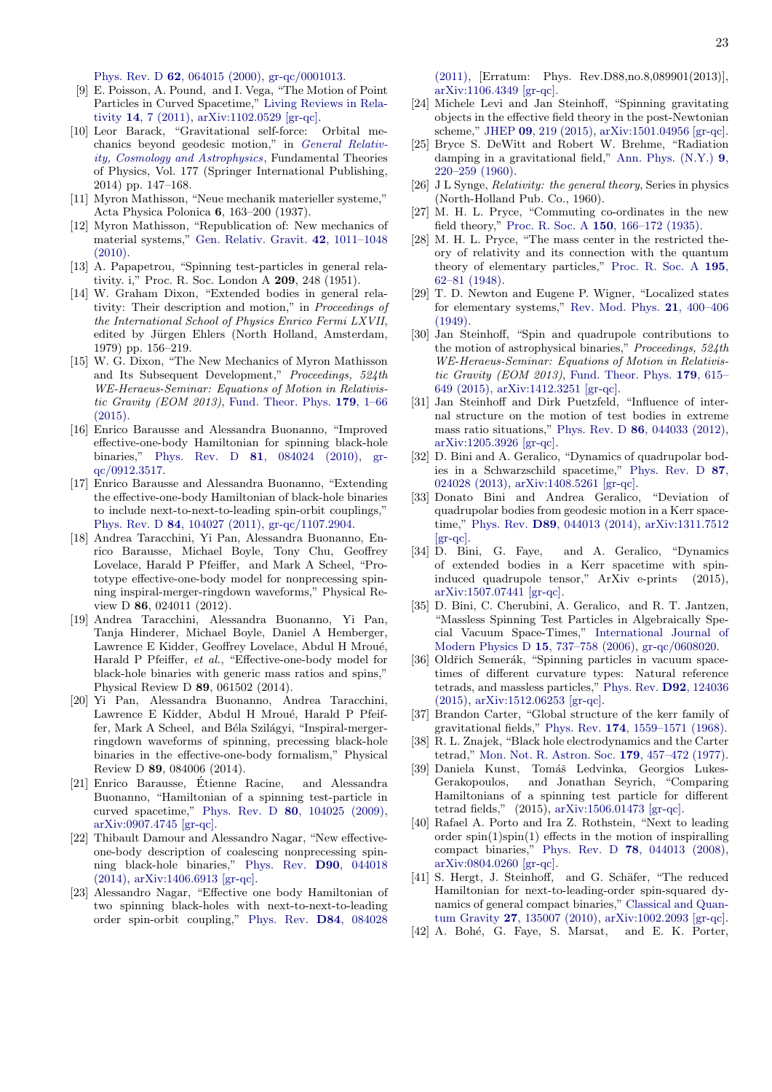Phys. Rev. D 62[, 064015 \(2000\),](http://dx.doi.org/10.1103/PhysRevD.62.064015) [gr-qc/0001013.](http://arxiv.org/abs/gr-qc/0001013)

- <span id="page-22-0"></span>[9] E. Poisson, A. Pound, and I. Vega, "The Motion of Point Particles in Curved Spacetime," [Living Reviews in Rela](http://dx.doi.org/10.12942/lrr-2011-7)tivity 14[, 7 \(2011\),](http://dx.doi.org/10.12942/lrr-2011-7) [arXiv:1102.0529 \[gr-qc\].](http://arxiv.org/abs/1102.0529)
- <span id="page-22-1"></span>[10] Leor Barack, "Gravitational self-force: Orbital mechanics beyond geodesic motion," in [General Relativ](http://dx.doi.org/ 10.1007/978-3-319-06349-2_6)[ity, Cosmology and Astrophysics](http://dx.doi.org/ 10.1007/978-3-319-06349-2_6), Fundamental Theories of Physics, Vol. 177 (Springer International Publishing, 2014) pp. 147–168.
- <span id="page-22-2"></span>[11] Myron Mathisson, "Neue mechanik materieller systeme," Acta Physica Polonica 6, 163–200 (1937).
- <span id="page-22-3"></span>[12] Myron Mathisson, "Republication of: New mechanics of material systems," [Gen. Relativ. Gravit.](http://dx.doi.org/ 10.1007/s10714-010-0939-y) 42, 1011–1048  $(2010)$ .
- <span id="page-22-4"></span>[13] A. Papapetrou, "Spinning test-particles in general relativity. i," Proc. R. Soc. London A 209, 248 (1951).
- <span id="page-22-5"></span>[14] W. Graham Dixon, "Extended bodies in general relativity: Their description and motion," in Proceedings of the International School of Physics Enrico Fermi LXVII, edited by Jürgen Ehlers (North Holland, Amsterdam, 1979) pp. 156–219.
- <span id="page-22-6"></span>[15] W. G. Dixon, "The New Mechanics of Myron Mathisson and Its Subsequent Development," Proceedings, 524th WE-Heraeus-Seminar: Equations of Motion in Relativistic Gravity (EOM 2013), [Fund. Theor. Phys.](http://dx.doi.org/10.1007/978-3-319-18335-0_1) 179, 1–66 [\(2015\).](http://dx.doi.org/10.1007/978-3-319-18335-0_1)
- <span id="page-22-7"></span>[16] Enrico Barausse and Alessandra Buonanno, "Improved effective-one-body Hamiltonian for spinning black-hole binaries," Phys. Rev. D 81[, 084024 \(2010\),](http://dx.doi.org/10.1103/PhysRevD.81.084024) [gr](http://arxiv.org/abs/gr-qc/0912.3517)[qc/0912.3517.](http://arxiv.org/abs/gr-qc/0912.3517)
- [17] Enrico Barausse and Alessandra Buonanno, "Extending the effective-one-body Hamiltonian of black-hole binaries to include next-to-next-to-leading spin-orbit couplings," Phys. Rev. D 84[, 104027 \(2011\),](http://dx.doi.org/ 10.1103/PhysRevD.84.104027) [gr-qc/1107.2904.](http://arxiv.org/abs/gr-qc/1107.2904)
- [18] Andrea Taracchini, Yi Pan, Alessandra Buonanno, Enrico Barausse, Michael Boyle, Tony Chu, Geoffrey Lovelace, Harald P Pfeiffer, and Mark A Scheel, "Prototype effective-one-body model for nonprecessing spinning inspiral-merger-ringdown waveforms," Physical Review D 86, 024011 (2012).
- [19] Andrea Taracchini, Alessandra Buonanno, Yi Pan, Tanja Hinderer, Michael Boyle, Daniel A Hemberger, Lawrence E Kidder, Geoffrey Lovelace, Abdul H Mroué, Harald P Pfeiffer, et al., "Effective-one-body model for black-hole binaries with generic mass ratios and spins," Physical Review D 89, 061502 (2014).
- <span id="page-22-8"></span>[20] Yi Pan, Alessandra Buonanno, Andrea Taracchini, Lawrence E Kidder, Abdul H Mroué, Harald P Pfeiffer, Mark A Scheel, and Béla Szilágyi, "Inspiral-mergerringdown waveforms of spinning, precessing black-hole binaries in the effective-one-body formalism," Physical Review D 89, 084006 (2014).
- <span id="page-22-9"></span>[21] Enrico Barausse, Etienne Racine, and Alessandra ´ Buonanno, "Hamiltonian of a spinning test-particle in curved spacetime," Phys. Rev. D 80[, 104025 \(2009\),](http://dx.doi.org/ 10.1103/PhysRevD.80.104025) [arXiv:0907.4745 \[gr-qc\].](http://arxiv.org/abs/0907.4745)
- <span id="page-22-10"></span>[22] Thibault Damour and Alessandro Nagar, "New effectiveone-body description of coalescing nonprecessing spinning black-hole binaries," [Phys. Rev.](http://dx.doi.org/10.1103/PhysRevD.90.044018) D90, 044018 [\(2014\),](http://dx.doi.org/10.1103/PhysRevD.90.044018) [arXiv:1406.6913 \[gr-qc\].](http://arxiv.org/abs/1406.6913)
- <span id="page-22-11"></span>[23] Alessandro Nagar, "Effective one body Hamiltonian of two spinning black-holes with next-to-next-to-leading order spin-orbit coupling," [Phys. Rev.](http://dx.doi.org/ 10.1103/PhysRevD.84.084028, 10.1103/PhysRevD.88.089901) D84, 084028

[\(2011\),](http://dx.doi.org/ 10.1103/PhysRevD.84.084028, 10.1103/PhysRevD.88.089901) [Erratum: Phys. Rev.D88,no.8,089901(2013)], [arXiv:1106.4349 \[gr-qc\].](http://arxiv.org/abs/1106.4349)

- <span id="page-22-12"></span>[24] Michele Levi and Jan Steinhoff, "Spinning gravitating objects in the effective field theory in the post-Newtonian scheme," JHEP 09[, 219 \(2015\),](http://dx.doi.org/10.1007/JHEP09(2015)219) [arXiv:1501.04956 \[gr-qc\].](http://arxiv.org/abs/1501.04956)
- <span id="page-22-13"></span>[25] Bryce S. DeWitt and Robert W. Brehme, "Radiation damping in a gravitational field," [Ann. Phys. \(N.Y.\)](http://dx.doi.org/ 10.1016/0003-4916(60)90030-0) 9, [220–259 \(1960\).](http://dx.doi.org/ 10.1016/0003-4916(60)90030-0)
- <span id="page-22-14"></span>[26] J L Synge, Relativity: the general theory, Series in physics (North-Holland Pub. Co., 1960).
- <span id="page-22-15"></span>[27] M. H. L. Pryce, "Commuting co-ordinates in the new field theory," Proc. R. Soc. A 150[, 166–172 \(1935\).](http://dx.doi.org/ doi:10.1098/rspa.1935.0094)
- <span id="page-22-27"></span>[28] M. H. L. Pryce, "The mass center in the restricted theory of relativity and its connection with the quantum theory of elementary particles," [Proc. R. Soc. A](http://dx.doi.org/ 10.1098/rspa.1948.0103) 195, [62–81 \(1948\).](http://dx.doi.org/ 10.1098/rspa.1948.0103)
- <span id="page-22-16"></span>[29] T. D. Newton and Eugene P. Wigner, "Localized states for elementary systems," [Rev. Mod. Phys.](http://dx.doi.org/10.1103/RevModPhys.21.400) 21, 400–406 [\(1949\).](http://dx.doi.org/10.1103/RevModPhys.21.400)
- <span id="page-22-17"></span>[30] Jan Steinhoff, "Spin and quadrupole contributions to the motion of astrophysical binaries," Proceedings, 524th WE-Heraeus-Seminar: Equations of Motion in Relativis-tic Gravity (EOM 2013), [Fund. Theor. Phys.](http://dx.doi.org/10.1007/978-3-319-18335-0_19) 179, 615-[649 \(2015\),](http://dx.doi.org/10.1007/978-3-319-18335-0_19) [arXiv:1412.3251 \[gr-qc\].](http://arxiv.org/abs/1412.3251)
- <span id="page-22-18"></span>[31] Jan Steinhoff and Dirk Puetzfeld, "Influence of internal structure on the motion of test bodies in extreme mass ratio situations," Phys. Rev. D 86[, 044033 \(2012\),](http://dx.doi.org/10.1103/PhysRevD.86.044033) [arXiv:1205.3926 \[gr-qc\].](http://arxiv.org/abs/1205.3926)
- [32] D. Bini and A. Geralico, "Dynamics of quadrupolar bodies in a Schwarzschild spacetime," [Phys. Rev. D](http://dx.doi.org/ 10.1103/PhysRevD.87.024028) 87, [024028 \(2013\),](http://dx.doi.org/ 10.1103/PhysRevD.87.024028) [arXiv:1408.5261 \[gr-qc\].](http://arxiv.org/abs/1408.5261)
- [33] Donato Bini and Andrea Geralico, "Deviation of quadrupolar bodies from geodesic motion in a Kerr spacetime," Phys. Rev. D89[, 044013 \(2014\),](http://dx.doi.org/10.1103/PhysRevD.89.044013) [arXiv:1311.7512](http://arxiv.org/abs/1311.7512)  $\left[\text{gr-qc}\right]$ .
- <span id="page-22-19"></span>[34] D. Bini, G. Faye, and A. Geralico, "Dynamics of extended bodies in a Kerr spacetime with spininduced quadrupole tensor," ArXiv e-prints (2015), [arXiv:1507.07441 \[gr-qc\].](http://arxiv.org/abs/1507.07441)
- <span id="page-22-20"></span>[35] D. Bini, C. Cherubini, A. Geralico, and R. T. Jantzen, "Massless Spinning Test Particles in Algebraically Special Vacuum Space-Times," [International Journal of](http://dx.doi.org/ 10.1142/S0218271806008498) [Modern Physics D](http://dx.doi.org/ 10.1142/S0218271806008498) 15, 737–758 (2006), [gr-qc/0608020.](http://arxiv.org/abs/gr-qc/0608020)
- <span id="page-22-21"></span>[36] Oldřich Semerák, "Spinning particles in vacuum spacetimes of different curvature types: Natural reference tetrads, and massless particles," [Phys. Rev.](http://dx.doi.org/ 10.1103/PhysRevD.92.124036) D92, 124036 [\(2015\),](http://dx.doi.org/ 10.1103/PhysRevD.92.124036) [arXiv:1512.06253 \[gr-qc\].](http://arxiv.org/abs/1512.06253)
- <span id="page-22-22"></span>[37] Brandon Carter, "Global structure of the kerr family of gravitational fields," Phys. Rev. 174[, 1559–1571 \(1968\).](http://dx.doi.org/ 10.1103/PhysRev.174.1559)
- <span id="page-22-23"></span>[38] R. L. Znajek, "Black hole electrodynamics and the Carter tetrad," [Mon. Not. R. Astron. Soc.](http://adsabs.harvard.edu/abs/1977MNRAS.179..457Z) 179, 457–472 (1977).
- <span id="page-22-24"></span>[39] Daniela Kunst, Tomáš Ledvinka, Georgios Lukes-Gerakopoulos, and Jonathan Seyrich, "Comparing Hamiltonians of a spinning test particle for different tetrad fields," (2015), [arXiv:1506.01473 \[gr-qc\].](http://arxiv.org/abs/1506.01473)
- <span id="page-22-25"></span>[40] Rafael A. Porto and Ira Z. Rothstein, "Next to leading order  $spin(1)spin(1)$  effects in the motion of inspiralling compact binaries," Phys. Rev. D 78[, 044013 \(2008\),](http://dx.doi.org/10.1103/PhysRevD.78.044013) [arXiv:0804.0260 \[gr-qc\].](http://arxiv.org/abs/0804.0260)
- [41] S. Hergt, J. Steinhoff, and G. Schäfer, "The reduced Hamiltonian for next-to-leading-order spin-squared dynamics of general compact binaries," [Classical and Quan](http://dx.doi.org/ 10.1088/0264-9381/27/13/135007)tum Gravity 27[, 135007 \(2010\),](http://dx.doi.org/ 10.1088/0264-9381/27/13/135007) [arXiv:1002.2093 \[gr-qc\].](http://arxiv.org/abs/1002.2093)
- <span id="page-22-26"></span>[42] A. Bohé, G. Faye, S. Marsat, and E. K. Porter,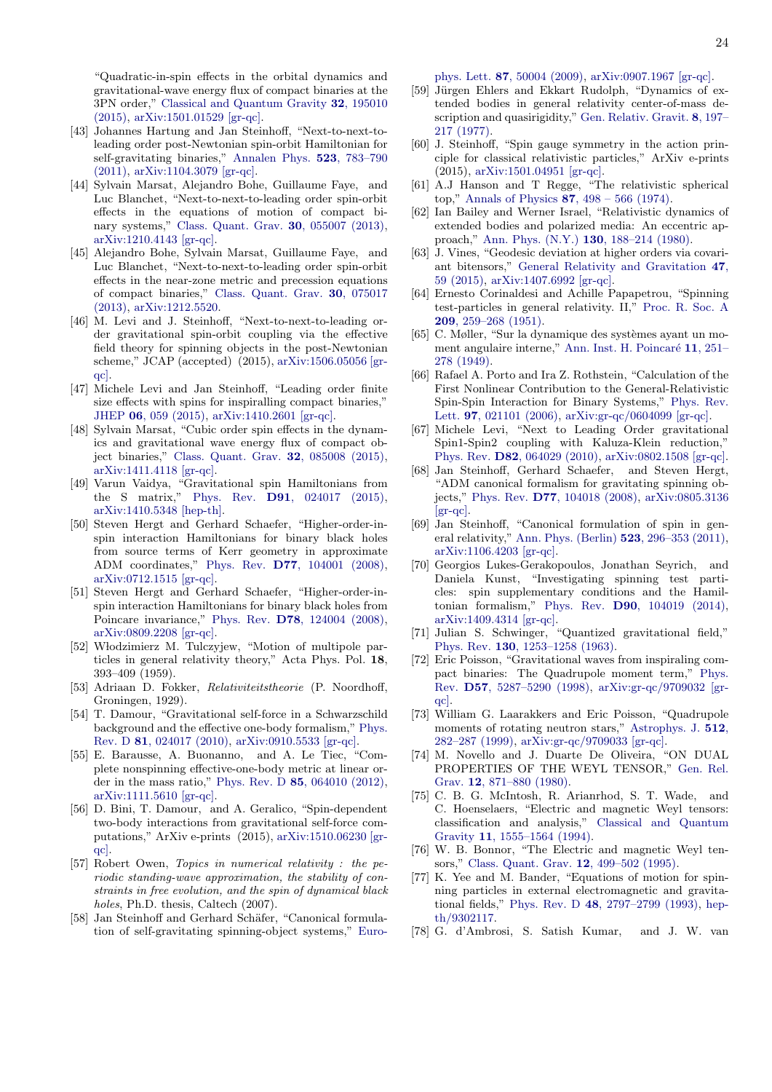"Quadratic-in-spin effects in the orbital dynamics and gravitational-wave energy flux of compact binaries at the 3PN order," [Classical and Quantum Gravity](http://dx.doi.org/ 10.1088/0264-9381/32/19/195010) 32, 195010 [\(2015\),](http://dx.doi.org/ 10.1088/0264-9381/32/19/195010) [arXiv:1501.01529 \[gr-qc\].](http://arxiv.org/abs/1501.01529)

- <span id="page-23-0"></span>[43] Johannes Hartung and Jan Steinhoff, "Next-to-next-toleading order post-Newtonian spin-orbit Hamiltonian for self-gravitating binaries," [Annalen Phys.](http://dx.doi.org/10.1002/andp.201100094) 523, 783–790 [\(2011\),](http://dx.doi.org/10.1002/andp.201100094) [arXiv:1104.3079 \[gr-qc\].](http://arxiv.org/abs/1104.3079)
- [44] Sylvain Marsat, Alejandro Bohe, Guillaume Faye, and Luc Blanchet, "Next-to-next-to-leading order spin-orbit effects in the equations of motion of compact binary systems," [Class. Quant. Grav.](http://dx.doi.org/10.1088/0264-9381/30/5/055007) 30, 055007 (2013), [arXiv:1210.4143 \[gr-qc\].](http://arxiv.org/abs/1210.4143)
- [45] Alejandro Bohe, Sylvain Marsat, Guillaume Faye, and Luc Blanchet, "Next-to-next-to-leading order spin-orbit effects in the near-zone metric and precession equations of compact binaries," [Class. Quant. Grav.](http://dx.doi.org/ 10.1088/0264-9381/30/7/075017) 30, 075017 [\(2013\),](http://dx.doi.org/ 10.1088/0264-9381/30/7/075017) [arXiv:1212.5520.](http://arxiv.org/abs/1212.5520)
- <span id="page-23-1"></span>[46] M. Levi and J. Steinhoff, "Next-to-next-to-leading order gravitational spin-orbit coupling via the effective field theory for spinning objects in the post-Newtonian scheme," JCAP (accepted) (2015), [arXiv:1506.05056 \[gr](http://arxiv.org/abs/1506.05056)[qc\].](http://arxiv.org/abs/1506.05056)
- <span id="page-23-2"></span>[47] Michele Levi and Jan Steinhoff, "Leading order finite size effects with spins for inspiralling compact binaries," JHEP 06[, 059 \(2015\),](http://dx.doi.org/10.1007/JHEP06(2015)059) [arXiv:1410.2601 \[gr-qc\].](http://arxiv.org/abs/1410.2601)
- <span id="page-23-6"></span>[48] Sylvain Marsat, "Cubic order spin effects in the dynamics and gravitational wave energy flux of compact object binaries," [Class. Quant. Grav.](http://dx.doi.org/10.1088/0264-9381/32/8/085008) 32, 085008 (2015), [arXiv:1411.4118 \[gr-qc\].](http://arxiv.org/abs/1411.4118)
- [49] Varun Vaidya, "Gravitational spin Hamiltonians from the S matrix," Phys. Rev. D91[, 024017 \(2015\),](http://dx.doi.org/ 10.1103/PhysRevD.91.024017) [arXiv:1410.5348 \[hep-th\].](http://arxiv.org/abs/1410.5348)
- [50] Steven Hergt and Gerhard Schaefer, "Higher-order-inspin interaction Hamiltonians for binary black holes from source terms of Kerr geometry in approximate ADM coordinates," Phys. Rev. D77[, 104001 \(2008\),](http://dx.doi.org/10.1103/PhysRevD.77.104001) [arXiv:0712.1515 \[gr-qc\].](http://arxiv.org/abs/0712.1515)
- <span id="page-23-3"></span>[51] Steven Hergt and Gerhard Schaefer, "Higher-order-inspin interaction Hamiltonians for binary black holes from Poincare invariance," Phys. Rev. D78[, 124004 \(2008\),](http://dx.doi.org/10.1103/PhysRevD.78.124004) [arXiv:0809.2208 \[gr-qc\].](http://arxiv.org/abs/0809.2208)
- <span id="page-23-4"></span>[52] W lodzimierz M. Tulczyjew, "Motion of multipole particles in general relativity theory," Acta Phys. Pol. 18, 393–409 (1959).
- <span id="page-23-5"></span>[53] Adriaan D. Fokker, Relativiteitstheorie (P. Noordhoff, Groningen, 1929).
- <span id="page-23-7"></span>[54] T. Damour, "Gravitational self-force in a Schwarzschild background and the effective one-body formalism," [Phys.](http://dx.doi.org/10.1103/PhysRevD.81.024017) Rev. D 81[, 024017 \(2010\),](http://dx.doi.org/10.1103/PhysRevD.81.024017) [arXiv:0910.5533 \[gr-qc\].](http://arxiv.org/abs/0910.5533)
- [55] E. Barausse, A. Buonanno, and A. Le Tiec, "Complete nonspinning effective-one-body metric at linear order in the mass ratio," Phys. Rev. D 85[, 064010 \(2012\),](http://dx.doi.org/10.1103/PhysRevD.85.064010) [arXiv:1111.5610 \[gr-qc\].](http://arxiv.org/abs/1111.5610)
- <span id="page-23-8"></span>[56] D. Bini, T. Damour, and A. Geralico, "Spin-dependent two-body interactions from gravitational self-force computations," ArXiv e-prints (2015), [arXiv:1510.06230 \[gr](http://arxiv.org/abs/1510.06230)[qc\].](http://arxiv.org/abs/1510.06230)
- <span id="page-23-9"></span>[57] Robert Owen, *Topics in numerical relativity : the pe*riodic standing-wave approximation, the stability of constraints in free evolution, and the spin of dynamical black holes, Ph.D. thesis, Caltech (2007).
- <span id="page-23-10"></span>[58] Jan Steinhoff and Gerhard Schäfer, "Canonical formulation of self-gravitating spinning-object systems," [Euro-](http://dx.doi.org/ 10.1209/0295-5075/87/50004)

phys. Lett. 87[, 50004 \(2009\),](http://dx.doi.org/ 10.1209/0295-5075/87/50004) [arXiv:0907.1967 \[gr-qc\].](http://arxiv.org/abs/0907.1967)

- <span id="page-23-11"></span>[59] Jürgen Ehlers and Ekkart Rudolph, "Dynamics of extended bodies in general relativity center-of-mass description and quasirigidity," [Gen. Relativ. Gravit.](http://dx.doi.org/10.1007/BF00763547) 8, 197– [217 \(1977\).](http://dx.doi.org/10.1007/BF00763547)
- <span id="page-23-12"></span>[60] J. Steinhoff, "Spin gauge symmetry in the action principle for classical relativistic particles," ArXiv e-prints (2015), [arXiv:1501.04951 \[gr-qc\].](http://arxiv.org/abs/1501.04951)
- <span id="page-23-13"></span>[61] A.J Hanson and T Regge, "The relativistic spherical top," Annals of Physics 87[, 498 – 566 \(1974\).](http://dx.doi.org/http://dx.doi.org/10.1016/0003-4916(74)90046-3)
- <span id="page-23-14"></span>[62] Ian Bailey and Werner Israel, "Relativistic dynamics of extended bodies and polarized media: An eccentric approach," [Ann. Phys. \(N.Y.\)](http://dx.doi.org/10.1016/0003-4916(80)90231-6) 130, 188–214 (1980).
- <span id="page-23-15"></span>[63] J. Vines, "Geodesic deviation at higher orders via covariant bitensors," [General Relativity and Gravitation](http://dx.doi.org/ 10.1007/s10714-015-1901-9) 47, [59 \(2015\),](http://dx.doi.org/ 10.1007/s10714-015-1901-9) [arXiv:1407.6992 \[gr-qc\].](http://arxiv.org/abs/1407.6992)
- <span id="page-23-16"></span>[64] Ernesto Corinaldesi and Achille Papapetrou, "Spinning test-particles in general relativity. II," [Proc. R. Soc. A](http://dx.doi.org/ 10.1098/rspa.1951.0201) 209[, 259–268 \(1951\).](http://dx.doi.org/ 10.1098/rspa.1951.0201)
- <span id="page-23-17"></span> $[65]$  C. Møller, "Sur la dynamique des systèmes ayant un moment angulaire interne," Ann. Inst. H. Poincaré 11, 251– [278 \(1949\).](http://www.numdam.org/item?id=AIHP_1949__11_5_251_0)
- <span id="page-23-18"></span>[66] Rafael A. Porto and Ira Z. Rothstein, "Calculation of the First Nonlinear Contribution to the General-Relativistic Spin-Spin Interaction for Binary Systems," [Phys. Rev.](http://dx.doi.org/ 10.1103/PhysRevLett.97.021101) Lett. 97[, 021101 \(2006\),](http://dx.doi.org/ 10.1103/PhysRevLett.97.021101) [arXiv:gr-qc/0604099 \[gr-qc\].](http://arxiv.org/abs/gr-qc/0604099)
- <span id="page-23-20"></span>[67] Michele Levi, "Next to Leading Order gravitational Spin1-Spin2 coupling with Kaluza-Klein reduction," Phys. Rev. D82[, 064029 \(2010\),](http://dx.doi.org/10.1103/PhysRevD.82.064029) [arXiv:0802.1508 \[gr-qc\].](http://arxiv.org/abs/0802.1508)
- <span id="page-23-19"></span>[68] Jan Steinhoff, Gerhard Schaefer, and Steven Hergt, "ADM canonical formalism for gravitating spinning objects," Phys. Rev. D77[, 104018 \(2008\),](http://dx.doi.org/ 10.1103/PhysRevD.77.104018) [arXiv:0805.3136](http://arxiv.org/abs/0805.3136) [\[gr-qc\].](http://arxiv.org/abs/0805.3136)
- <span id="page-23-21"></span>[69] Jan Steinhoff, "Canonical formulation of spin in general relativity," [Ann. Phys. \(Berlin\)](http://dx.doi.org/ 10.1002/andp.201000178) 523, 296–353 (2011), [arXiv:1106.4203 \[gr-qc\].](http://arxiv.org/abs/1106.4203)
- <span id="page-23-22"></span>[70] Georgios Lukes-Gerakopoulos, Jonathan Seyrich, and Daniela Kunst, "Investigating spinning test particles: spin supplementary conditions and the Hamiltonian formalism," Phys. Rev. D90[, 104019 \(2014\),](http://dx.doi.org/ 10.1103/PhysRevD.90.104019) [arXiv:1409.4314 \[gr-qc\].](http://arxiv.org/abs/1409.4314)
- <span id="page-23-23"></span>[71] Julian S. Schwinger, "Quantized gravitational field," Phys. Rev. 130[, 1253–1258 \(1963\).](http://dx.doi.org/10.1103/PhysRev.130.1253)
- <span id="page-23-24"></span>[72] Eric Poisson, "Gravitational waves from inspiraling compact binaries: The Quadrupole moment term," [Phys.](http://dx.doi.org/10.1103/PhysRevD.57.5287) Rev. D57[, 5287–5290 \(1998\),](http://dx.doi.org/10.1103/PhysRevD.57.5287) [arXiv:gr-qc/9709032 \[gr](http://arxiv.org/abs/gr-qc/9709032)[qc\].](http://arxiv.org/abs/gr-qc/9709032)
- <span id="page-23-25"></span>[73] William G. Laarakkers and Eric Poisson, "Quadrupole moments of rotating neutron stars," [Astrophys. J.](http://dx.doi.org/ 10.1086/306732) 512, [282–287 \(1999\),](http://dx.doi.org/ 10.1086/306732) [arXiv:gr-qc/9709033 \[gr-qc\].](http://arxiv.org/abs/gr-qc/9709033)
- <span id="page-23-26"></span>[74] M. Novello and J. Duarte De Oliveira, "ON DUAL PROPERTIES OF THE WEYL TENSOR," [Gen. Rel.](http://dx.doi.org/10.1007/BF00757356) Grav. 12[, 871–880 \(1980\).](http://dx.doi.org/10.1007/BF00757356)
- [75] C. B. G. McIntosh, R. Arianrhod, S. T. Wade, and C. Hoenselaers, "Electric and magnetic Weyl tensors: classification and analysis," [Classical and Quantum](http://dx.doi.org/10.1088/0264-9381/11/6/019) Gravity 11[, 1555–1564 \(1994\).](http://dx.doi.org/10.1088/0264-9381/11/6/019)
- <span id="page-23-27"></span>[76] W. B. Bonnor, "The Electric and magnetic Weyl tensors," [Class. Quant. Grav.](http://dx.doi.org/10.1088/0264-9381/12/2/018) 12, 499–502 (1995).
- <span id="page-23-28"></span>[77] K. Yee and M. Bander, "Equations of motion for spinning particles in external electromagnetic and gravitational fields," Phys. Rev. D 48[, 2797–2799 \(1993\),](http://dx.doi.org/10.1103/PhysRevD.48.2797) [hep](http://arxiv.org/abs/hep-th/9302117)[th/9302117.](http://arxiv.org/abs/hep-th/9302117)
- <span id="page-23-29"></span>[78] G. d'Ambrosi, S. Satish Kumar, and J. W. van